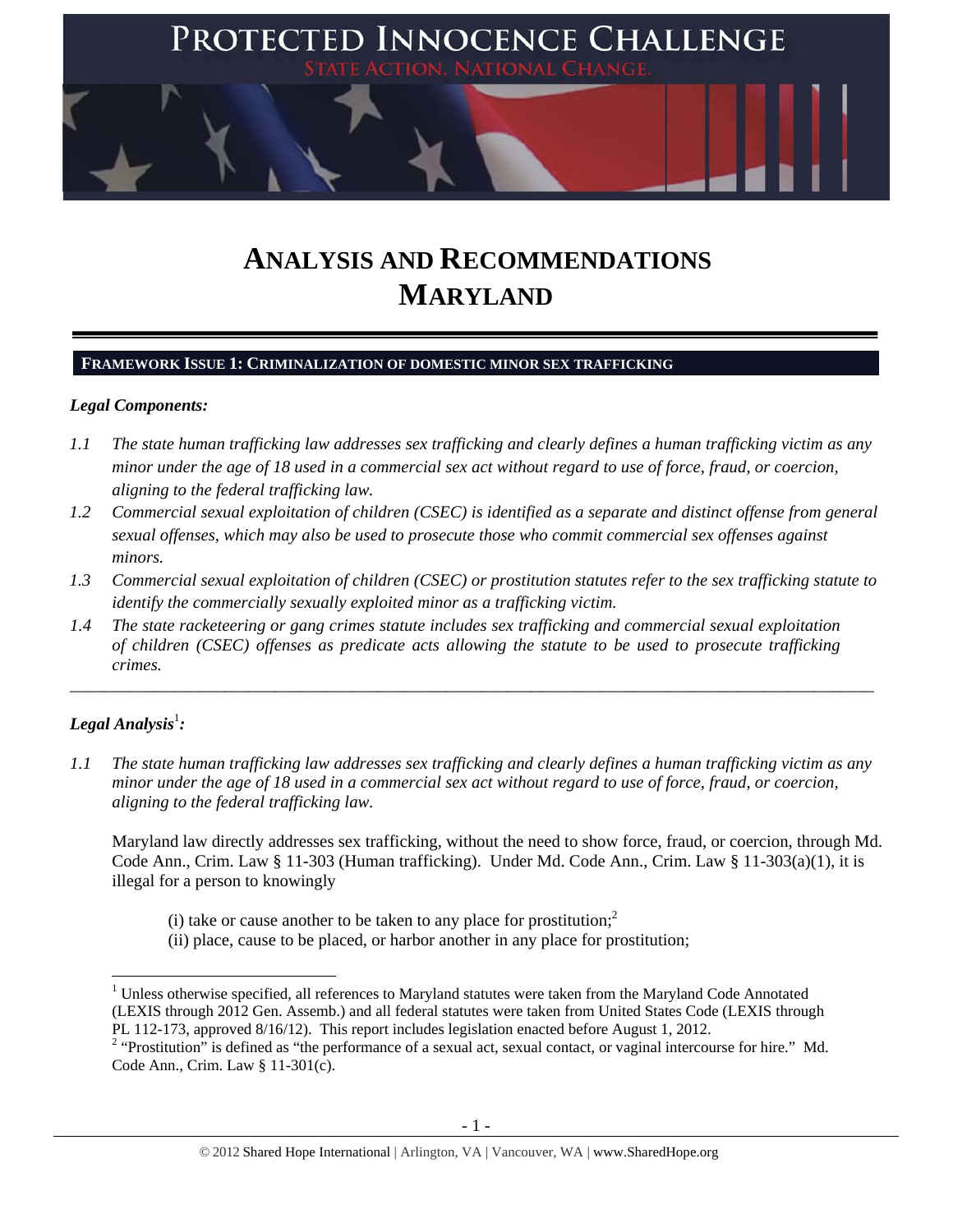

# **ANALYSIS AND RECOMMENDATIONS MARYLAND**

# **FRAMEWORK ISSUE 1: CRIMINALIZATION OF DOMESTIC MINOR SEX TRAFFICKING**

# *Legal Components:*

- *1.1 The state human trafficking law addresses sex trafficking and clearly defines a human trafficking victim as any minor under the age of 18 used in a commercial sex act without regard to use of force, fraud, or coercion, aligning to the federal trafficking law.*
- *1.2 Commercial sexual exploitation of children (CSEC) is identified as a separate and distinct offense from general sexual offenses, which may also be used to prosecute those who commit commercial sex offenses against minors.*
- *1.3 Commercial sexual exploitation of children (CSEC) or prostitution statutes refer to the sex trafficking statute to identify the commercially sexually exploited minor as a trafficking victim.*

\_\_\_\_\_\_\_\_\_\_\_\_\_\_\_\_\_\_\_\_\_\_\_\_\_\_\_\_\_\_\_\_\_\_\_\_\_\_\_\_\_\_\_\_\_\_\_\_\_\_\_\_\_\_\_\_\_\_\_\_\_\_\_\_\_\_\_\_\_\_\_\_\_\_\_\_\_\_\_\_\_\_\_\_\_\_\_\_\_\_\_\_\_\_

*1.4 The state racketeering or gang crimes statute includes sex trafficking and commercial sexual exploitation of children (CSEC) offenses as predicate acts allowing the statute to be used to prosecute trafficking crimes.* 

# $\bm{\mathit{Legal\, Analysis^1:}}$

*1.1 The state human trafficking law addresses sex trafficking and clearly defines a human trafficking victim as any minor under the age of 18 used in a commercial sex act without regard to use of force, fraud, or coercion, aligning to the federal trafficking law.*

Maryland law directly addresses sex trafficking, without the need to show force, fraud, or coercion, through Md. Code Ann., Crim. Law § 11-303 (Human trafficking). Under Md. Code Ann., Crim. Law § 11-303(a)(1), it is illegal for a person to knowingly

- (i) take or cause another to be taken to any place for prostitution; $<sup>2</sup>$ </sup>
- (ii) place, cause to be placed, or harbor another in any place for prostitution;

<sup>&</sup>lt;sup>1</sup> Unless otherwise specified, all references to Maryland statutes were taken from the Maryland Code Annotated (LEXIS through 2012 Gen. Assemb.) and all federal statutes were taken from United States Code (LEXIS through PL 112-173, approved 8/16/12). This report includes legislation enacted before August 1, 2012.

 $2$  "Prostitution" is defined as "the performance of a sexual act, sexual contact, or vaginal intercourse for hire." Md. Code Ann., Crim. Law § 11-301(c).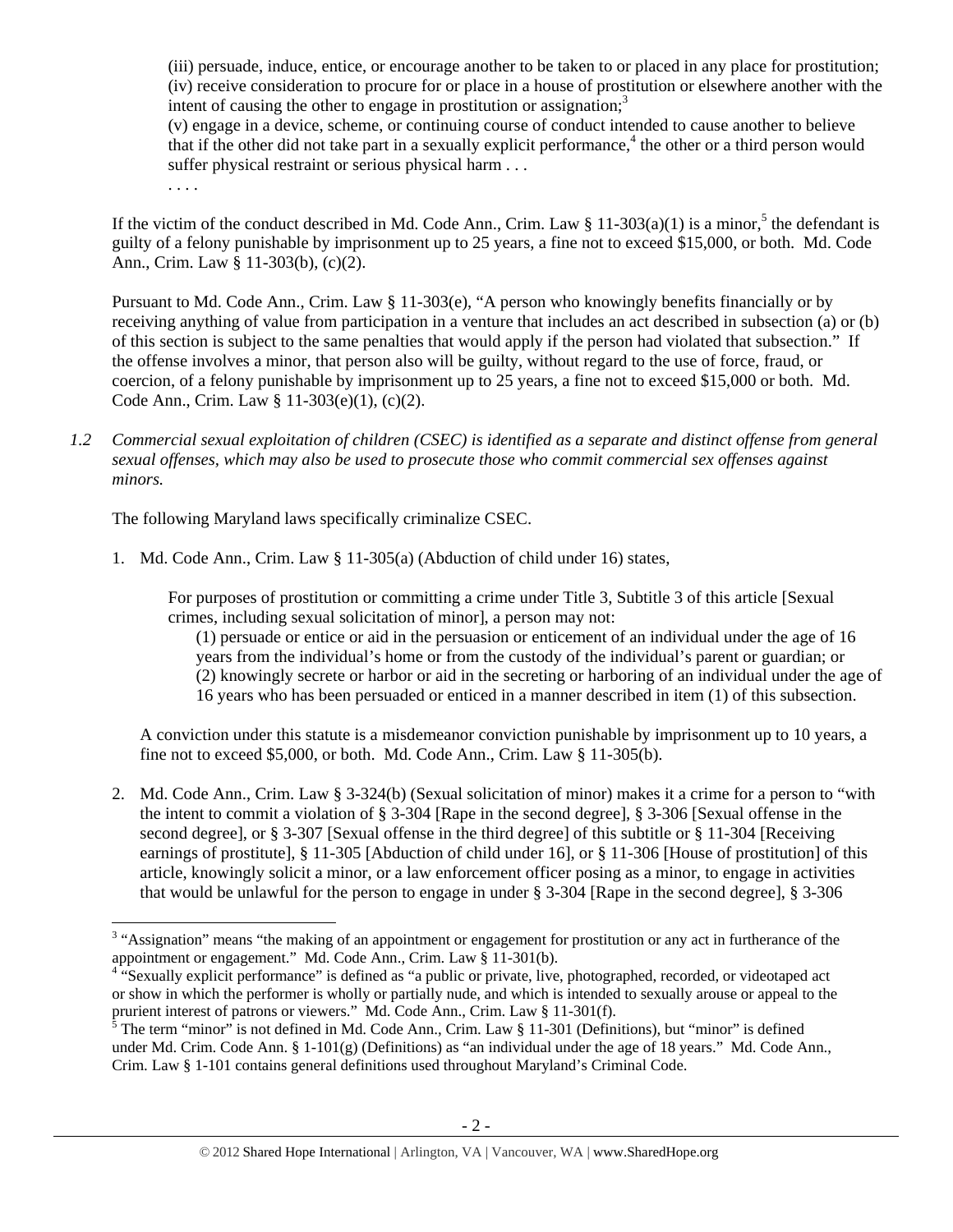(iii) persuade, induce, entice, or encourage another to be taken to or placed in any place for prostitution; (iv) receive consideration to procure for or place in a house of prostitution or elsewhere another with the intent of causing the other to engage in prostitution or assignation; $3<sup>3</sup>$ 

(v) engage in a device, scheme, or continuing course of conduct intended to cause another to believe that if the other did not take part in a sexually explicit performance,<sup>4</sup> the other or a third person would suffer physical restraint or serious physical harm . . .

. . . .

If the victim of the conduct described in Md. Code Ann., Crim. Law  $\S 11-303(a)(1)$  is a minor,<sup>5</sup> the defendant is guilty of a felony punishable by imprisonment up to 25 years, a fine not to exceed \$15,000, or both. Md. Code Ann., Crim. Law § 11-303(b), (c)(2).

Pursuant to Md. Code Ann., Crim. Law § 11-303(e), "A person who knowingly benefits financially or by receiving anything of value from participation in a venture that includes an act described in subsection (a) or (b) of this section is subject to the same penalties that would apply if the person had violated that subsection." If the offense involves a minor, that person also will be guilty, without regard to the use of force, fraud, or coercion, of a felony punishable by imprisonment up to 25 years, a fine not to exceed \$15,000 or both. Md. Code Ann., Crim. Law § 11-303(e)(1), (c)(2).

*1.2 Commercial sexual exploitation of children (CSEC) is identified as a separate and distinct offense from general sexual offenses, which may also be used to prosecute those who commit commercial sex offenses against minors.*

The following Maryland laws specifically criminalize CSEC.

1. Md. Code Ann., Crim. Law § 11-305(a) (Abduction of child under 16) states,

For purposes of prostitution or committing a crime under Title 3, Subtitle 3 of this article [Sexual crimes, including sexual solicitation of minor], a person may not:

(1) persuade or entice or aid in the persuasion or enticement of an individual under the age of 16 years from the individual's home or from the custody of the individual's parent or guardian; or (2) knowingly secrete or harbor or aid in the secreting or harboring of an individual under the age of 16 years who has been persuaded or enticed in a manner described in item (1) of this subsection.

A conviction under this statute is a misdemeanor conviction punishable by imprisonment up to 10 years, a fine not to exceed \$5,000, or both. Md. Code Ann., Crim. Law § 11-305(b).

2. Md. Code Ann., Crim. Law § 3-324(b) (Sexual solicitation of minor) makes it a crime for a person to "with the intent to commit a violation of § 3-304 [Rape in the second degree], § 3-306 [Sexual offense in the second degree], or § 3-307 [Sexual offense in the third degree] of this subtitle or § 11-304 [Receiving earnings of prostitute], § 11-305 [Abduction of child under 16], or § 11-306 [House of prostitution] of this article, knowingly solicit a minor, or a law enforcement officer posing as a minor, to engage in activities that would be unlawful for the person to engage in under § 3-304 [Rape in the second degree], § 3-306

<sup>&</sup>lt;sup>3</sup> "Assignation" means "the making of an appointment or engagement for prostitution or any act in furtherance of the appointment or engagement." Md. Code Ann., Crim. Law § 11-301(b).

<sup>&</sup>lt;sup>4 "S</sup>exually explicit performance" is defined as "a public or private, live, photographed, recorded, or videotaped act or show in which the performer is wholly or partially nude, and which is intended to sexually arouse or appeal to the prurient interest of patrons or viewers." Md. Code Ann., Crim. Law § 11-301(f).<br><sup>5</sup> The term "minor" is not defined in Md. Code Ann., Crim. Law § 11-301 (Definitions), but "minor" is defined

under Md. Crim. Code Ann. §  $1-101(g)$  (Definitions) as "an individual under the age of 18 years." Md. Code Ann., Crim. Law § 1-101 contains general definitions used throughout Maryland's Criminal Code.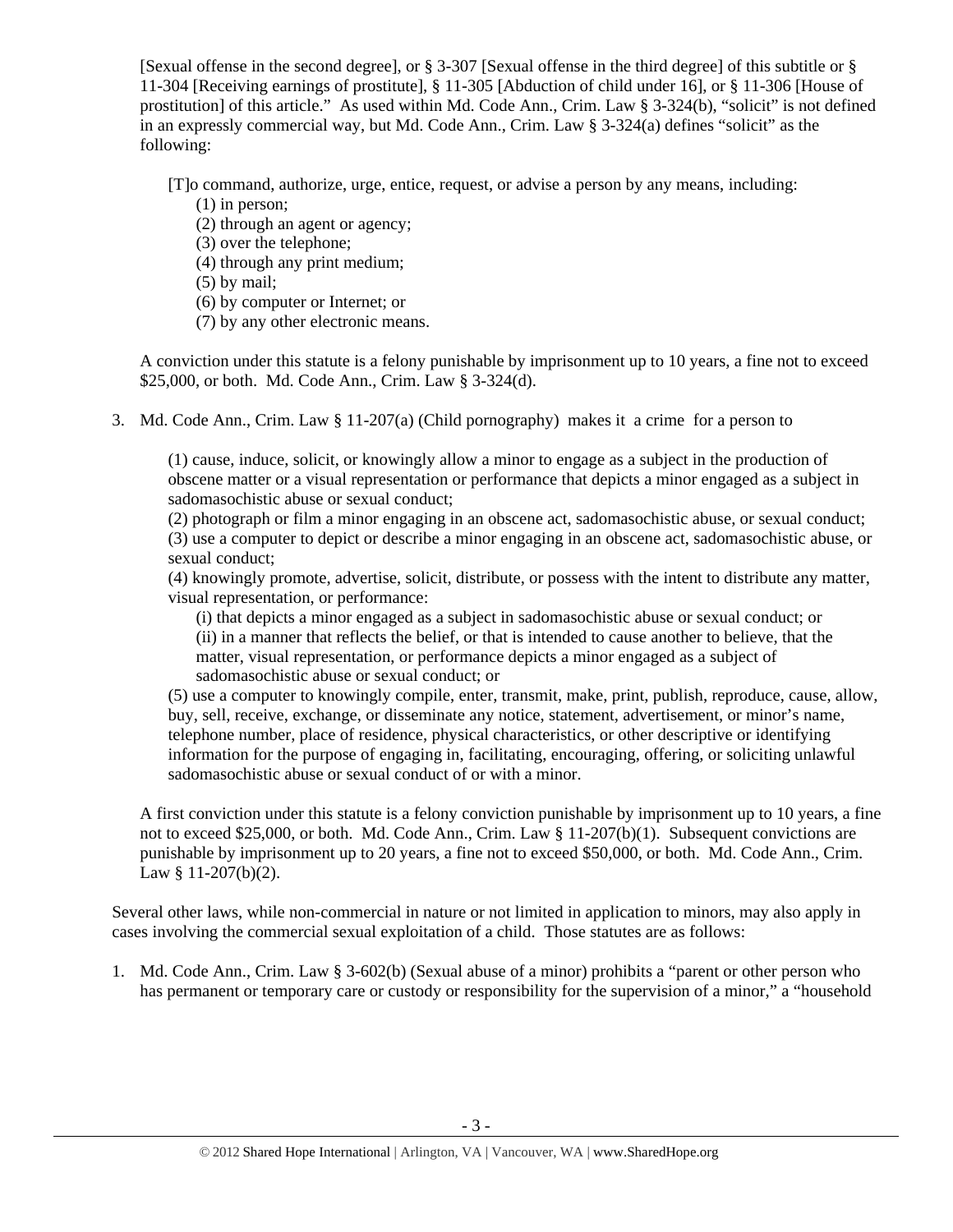[Sexual offense in the second degree], or § 3-307 [Sexual offense in the third degree] of this subtitle or § 11-304 [Receiving earnings of prostitute], § 11-305 [Abduction of child under 16], or § 11-306 [House of prostitution] of this article." As used within Md. Code Ann., Crim. Law § 3-324(b), "solicit" is not defined in an expressly commercial way, but Md. Code Ann., Crim. Law § 3-324(a) defines "solicit" as the following:

[T]o command, authorize, urge, entice, request, or advise a person by any means, including:

- (1) in person;
- (2) through an agent or agency;
- (3) over the telephone;
- (4) through any print medium;
- (5) by mail;
- (6) by computer or Internet; or
- (7) by any other electronic means.

A conviction under this statute is a felony punishable by imprisonment up to 10 years, a fine not to exceed \$25,000, or both. Md. Code Ann., Crim. Law § 3-324(d).

3. Md. Code Ann., Crim. Law § 11-207(a) (Child pornography) makes it a crime for a person to

(1) cause, induce, solicit, or knowingly allow a minor to engage as a subject in the production of obscene matter or a visual representation or performance that depicts a minor engaged as a subject in sadomasochistic abuse or sexual conduct;

(2) photograph or film a minor engaging in an obscene act, sadomasochistic abuse, or sexual conduct; (3) use a computer to depict or describe a minor engaging in an obscene act, sadomasochistic abuse, or sexual conduct;

(4) knowingly promote, advertise, solicit, distribute, or possess with the intent to distribute any matter, visual representation, or performance:

(i) that depicts a minor engaged as a subject in sadomasochistic abuse or sexual conduct; or (ii) in a manner that reflects the belief, or that is intended to cause another to believe, that the matter, visual representation, or performance depicts a minor engaged as a subject of sadomasochistic abuse or sexual conduct; or

(5) use a computer to knowingly compile, enter, transmit, make, print, publish, reproduce, cause, allow, buy, sell, receive, exchange, or disseminate any notice, statement, advertisement, or minor's name, telephone number, place of residence, physical characteristics, or other descriptive or identifying information for the purpose of engaging in, facilitating, encouraging, offering, or soliciting unlawful sadomasochistic abuse or sexual conduct of or with a minor.

A first conviction under this statute is a felony conviction punishable by imprisonment up to 10 years, a fine not to exceed \$25,000, or both. Md. Code Ann., Crim. Law § 11-207(b)(1). Subsequent convictions are punishable by imprisonment up to 20 years, a fine not to exceed \$50,000, or both. Md. Code Ann., Crim. Law § 11-207(b)(2).

Several other laws, while non-commercial in nature or not limited in application to minors, may also apply in cases involving the commercial sexual exploitation of a child. Those statutes are as follows:

1. Md. Code Ann., Crim. Law § 3-602(b) (Sexual abuse of a minor) prohibits a "parent or other person who has permanent or temporary care or custody or responsibility for the supervision of a minor," a "household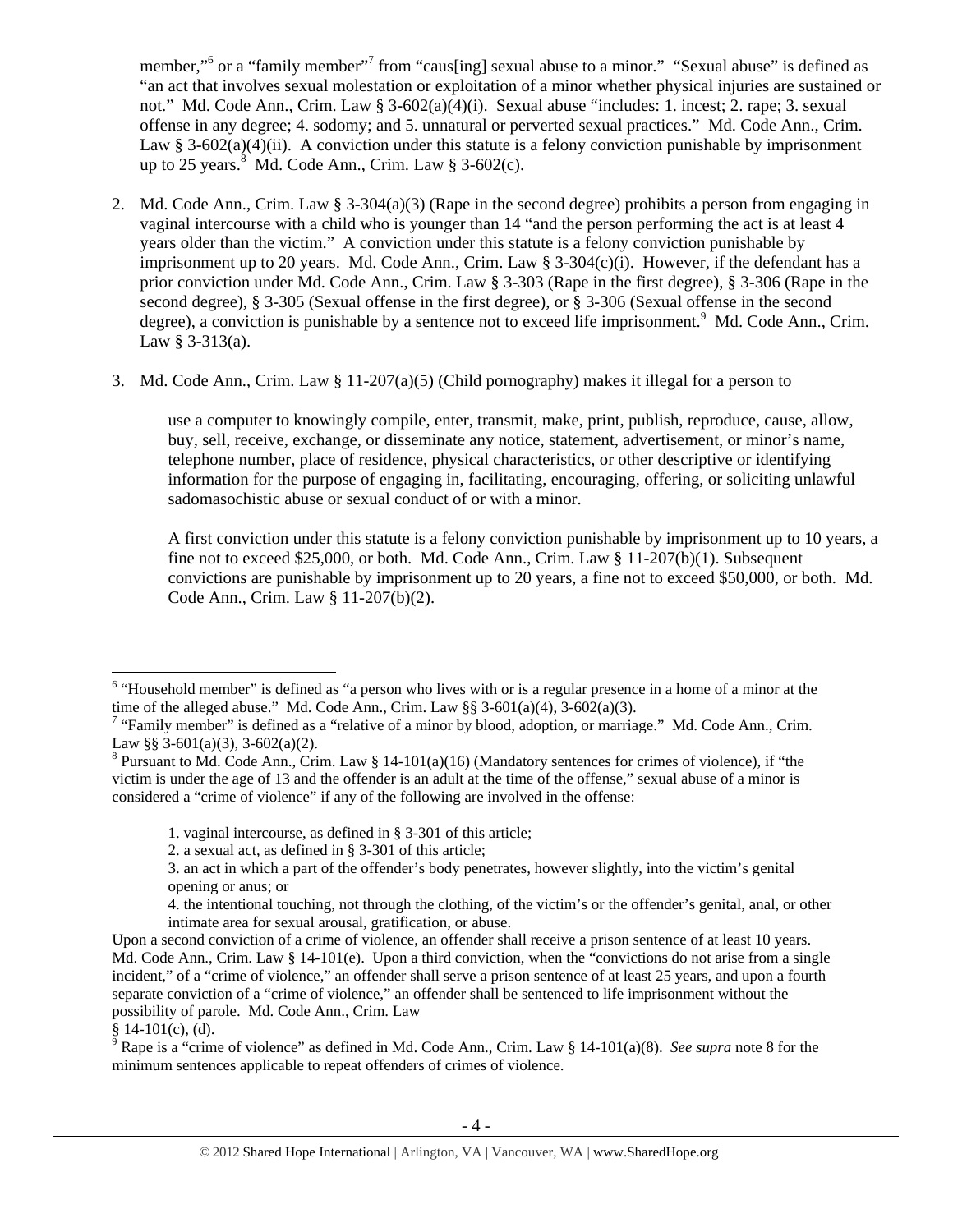member,"<sup>6</sup> or a "family member"<sup>7</sup> from "caus[ing] sexual abuse to a minor." "Sexual abuse" is defined as "an act that involves sexual molestation or exploitation of a minor whether physical injuries are sustained or not." Md. Code Ann., Crim. Law § 3-602(a)(4)(i). Sexual abuse "includes: 1. incest; 2. rape; 3. sexual offense in any degree; 4. sodomy; and 5. unnatural or perverted sexual practices." Md. Code Ann., Crim. Law § 3-602(a)(4)(ii). A conviction under this statute is a felony conviction punishable by imprisonment up to 25 years. $8 \text{ Md}$ . Code Ann., Crim. Law  $8 \text{ 3-602(c)}$ .

- 2. Md. Code Ann., Crim. Law § 3-304(a)(3) (Rape in the second degree) prohibits a person from engaging in vaginal intercourse with a child who is younger than 14 "and the person performing the act is at least 4 years older than the victim." A conviction under this statute is a felony conviction punishable by imprisonment up to 20 years. Md. Code Ann., Crim. Law  $\S 3-304(c)(i)$ . However, if the defendant has a prior conviction under Md. Code Ann., Crim. Law § 3-303 (Rape in the first degree), § 3-306 (Rape in the second degree), § 3-305 (Sexual offense in the first degree), or § 3-306 (Sexual offense in the second degree), a conviction is punishable by a sentence not to exceed life imprisonment.<sup>9</sup> Md. Code Ann., Crim. Law § 3-313(a).
- 3. Md. Code Ann., Crim. Law § 11-207(a)(5) (Child pornography) makes it illegal for a person to

use a computer to knowingly compile, enter, transmit, make, print, publish, reproduce, cause, allow, buy, sell, receive, exchange, or disseminate any notice, statement, advertisement, or minor's name, telephone number, place of residence, physical characteristics, or other descriptive or identifying information for the purpose of engaging in, facilitating, encouraging, offering, or soliciting unlawful sadomasochistic abuse or sexual conduct of or with a minor.

A first conviction under this statute is a felony conviction punishable by imprisonment up to 10 years, a fine not to exceed \$25,000, or both. Md. Code Ann., Crim. Law  $\S 11-207(b)(1)$ . Subsequent convictions are punishable by imprisonment up to 20 years, a fine not to exceed \$50,000, or both. Md. Code Ann., Crim. Law § 11-207(b)(2).

<sup>&</sup>lt;sup>6</sup> "Household member" is defined as "a person who lives with or is a regular presence in a home of a minor at the time of the alleged abuse." Md. Code Ann., Crim. Law  $\S § 3-601(a)(4)$ ,  $3-602(a)(3)$ .

<sup>&</sup>lt;sup>7</sup> "Family member" is defined as a "relative of a minor by blood, adoption, or marriage." Md. Code Ann., Crim. Law §§ 3-601(a)(3), 3-602(a)(2).

<sup>&</sup>lt;sup>8</sup> Pursuant to Md. Code Ann., Crim. Law § 14-101(a)(16) (Mandatory sentences for crimes of violence), if "the victim is under the age of 13 and the offender is an adult at the time of the offense," sexual abuse of a minor is considered a "crime of violence" if any of the following are involved in the offense:

<sup>1.</sup> vaginal intercourse, as defined in § 3-301 of this article;

<sup>2.</sup> a sexual act, as defined in § 3-301 of this article;

<sup>3.</sup> an act in which a part of the offender's body penetrates, however slightly, into the victim's genital opening or anus; or

<sup>4.</sup> the intentional touching, not through the clothing, of the victim's or the offender's genital, anal, or other intimate area for sexual arousal, gratification, or abuse.

Upon a second conviction of a crime of violence, an offender shall receive a prison sentence of at least 10 years. Md. Code Ann., Crim. Law § 14-101(e). Upon a third conviction, when the "convictions do not arise from a single incident," of a "crime of violence," an offender shall serve a prison sentence of at least 25 years, and upon a fourth separate conviction of a "crime of violence," an offender shall be sentenced to life imprisonment without the possibility of parole. Md. Code Ann., Crim. Law

<sup>§ 14-101(</sup>c), (d). 9 Rape is a "crime of violence" as defined in Md. Code Ann., Crim. Law § 14-101(a)(8). *See supra* note 8 for the minimum sentences applicable to repeat offenders of crimes of violence.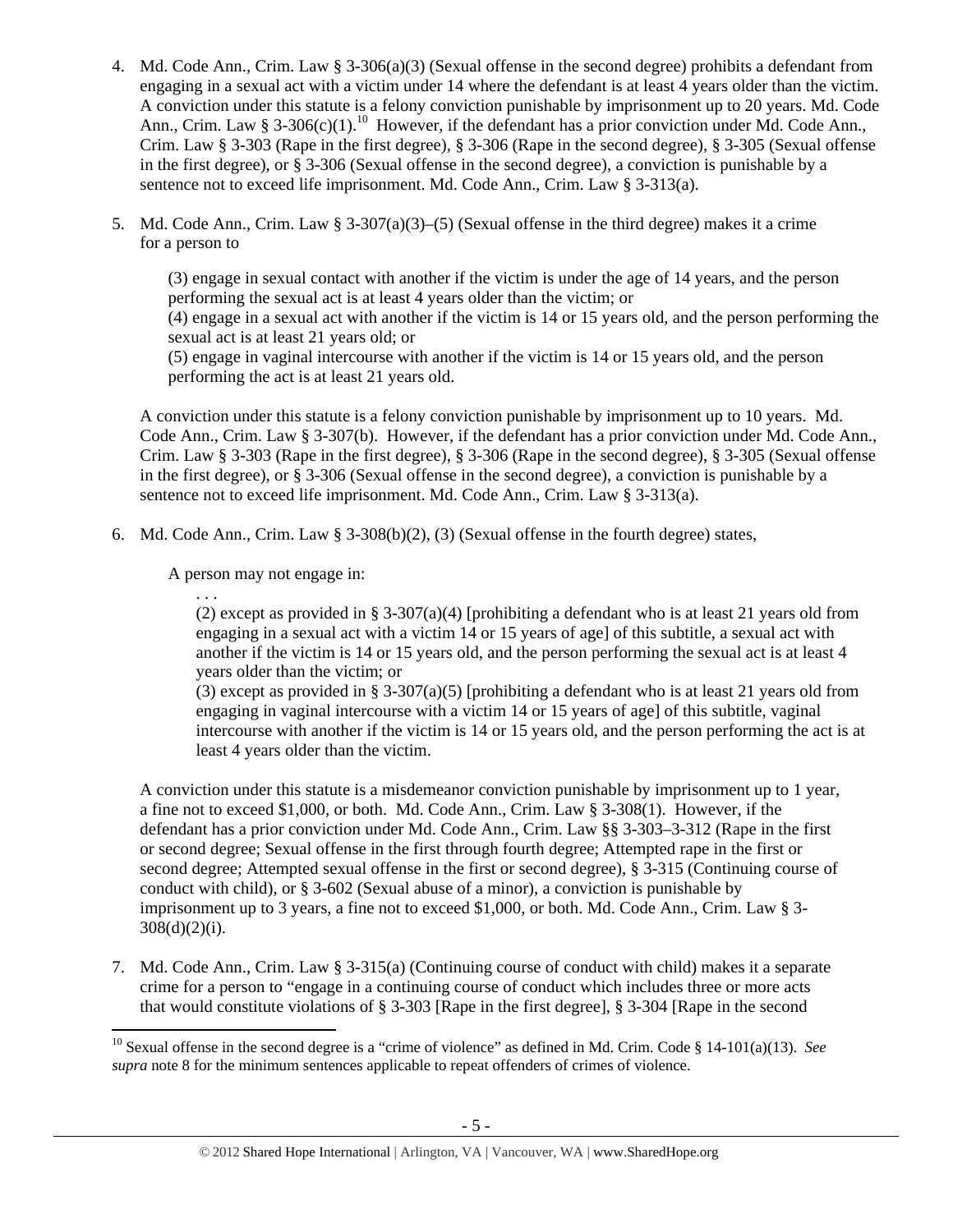- 4. Md. Code Ann., Crim. Law § 3-306(a)(3) (Sexual offense in the second degree) prohibits a defendant from engaging in a sexual act with a victim under 14 where the defendant is at least 4 years older than the victim. A conviction under this statute is a felony conviction punishable by imprisonment up to 20 years. Md. Code Ann., Crim. Law § 3-306(c)(1).<sup>10</sup> However, if the defendant has a prior conviction under Md. Code Ann., Crim. Law § 3-303 (Rape in the first degree), § 3-306 (Rape in the second degree), § 3-305 (Sexual offense in the first degree), or § 3-306 (Sexual offense in the second degree), a conviction is punishable by a sentence not to exceed life imprisonment. Md. Code Ann., Crim. Law § 3-313(a).
- 5. Md. Code Ann., Crim. Law § 3-307(a)(3)–(5) (Sexual offense in the third degree) makes it a crime for a person to

(3) engage in sexual contact with another if the victim is under the age of 14 years, and the person performing the sexual act is at least 4 years older than the victim; or (4) engage in a sexual act with another if the victim is 14 or 15 years old, and the person performing the sexual act is at least 21 years old; or

(5) engage in vaginal intercourse with another if the victim is 14 or 15 years old, and the person performing the act is at least 21 years old.

A conviction under this statute is a felony conviction punishable by imprisonment up to 10 years. Md. Code Ann., Crim. Law § 3-307(b). However, if the defendant has a prior conviction under Md. Code Ann., Crim. Law § 3-303 (Rape in the first degree), § 3-306 (Rape in the second degree), § 3-305 (Sexual offense in the first degree), or § 3-306 (Sexual offense in the second degree), a conviction is punishable by a sentence not to exceed life imprisonment. Md. Code Ann., Crim. Law § 3-313(a).

6. Md. Code Ann., Crim. Law  $\S$  3-308(b)(2), (3) (Sexual offense in the fourth degree) states,

A person may not engage in:

. . .

(2) except as provided in § 3-307(a)(4) [prohibiting a defendant who is at least 21 years old from engaging in a sexual act with a victim 14 or 15 years of age] of this subtitle, a sexual act with another if the victim is 14 or 15 years old, and the person performing the sexual act is at least 4 years older than the victim; or

(3) except as provided in § 3-307(a)(5) [prohibiting a defendant who is at least 21 years old from engaging in vaginal intercourse with a victim 14 or 15 years of age] of this subtitle, vaginal intercourse with another if the victim is 14 or 15 years old, and the person performing the act is at least 4 years older than the victim.

A conviction under this statute is a misdemeanor conviction punishable by imprisonment up to 1 year, a fine not to exceed \$1,000, or both. Md. Code Ann., Crim. Law § 3-308(1). However, if the defendant has a prior conviction under Md. Code Ann., Crim. Law §§ 3-303–3-312 (Rape in the first or second degree; Sexual offense in the first through fourth degree; Attempted rape in the first or second degree; Attempted sexual offense in the first or second degree), § 3-315 (Continuing course of conduct with child), or § 3-602 (Sexual abuse of a minor), a conviction is punishable by imprisonment up to 3 years, a fine not to exceed \$1,000, or both. Md. Code Ann., Crim. Law § 3-  $308(d)(2)(i)$ .

7. Md. Code Ann., Crim. Law § 3-315(a) (Continuing course of conduct with child) makes it a separate crime for a person to "engage in a continuing course of conduct which includes three or more acts that would constitute violations of § 3-303 [Rape in the first degree], § 3-304 [Rape in the second

 10 Sexual offense in the second degree is a "crime of violence" as defined in Md. Crim. Code § 14-101(a)(13). *See supra* note 8 for the minimum sentences applicable to repeat offenders of crimes of violence.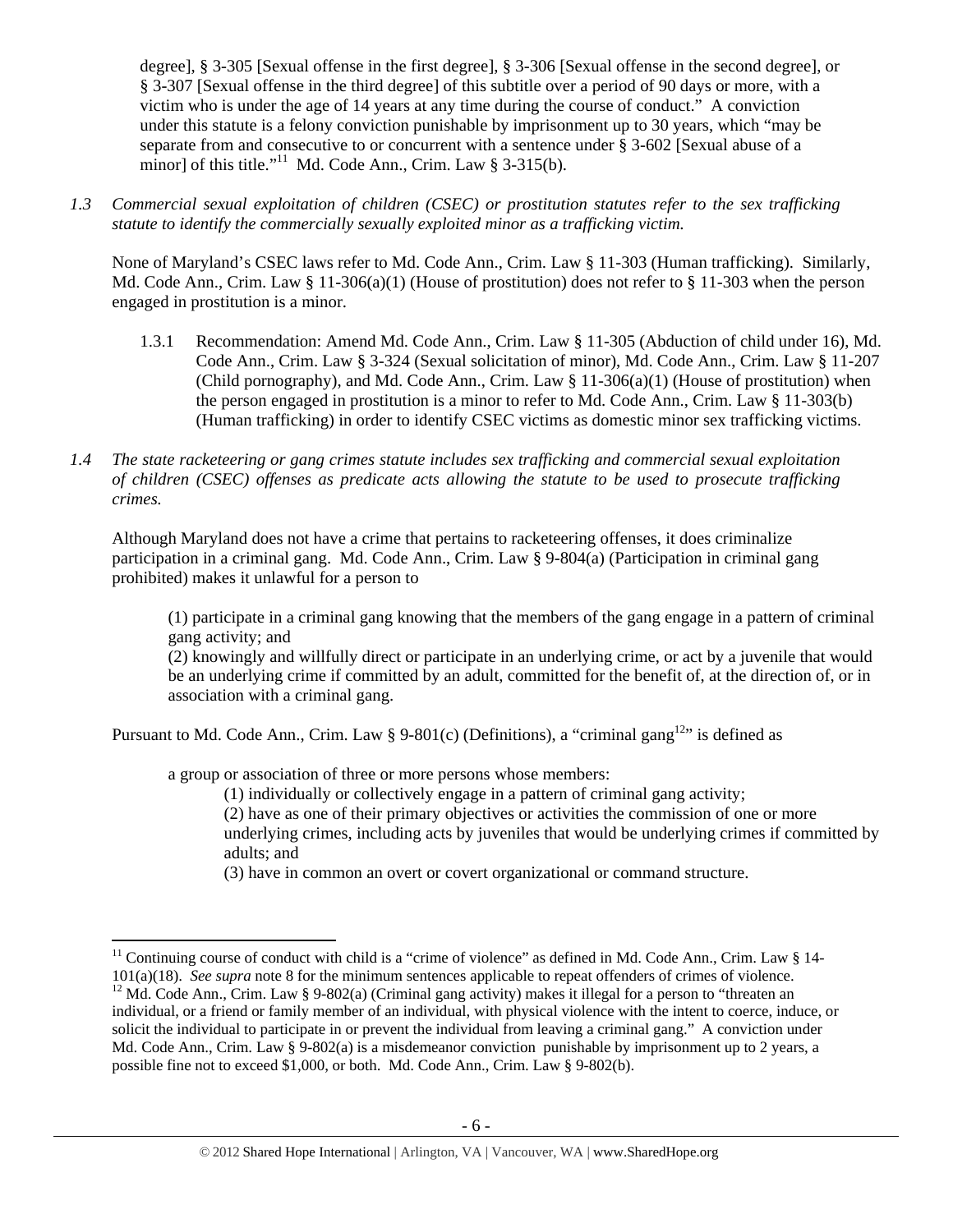degree], § 3-305 [Sexual offense in the first degree], § 3-306 [Sexual offense in the second degree], or § 3-307 [Sexual offense in the third degree] of this subtitle over a period of 90 days or more, with a victim who is under the age of 14 years at any time during the course of conduct." A conviction under this statute is a felony conviction punishable by imprisonment up to 30 years, which "may be separate from and consecutive to or concurrent with a sentence under § 3-602 [Sexual abuse of a minor] of this title."<sup>11</sup> Md. Code Ann., Crim. Law § 3-315(b).

*1.3 Commercial sexual exploitation of children (CSEC) or prostitution statutes refer to the sex trafficking statute to identify the commercially sexually exploited minor as a trafficking victim.* 

None of Maryland's CSEC laws refer to Md. Code Ann., Crim. Law § 11-303 (Human trafficking). Similarly, Md. Code Ann., Crim. Law § 11-306(a)(1) (House of prostitution) does not refer to § 11-303 when the person engaged in prostitution is a minor.

- 1.3.1 Recommendation: Amend Md. Code Ann., Crim. Law § 11-305 (Abduction of child under 16), Md. Code Ann., Crim. Law § 3-324 (Sexual solicitation of minor), Md. Code Ann., Crim. Law § 11-207 (Child pornography), and Md. Code Ann., Crim. Law  $\S 11-306(a)(1)$  (House of prostitution) when the person engaged in prostitution is a minor to refer to Md. Code Ann., Crim. Law § 11-303(b) (Human trafficking) in order to identify CSEC victims as domestic minor sex trafficking victims.
- *1.4 The state racketeering or gang crimes statute includes sex trafficking and commercial sexual exploitation of children (CSEC) offenses as predicate acts allowing the statute to be used to prosecute trafficking crimes.*

Although Maryland does not have a crime that pertains to racketeering offenses, it does criminalize participation in a criminal gang. Md. Code Ann., Crim. Law § 9-804(a) (Participation in criminal gang prohibited) makes it unlawful for a person to

(1) participate in a criminal gang knowing that the members of the gang engage in a pattern of criminal gang activity; and

(2) knowingly and willfully direct or participate in an underlying crime, or act by a juvenile that would be an underlying crime if committed by an adult, committed for the benefit of, at the direction of, or in association with a criminal gang.

Pursuant to Md. Code Ann., Crim. Law § 9-801(c) (Definitions), a "criminal gang<sup>12</sup>" is defined as

a group or association of three or more persons whose members:

(1) individually or collectively engage in a pattern of criminal gang activity;

(2) have as one of their primary objectives or activities the commission of one or more underlying crimes, including acts by juveniles that would be underlying crimes if committed by adults; and

(3) have in common an overt or covert organizational or command structure.

<sup>&</sup>lt;sup>11</sup> Continuing course of conduct with child is a "crime of violence" as defined in Md. Code Ann., Crim. Law § 14-<br>101(a)(18). *See supra* note 8 for the minimum sentences applicable to repeat offenders of crimes of viole <sup>12</sup> Md. Code Ann., Crim. Law § 9-802(a) (Criminal gang activity) makes it illegal for a person to "threaten an individual, or a friend or family member of an individual, with physical violence with the intent to coerce, induce, or solicit the individual to participate in or prevent the individual from leaving a criminal gang." A conviction under Md. Code Ann., Crim. Law § 9-802(a) is a misdemeanor conviction punishable by imprisonment up to 2 years, a possible fine not to exceed \$1,000, or both. Md. Code Ann., Crim. Law § 9-802(b).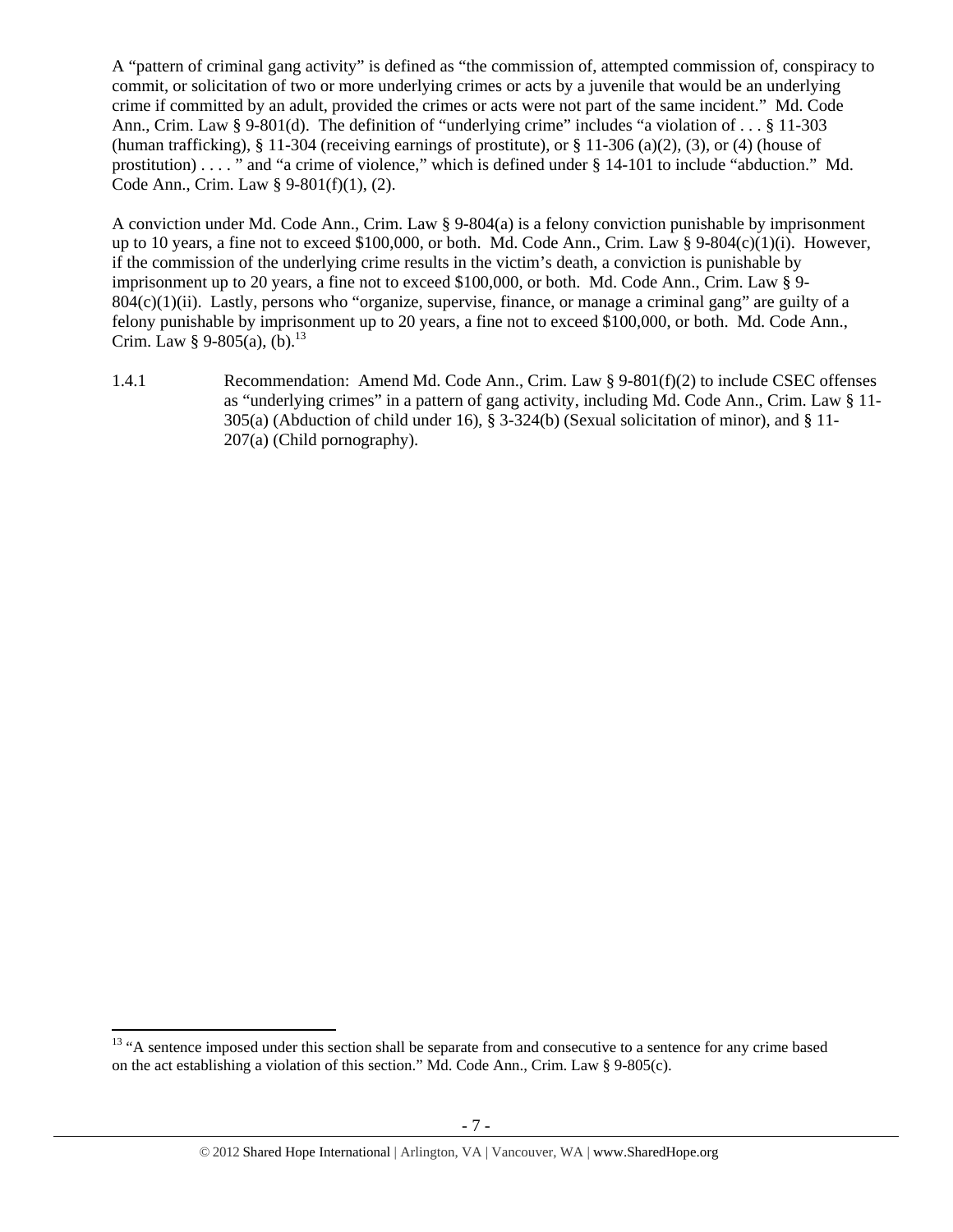A "pattern of criminal gang activity" is defined as "the commission of, attempted commission of, conspiracy to commit, or solicitation of two or more underlying crimes or acts by a juvenile that would be an underlying crime if committed by an adult, provided the crimes or acts were not part of the same incident." Md. Code Ann., Crim. Law § 9-801(d). The definition of "underlying crime" includes "a violation of . . . § 11-303 (human trafficking), § 11-304 (receiving earnings of prostitute), or § 11-306 (a)(2), (3), or (4) (house of prostitution) . . . . " and "a crime of violence," which is defined under § 14-101 to include "abduction." Md. Code Ann., Crim. Law § 9-801(f)(1), (2).

A conviction under Md. Code Ann., Crim. Law § 9-804(a) is a felony conviction punishable by imprisonment up to 10 years, a fine not to exceed \$100,000, or both. Md. Code Ann., Crim. Law § 9-804(c)(1)(i). However, if the commission of the underlying crime results in the victim's death, a conviction is punishable by imprisonment up to 20 years, a fine not to exceed \$100,000, or both. Md. Code Ann., Crim. Law § 9-  $804(c)(1)(ii)$ . Lastly, persons who "organize, supervise, finance, or manage a criminal gang" are guilty of a felony punishable by imprisonment up to 20 years, a fine not to exceed \$100,000, or both. Md. Code Ann., Crim. Law § 9-805(a), (b).<sup>13</sup>

1.4.1 Recommendation: Amend Md. Code Ann., Crim. Law § 9-801(f)(2) to include CSEC offenses as "underlying crimes" in a pattern of gang activity, including Md. Code Ann., Crim. Law § 11- 305(a) (Abduction of child under 16), § 3-324(b) (Sexual solicitation of minor), and § 11-207(a) (Child pornography).

 <sup>13</sup> "A sentence imposed under this section shall be separate from and consecutive to a sentence for any crime based on the act establishing a violation of this section." Md. Code Ann., Crim. Law § 9-805(c).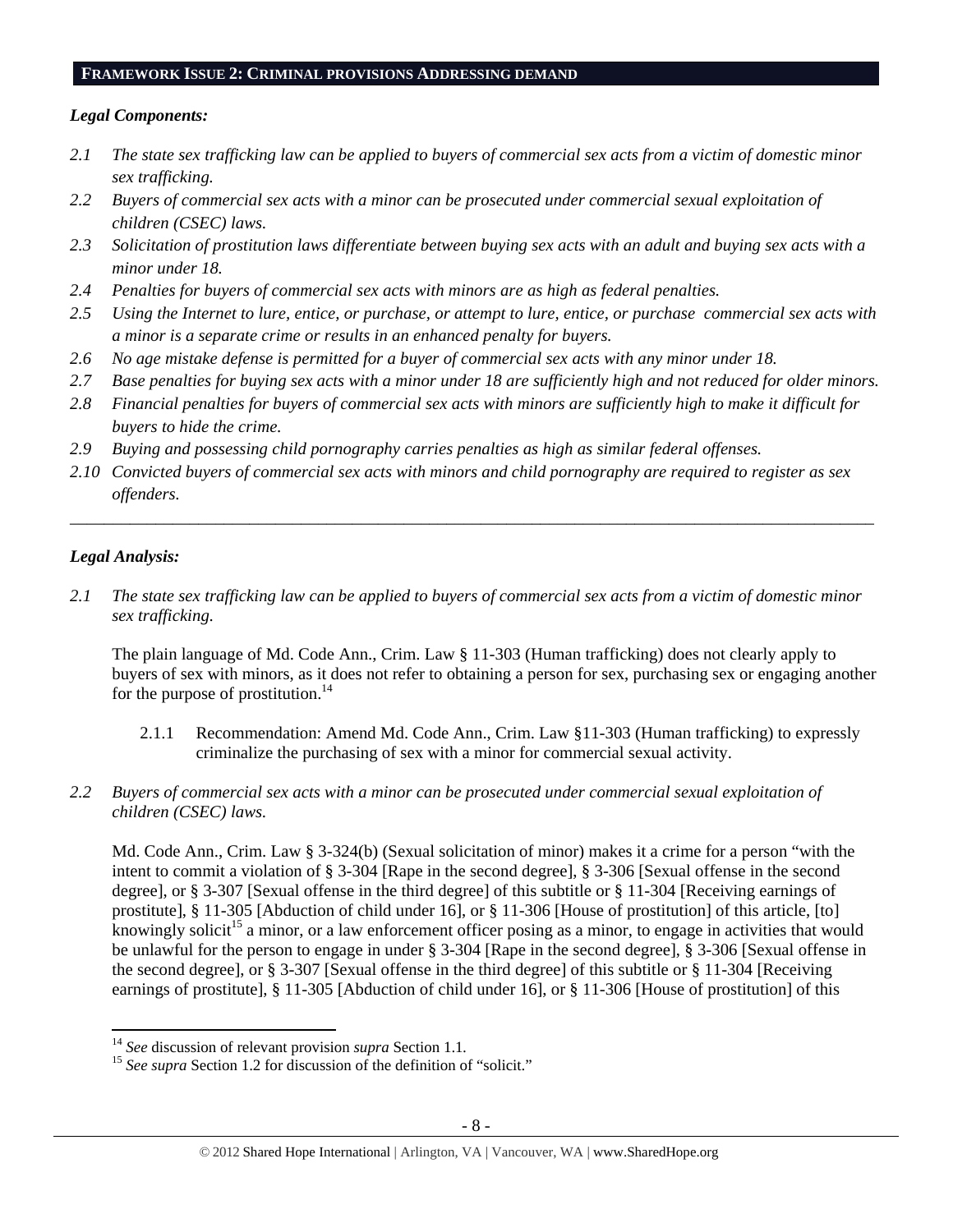#### **FRAMEWORK ISSUE 2: CRIMINAL PROVISIONS ADDRESSING DEMAND**

## *Legal Components:*

- *2.1 The state sex trafficking law can be applied to buyers of commercial sex acts from a victim of domestic minor sex trafficking.*
- *2.2 Buyers of commercial sex acts with a minor can be prosecuted under commercial sexual exploitation of children (CSEC) laws.*
- *2.3 Solicitation of prostitution laws differentiate between buying sex acts with an adult and buying sex acts with a minor under 18.*
- *2.4 Penalties for buyers of commercial sex acts with minors are as high as federal penalties.*
- *2.5 Using the Internet to lure, entice, or purchase, or attempt to lure, entice, or purchase commercial sex acts with a minor is a separate crime or results in an enhanced penalty for buyers.*
- *2.6 No age mistake defense is permitted for a buyer of commercial sex acts with any minor under 18.*
- *2.7 Base penalties for buying sex acts with a minor under 18 are sufficiently high and not reduced for older minors.*
- *2.8 Financial penalties for buyers of commercial sex acts with minors are sufficiently high to make it difficult for buyers to hide the crime.*
- *2.9 Buying and possessing child pornography carries penalties as high as similar federal offenses.*
- *2.10 Convicted buyers of commercial sex acts with minors and child pornography are required to register as sex offenders.*

\_\_\_\_\_\_\_\_\_\_\_\_\_\_\_\_\_\_\_\_\_\_\_\_\_\_\_\_\_\_\_\_\_\_\_\_\_\_\_\_\_\_\_\_\_\_\_\_\_\_\_\_\_\_\_\_\_\_\_\_\_\_\_\_\_\_\_\_\_\_\_\_\_\_\_\_\_\_\_\_\_\_\_\_\_\_\_\_\_\_\_\_\_\_

# *Legal Analysis:*

*2.1 The state sex trafficking law can be applied to buyers of commercial sex acts from a victim of domestic minor sex trafficking.* 

The plain language of Md. Code Ann., Crim. Law § 11-303 (Human trafficking) does not clearly apply to buyers of sex with minors, as it does not refer to obtaining a person for sex, purchasing sex or engaging another for the purpose of prostitution. $^{14}$ 

- 2.1.1 Recommendation: Amend Md. Code Ann., Crim. Law §11-303 (Human trafficking) to expressly criminalize the purchasing of sex with a minor for commercial sexual activity.
- *2.2 Buyers of commercial sex acts with a minor can be prosecuted under commercial sexual exploitation of children (CSEC) laws.*

Md. Code Ann., Crim. Law § 3-324(b) (Sexual solicitation of minor) makes it a crime for a person "with the intent to commit a violation of § 3-304 [Rape in the second degree], § 3-306 [Sexual offense in the second degree], or § 3-307 [Sexual offense in the third degree] of this subtitle or § 11-304 [Receiving earnings of prostitute], § 11-305 [Abduction of child under 16], or § 11-306 [House of prostitution] of this article, [to] knowingly solicit<sup>15</sup> a minor, or a law enforcement officer posing as a minor, to engage in activities that would be unlawful for the person to engage in under § 3-304 [Rape in the second degree], § 3-306 [Sexual offense in the second degree], or § 3-307 [Sexual offense in the third degree] of this subtitle or § 11-304 [Receiving earnings of prostitute], § 11-305 [Abduction of child under 16], or § 11-306 [House of prostitution] of this

<sup>&</sup>lt;sup>14</sup> See discussion of relevant provision *supra* Section 1.1.

<sup>&</sup>lt;sup>15</sup> See supra Section 1.2 for discussion of the definition of "solicit."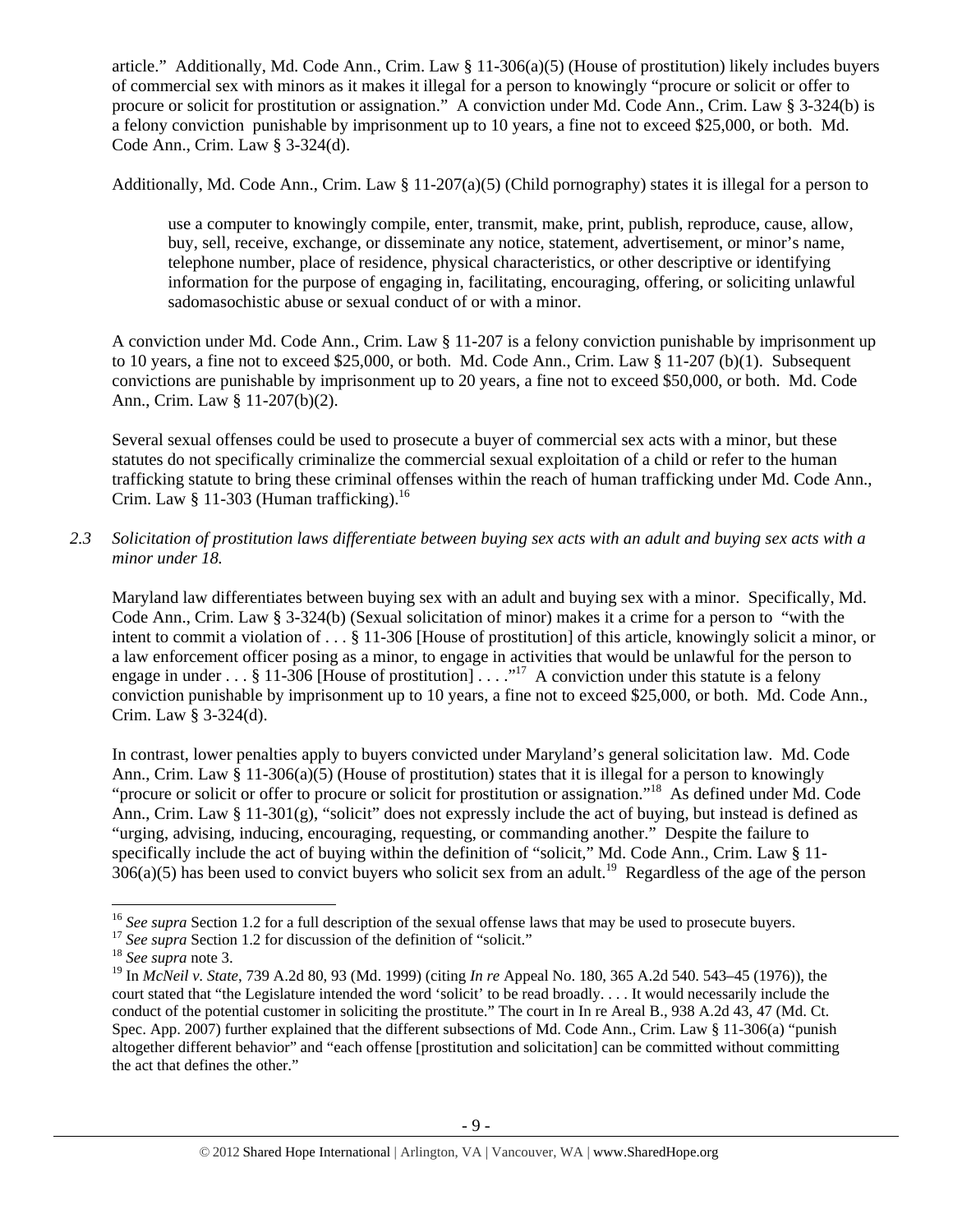article." Additionally, Md. Code Ann., Crim. Law § 11-306(a)(5) (House of prostitution) likely includes buyers of commercial sex with minors as it makes it illegal for a person to knowingly "procure or solicit or offer to procure or solicit for prostitution or assignation." A conviction under Md. Code Ann., Crim. Law § 3-324(b) is a felony conviction punishable by imprisonment up to 10 years, a fine not to exceed \$25,000, or both. Md. Code Ann., Crim. Law § 3-324(d).

Additionally, Md. Code Ann., Crim. Law § 11-207(a)(5) (Child pornography) states it is illegal for a person to

use a computer to knowingly compile, enter, transmit, make, print, publish, reproduce, cause, allow, buy, sell, receive, exchange, or disseminate any notice, statement, advertisement, or minor's name, telephone number, place of residence, physical characteristics, or other descriptive or identifying information for the purpose of engaging in, facilitating, encouraging, offering, or soliciting unlawful sadomasochistic abuse or sexual conduct of or with a minor.

A conviction under Md. Code Ann., Crim. Law § 11-207 is a felony conviction punishable by imprisonment up to 10 years, a fine not to exceed \$25,000, or both. Md. Code Ann., Crim. Law  $\frac{1}{8}$  11-207 (b)(1). Subsequent convictions are punishable by imprisonment up to 20 years, a fine not to exceed \$50,000, or both. Md. Code Ann., Crim. Law § 11-207(b)(2).

Several sexual offenses could be used to prosecute a buyer of commercial sex acts with a minor, but these statutes do not specifically criminalize the commercial sexual exploitation of a child or refer to the human trafficking statute to bring these criminal offenses within the reach of human trafficking under Md. Code Ann., Crim. Law  $§$  11-303 (Human trafficking).<sup>16</sup>

*2.3 Solicitation of prostitution laws differentiate between buying sex acts with an adult and buying sex acts with a minor under 18.* 

Maryland law differentiates between buying sex with an adult and buying sex with a minor. Specifically, Md. Code Ann., Crim. Law § 3-324(b) (Sexual solicitation of minor) makes it a crime for a person to "with the intent to commit a violation of . . . § 11-306 [House of prostitution] of this article, knowingly solicit a minor, or a law enforcement officer posing as a minor, to engage in activities that would be unlawful for the person to engage in under  $\dots$  § 11-306 [House of prostitution]  $\dots$ ."<sup>17</sup> A conviction under this statute is a felony conviction punishable by imprisonment up to 10 years, a fine not to exceed \$25,000, or both. Md. Code Ann., Crim. Law § 3-324(d).

In contrast, lower penalties apply to buyers convicted under Maryland's general solicitation law. Md. Code Ann., Crim. Law  $\S 11-306(a)(5)$  (House of prostitution) states that it is illegal for a person to knowingly "procure or solicit or offer to procure or solicit for prostitution or assignation."<sup>18</sup> As defined under Md. Code Ann., Crim. Law § 11-301(g), "solicit" does not expressly include the act of buying, but instead is defined as "urging, advising, inducing, encouraging, requesting, or commanding another." Despite the failure to specifically include the act of buying within the definition of "solicit," Md. Code Ann., Crim. Law § 11- $306(a)(5)$  has been used to convict buyers who solicit sex from an adult.<sup>19</sup> Regardless of the age of the person

 <sup>16</sup> See supra Section 1.2 for a full description of the sexual offense laws that may be used to prosecute buyers.<br><sup>17</sup> See supra Section 1.2 for discussion of the definition of "solicit."<br><sup>18</sup> See supra note 3.

<sup>19</sup> In *McNeil v. State*, 739 A.2d 80, 93 (Md. 1999) (citing *In re* Appeal No. 180, 365 A.2d 540. 543–45 (1976)), the court stated that "the Legislature intended the word 'solicit' to be read broadly. . . . It would necessarily include the conduct of the potential customer in soliciting the prostitute." The court in In re Areal B., 938 A.2d 43, 47 (Md. Ct. Spec. App. 2007) further explained that the different subsections of Md. Code Ann., Crim. Law § 11-306(a) "punish altogether different behavior" and "each offense [prostitution and solicitation] can be committed without committing the act that defines the other."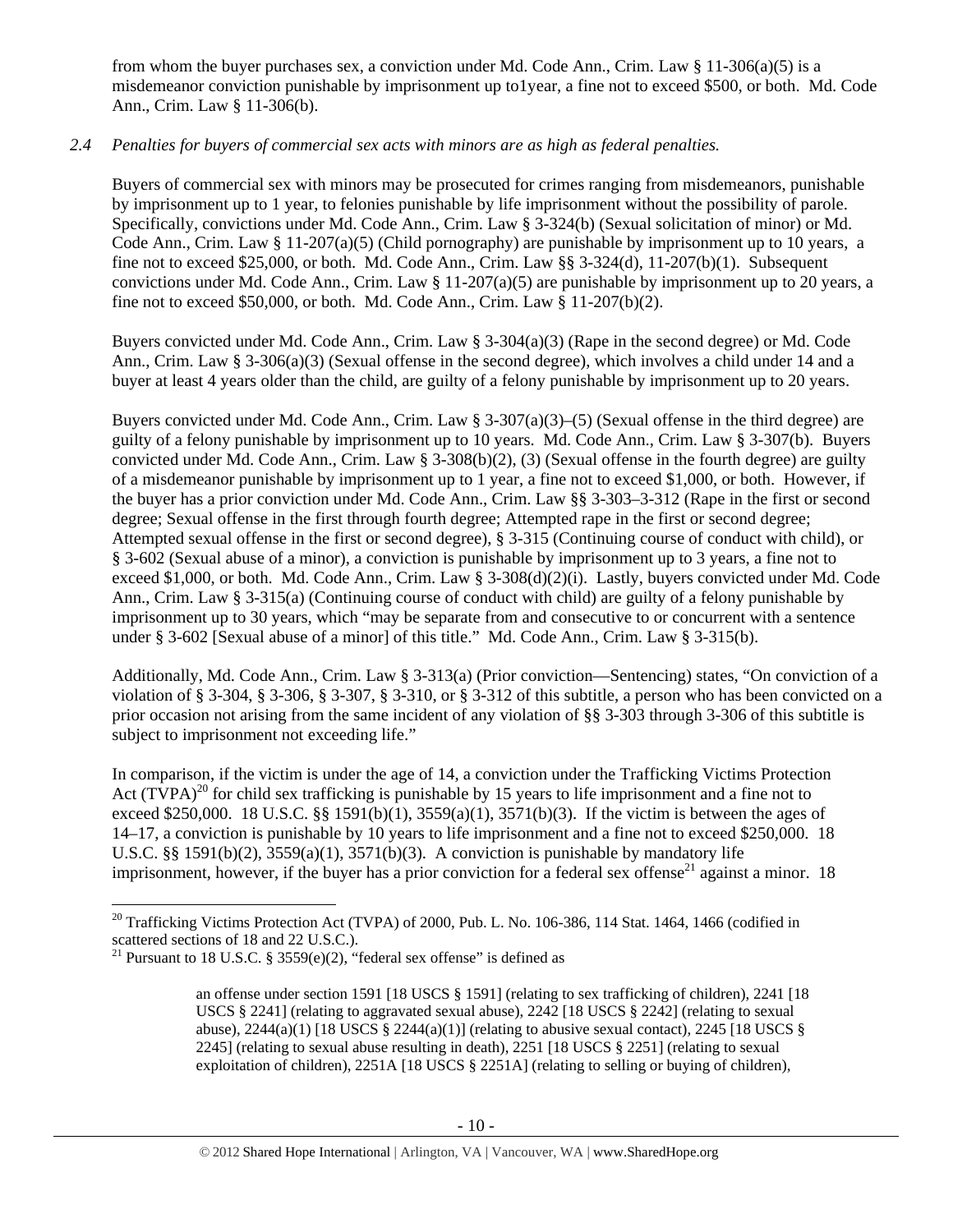from whom the buyer purchases sex, a conviction under Md. Code Ann., Crim. Law § 11-306(a)(5) is a misdemeanor conviction punishable by imprisonment up to1year, a fine not to exceed \$500, or both. Md. Code Ann., Crim. Law § 11-306(b).

# *2.4 Penalties for buyers of commercial sex acts with minors are as high as federal penalties.*

Buyers of commercial sex with minors may be prosecuted for crimes ranging from misdemeanors, punishable by imprisonment up to 1 year, to felonies punishable by life imprisonment without the possibility of parole. Specifically, convictions under Md. Code Ann., Crim. Law § 3-324(b) (Sexual solicitation of minor) or Md. Code Ann., Crim. Law  $\S 11-207(a)(5)$  (Child pornography) are punishable by imprisonment up to 10 years, a fine not to exceed \$25,000, or both. Md. Code Ann., Crim. Law §§ 3-324(d), 11-207(b)(1). Subsequent convictions under Md. Code Ann., Crim. Law § 11-207(a)(5) are punishable by imprisonment up to 20 years, a fine not to exceed \$50,000, or both. Md. Code Ann., Crim. Law  $\S 11-207(b)(2)$ .

Buyers convicted under Md. Code Ann., Crim. Law § 3-304(a)(3) (Rape in the second degree) or Md. Code Ann., Crim. Law § 3-306(a)(3) (Sexual offense in the second degree), which involves a child under 14 and a buyer at least 4 years older than the child, are guilty of a felony punishable by imprisonment up to 20 years.

Buyers convicted under Md. Code Ann., Crim. Law  $\S 3-307(a)(3)$ –(5) (Sexual offense in the third degree) are guilty of a felony punishable by imprisonment up to 10 years. Md. Code Ann., Crim. Law § 3-307(b). Buyers convicted under Md. Code Ann., Crim. Law § 3-308(b)(2), (3) (Sexual offense in the fourth degree) are guilty of a misdemeanor punishable by imprisonment up to 1 year, a fine not to exceed \$1,000, or both. However, if the buyer has a prior conviction under Md. Code Ann., Crim. Law §§ 3-303–3-312 (Rape in the first or second degree; Sexual offense in the first through fourth degree; Attempted rape in the first or second degree; Attempted sexual offense in the first or second degree), § 3-315 (Continuing course of conduct with child), or § 3-602 (Sexual abuse of a minor), a conviction is punishable by imprisonment up to 3 years, a fine not to exceed \$1,000, or both. Md. Code Ann., Crim. Law § 3-308(d)(2)(i). Lastly, buyers convicted under Md. Code Ann., Crim. Law § 3-315(a) (Continuing course of conduct with child) are guilty of a felony punishable by imprisonment up to 30 years, which "may be separate from and consecutive to or concurrent with a sentence under § 3-602 [Sexual abuse of a minor] of this title." Md. Code Ann., Crim. Law § 3-315(b).

Additionally, Md. Code Ann., Crim. Law § 3-313(a) (Prior conviction—Sentencing) states, "On conviction of a violation of § 3-304, § 3-306, § 3-307, § 3-310, or § 3-312 of this subtitle, a person who has been convicted on a prior occasion not arising from the same incident of any violation of §§ 3-303 through 3-306 of this subtitle is subject to imprisonment not exceeding life."

In comparison, if the victim is under the age of 14, a conviction under the Trafficking Victims Protection Act  $(TVPA)^{20}$  for child sex trafficking is punishable by 15 years to life imprisonment and a fine not to exceed \$250,000. 18 U.S.C. §§ 1591(b)(1), 3559(a)(1), 3571(b)(3). If the victim is between the ages of 14–17, a conviction is punishable by 10 years to life imprisonment and a fine not to exceed \$250,000. 18 U.S.C. §§ 1591(b)(2),  $3559(a)(1)$ ,  $3571(b)(3)$ . A conviction is punishable by mandatory life imprisonment, however, if the buyer has a prior conviction for a federal sex offense<sup>21</sup> against a minor. 18

 $20$  Trafficking Victims Protection Act (TVPA) of 2000, Pub. L. No. 106-386, 114 Stat. 1464, 1466 (codified in scattered sections of 18 and 22 U.S.C.).

<sup>&</sup>lt;sup>21</sup> Pursuant to 18 U.S.C. § 3559(e)(2), "federal sex offense" is defined as

an offense under section 1591 [18 USCS § 1591] (relating to sex trafficking of children), 2241 [18 USCS § 2241] (relating to aggravated sexual abuse), 2242 [18 USCS § 2242] (relating to sexual abuse),  $2244(a)(1)$  [18 USCS §  $2244(a)(1)$ ] (relating to abusive sexual contact),  $2245$  [18 USCS § 2245] (relating to sexual abuse resulting in death), 2251 [18 USCS § 2251] (relating to sexual exploitation of children), 2251A [18 USCS § 2251A] (relating to selling or buying of children),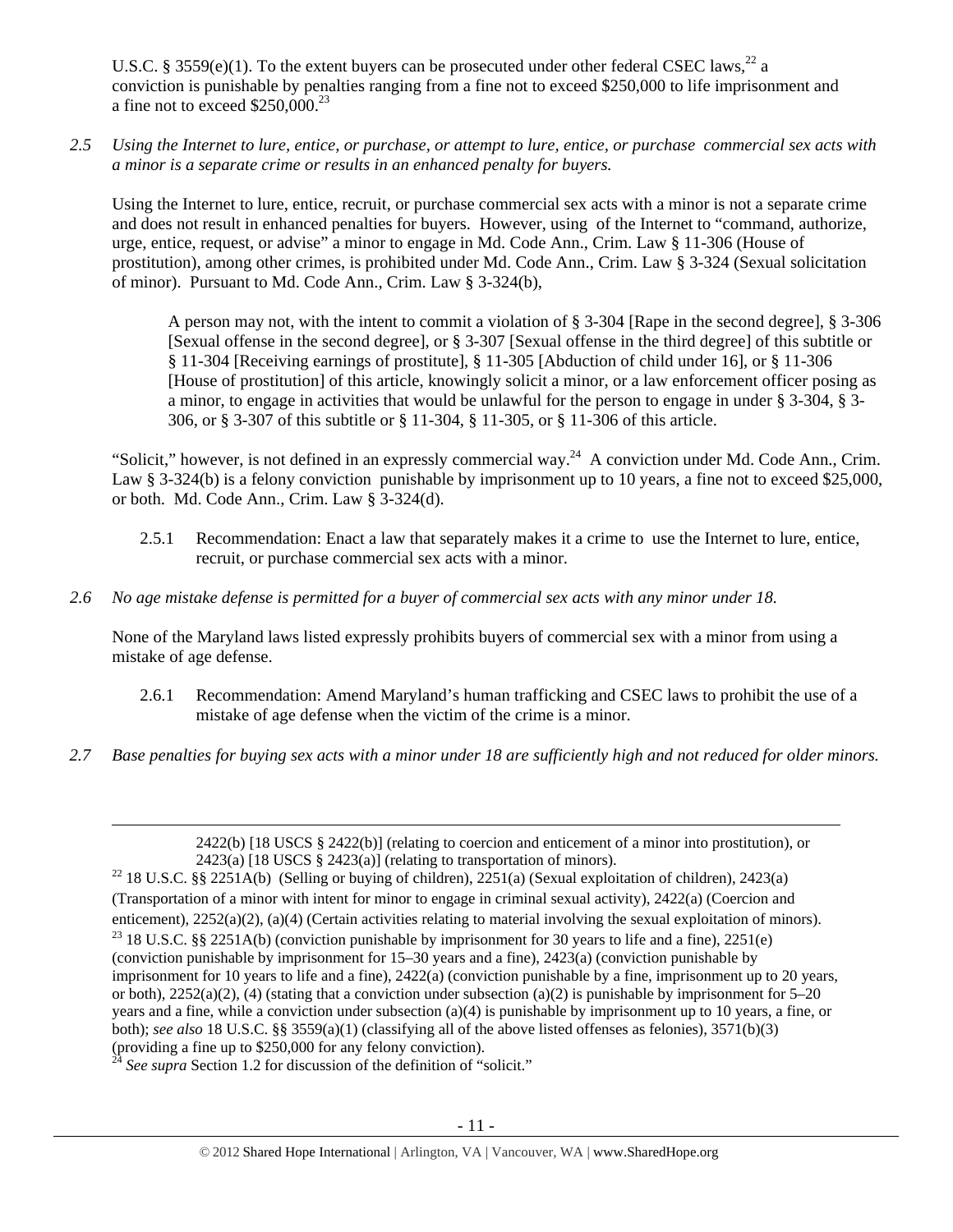U.S.C. § 3559(e)(1). To the extent buyers can be prosecuted under other federal CSEC laws,<sup>22</sup> a conviction is punishable by penalties ranging from a fine not to exceed \$250,000 to life imprisonment and a fine not to exceed  $$250,000.<sup>23</sup>$ 

*2.5 Using the Internet to lure, entice, or purchase, or attempt to lure, entice, or purchase commercial sex acts with a minor is a separate crime or results in an enhanced penalty for buyers.* 

Using the Internet to lure, entice, recruit, or purchase commercial sex acts with a minor is not a separate crime and does not result in enhanced penalties for buyers. However, using of the Internet to "command, authorize, urge, entice, request, or advise" a minor to engage in Md. Code Ann., Crim. Law § 11-306 (House of prostitution), among other crimes, is prohibited under Md. Code Ann., Crim. Law § 3-324 (Sexual solicitation of minor). Pursuant to Md. Code Ann., Crim. Law § 3-324(b),

A person may not, with the intent to commit a violation of § 3-304 [Rape in the second degree], § 3-306 [Sexual offense in the second degree], or § 3-307 [Sexual offense in the third degree] of this subtitle or § 11-304 [Receiving earnings of prostitute], § 11-305 [Abduction of child under 16], or § 11-306 [House of prostitution] of this article, knowingly solicit a minor, or a law enforcement officer posing as a minor, to engage in activities that would be unlawful for the person to engage in under § 3-304, § 3- 306, or § 3-307 of this subtitle or § 11-304, § 11-305, or § 11-306 of this article.

"Solicit," however, is not defined in an expressly commercial way.<sup>24</sup> A conviction under Md. Code Ann., Crim. Law § 3-324(b) is a felony conviction punishable by imprisonment up to 10 years, a fine not to exceed \$25,000, or both. Md. Code Ann., Crim. Law § 3-324(d).

- 2.5.1 Recommendation: Enact a law that separately makes it a crime to use the Internet to lure, entice, recruit, or purchase commercial sex acts with a minor.
- *2.6 No age mistake defense is permitted for a buyer of commercial sex acts with any minor under 18.*

None of the Maryland laws listed expressly prohibits buyers of commercial sex with a minor from using a mistake of age defense.

- 2.6.1 Recommendation: Amend Maryland's human trafficking and CSEC laws to prohibit the use of a mistake of age defense when the victim of the crime is a minor.
- *2.7 Base penalties for buying sex acts with a minor under 18 are sufficiently high and not reduced for older minors.*

<u> Andrewski politika (za obrazu za obrazu za obrazu za obrazu za obrazu za obrazu za obrazu za obrazu za obrazu</u>

 $2422(b)$  [18 USCS §  $2422(b)$ ] (relating to coercion and enticement of a minor into prostitution), or 2423(a) [18 USCS § 2423(a)] (relating to transportation of minors).<br><sup>22</sup> 18 U.S.C. §§ 2251A(b) (Selling or buying of children), 2251(a) (Sexual exploitation of children), 2423(a)

<sup>(</sup>Transportation of a minor with intent for minor to engage in criminal sexual activity), 2422(a) (Coercion and enticement),  $2252(a)(2)$ ,  $(a)(4)$  (Certain activities relating to material involving the sexual exploitation of minors). <sup>23</sup> 18 U.S.C. §§ 2251A(b) (conviction punishable by imprisonment for 30 years to life and a fine), 22 (conviction punishable by imprisonment for 15–30 years and a fine), 2423(a) (conviction punishable by imprisonment for 10 years to life and a fine), 2422(a) (conviction punishable by a fine, imprisonment up to 20 years, or both),  $2252(a)(2)$ , (4) (stating that a conviction under subsection (a)(2) is punishable by imprisonment for 5–20 years and a fine, while a conviction under subsection (a)(4) is punishable by imprisonment up to 10 years, a fine, or both); *see also* 18 U.S.C. §§ 3559(a)(1) (classifying all of the above listed offenses as felonies), 3571(b)(3) (providing a fine up to \$250,000 for any felony conviction).

 $^{24}$  *See supra* Section 1.2 for discussion of the definition of "solicit."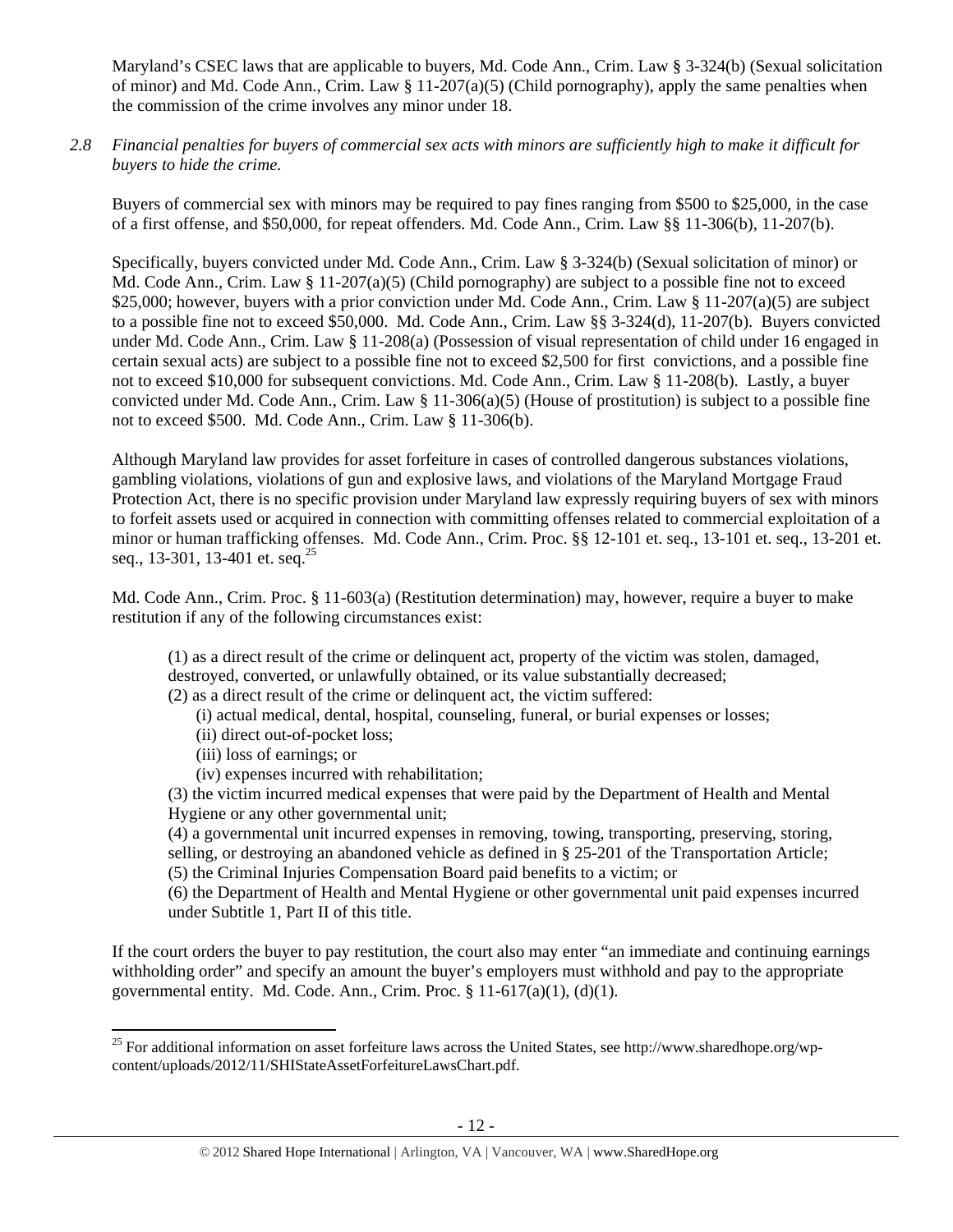Maryland's CSEC laws that are applicable to buyers, Md. Code Ann., Crim. Law § 3-324(b) (Sexual solicitation of minor) and Md. Code Ann., Crim. Law § 11-207(a)(5) (Child pornography), apply the same penalties when the commission of the crime involves any minor under 18.

*2.8 Financial penalties for buyers of commercial sex acts with minors are sufficiently high to make it difficult for buyers to hide the crime.* 

Buyers of commercial sex with minors may be required to pay fines ranging from \$500 to \$25,000, in the case of a first offense, and \$50,000, for repeat offenders. Md. Code Ann., Crim. Law §§ 11-306(b), 11-207(b).

Specifically, buyers convicted under Md. Code Ann., Crim. Law § 3-324(b) (Sexual solicitation of minor) or Md. Code Ann., Crim. Law  $\S 11-207(a)(5)$  (Child pornography) are subject to a possible fine not to exceed \$25,000; however, buyers with a prior conviction under Md. Code Ann., Crim. Law § 11-207(a)(5) are subject to a possible fine not to exceed \$50,000. Md. Code Ann., Crim. Law §§ 3-324(d), 11-207(b). Buyers convicted under Md. Code Ann., Crim. Law § 11-208(a) (Possession of visual representation of child under 16 engaged in certain sexual acts) are subject to a possible fine not to exceed \$2,500 for first convictions, and a possible fine not to exceed \$10,000 for subsequent convictions. Md. Code Ann., Crim. Law § 11-208(b). Lastly, a buyer convicted under Md. Code Ann., Crim. Law  $\S 11-306(a)(5)$  (House of prostitution) is subject to a possible fine not to exceed \$500. Md. Code Ann., Crim. Law § 11-306(b).

Although Maryland law provides for asset forfeiture in cases of controlled dangerous substances violations, gambling violations, violations of gun and explosive laws, and violations of the Maryland Mortgage Fraud Protection Act, there is no specific provision under Maryland law expressly requiring buyers of sex with minors to forfeit assets used or acquired in connection with committing offenses related to commercial exploitation of a minor or human trafficking offenses. Md. Code Ann., Crim. Proc. §§ 12-101 et. seq., 13-101 et. seq., 13-201 et. seq., 13-301, 13-401 et. seq.<sup>25</sup>

Md. Code Ann., Crim. Proc. § 11-603(a) (Restitution determination) may, however, require a buyer to make restitution if any of the following circumstances exist:

(1) as a direct result of the crime or delinquent act, property of the victim was stolen, damaged, destroyed, converted, or unlawfully obtained, or its value substantially decreased;

(2) as a direct result of the crime or delinquent act, the victim suffered:

- (i) actual medical, dental, hospital, counseling, funeral, or burial expenses or losses;
- (ii) direct out-of-pocket loss;
- (iii) loss of earnings; or
- (iv) expenses incurred with rehabilitation;

(3) the victim incurred medical expenses that were paid by the Department of Health and Mental Hygiene or any other governmental unit;

(4) a governmental unit incurred expenses in removing, towing, transporting, preserving, storing, selling, or destroying an abandoned vehicle as defined in § 25-201 of the Transportation Article; (5) the Criminal Injuries Compensation Board paid benefits to a victim; or

(6) the Department of Health and Mental Hygiene or other governmental unit paid expenses incurred under Subtitle 1, Part II of this title.

If the court orders the buyer to pay restitution, the court also may enter "an immediate and continuing earnings withholding order" and specify an amount the buyer's employers must withhold and pay to the appropriate governmental entity. Md. Code. Ann., Crim. Proc.  $\S 11-617(a)(1)$ ,  $(d)(1)$ .

 <sup>25</sup> For additional information on asset forfeiture laws across the United States, see http://www.sharedhope.org/wpcontent/uploads/2012/11/SHIStateAssetForfeitureLawsChart.pdf.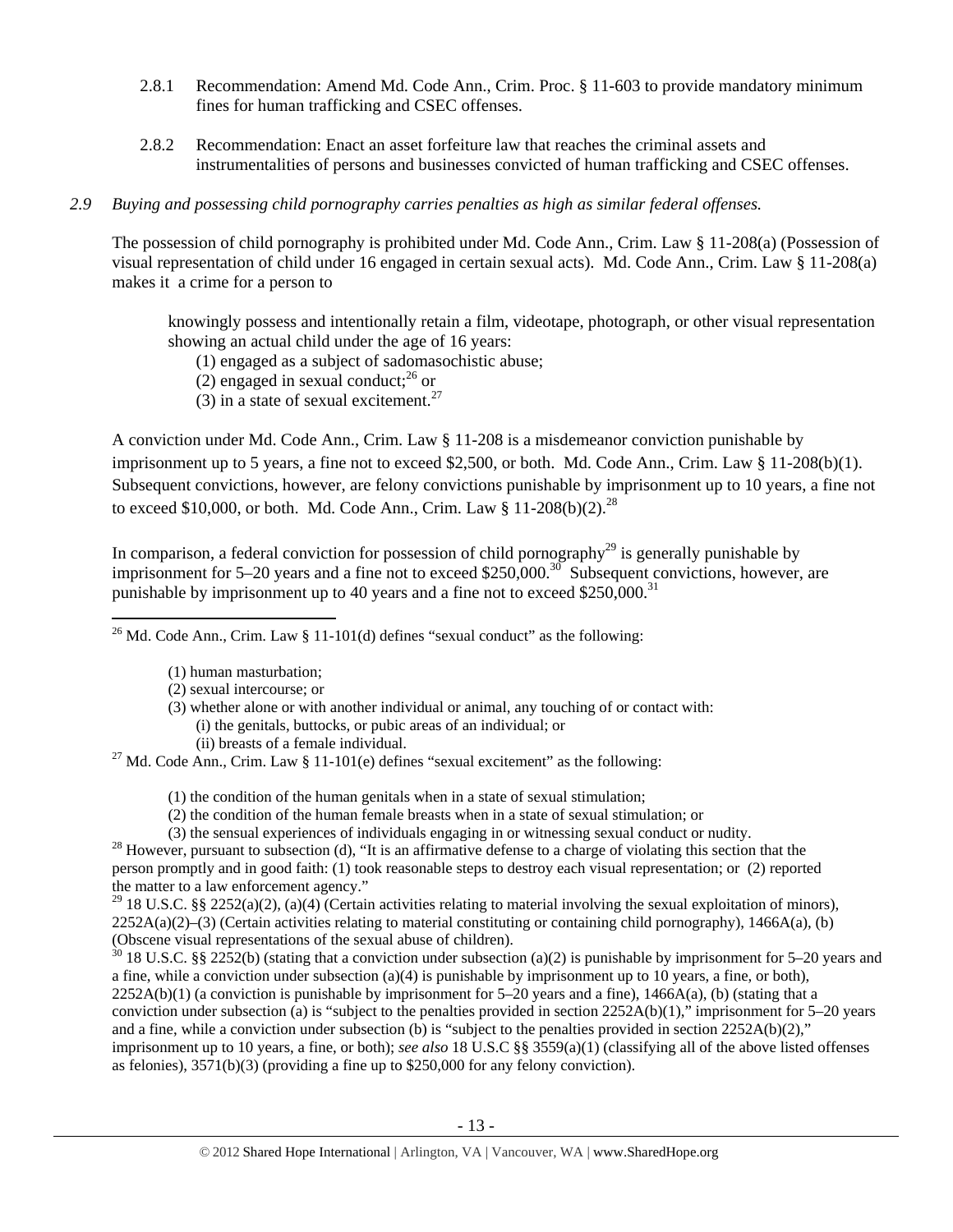- 2.8.1 Recommendation: Amend Md. Code Ann., Crim. Proc. § 11-603 to provide mandatory minimum fines for human trafficking and CSEC offenses.
- 2.8.2 Recommendation: Enact an asset forfeiture law that reaches the criminal assets and instrumentalities of persons and businesses convicted of human trafficking and CSEC offenses.

# *2.9 Buying and possessing child pornography carries penalties as high as similar federal offenses.*

The possession of child pornography is prohibited under Md. Code Ann., Crim. Law § 11-208(a) (Possession of visual representation of child under 16 engaged in certain sexual acts). Md. Code Ann., Crim. Law § 11-208(a) makes it a crime for a person to

knowingly possess and intentionally retain a film, videotape, photograph, or other visual representation showing an actual child under the age of 16 years:

- (1) engaged as a subject of sadomasochistic abuse;
- (2) engaged in sexual conduct; $^{26}$  or
- (3) in a state of sexual excitement.<sup>27</sup>

A conviction under Md. Code Ann., Crim. Law § 11-208 is a misdemeanor conviction punishable by imprisonment up to 5 years, a fine not to exceed \$2,500, or both. Md. Code Ann., Crim. Law § 11-208(b)(1). Subsequent convictions, however, are felony convictions punishable by imprisonment up to 10 years, a fine not to exceed \$10,000, or both. Md. Code Ann., Crim. Law  $§$  11-208(b)(2).<sup>28</sup>

In comparison, a federal conviction for possession of child pornography<sup>29</sup> is generally punishable by imprisonment for 5–20 years and a fine not to exceed \$250,000.<sup>30</sup> Subsequent convictions, however, are punishable by imprisonment up to 40 years and a fine not to exceed  $$250,000$ .<sup>31</sup>

 <sup>26</sup> Md. Code Ann., Crim. Law § 11-101(d) defines "sexual conduct" as the following:

- (1) human masturbation;
- (2) sexual intercourse; or
- (3) whether alone or with another individual or animal, any touching of or contact with: (i) the genitals, buttocks, or pubic areas of an individual; or
	-

(ii) breasts of a female individual.<br><sup>27</sup> Md. Code Ann., Crim. Law § 11-101(e) defines "sexual excitement" as the following:

- (1) the condition of the human genitals when in a state of sexual stimulation;
- (2) the condition of the human female breasts when in a state of sexual stimulation; or
- 

(3) the sensual experiences of individuals engaging in or witnessing sexual conduct or nudity.<br><sup>28</sup> However, pursuant to subsection (d), "It is an affirmative defense to a charge of violating this section that the person promptly and in good faith: (1) took reasonable steps to destroy each visual representation; or (2) reported the matter to a law enforcement agency."

<sup>29</sup> 18 U.S.C. §§ 2252(a)(2), (a)(4) (Certain activities relating to material involving the sexual exploitation of minors),  $2252A(a)(2)$ –(3) (Certain activities relating to material constituting or containing child pornography), 1466A(a), (b) (Obscene visual representations of the sexual abuse of children).

 $30\,$  18 U.S.C. §§ 2252(b) (stating that a conviction under subsection (a)(2) is punishable by imprisonment for 5–20 years and a fine, while a conviction under subsection (a)(4) is punishable by imprisonment up to 10 years, a fine, or both),  $2252A(b)(1)$  (a conviction is punishable by imprisonment for 5–20 years and a fine),  $1466A(a)$ , (b) (stating that a conviction under subsection (a) is "subject to the penalties provided in section  $2252A(b)(1)$ ," imprisonment for  $5-20$  years and a fine, while a conviction under subsection (b) is "subject to the penalties provided in section  $2252A(b)(2)$ ," imprisonment up to 10 years, a fine, or both); *see also* 18 U.S.C §§ 3559(a)(1) (classifying all of the above listed offenses as felonies), 3571(b)(3) (providing a fine up to \$250,000 for any felony conviction).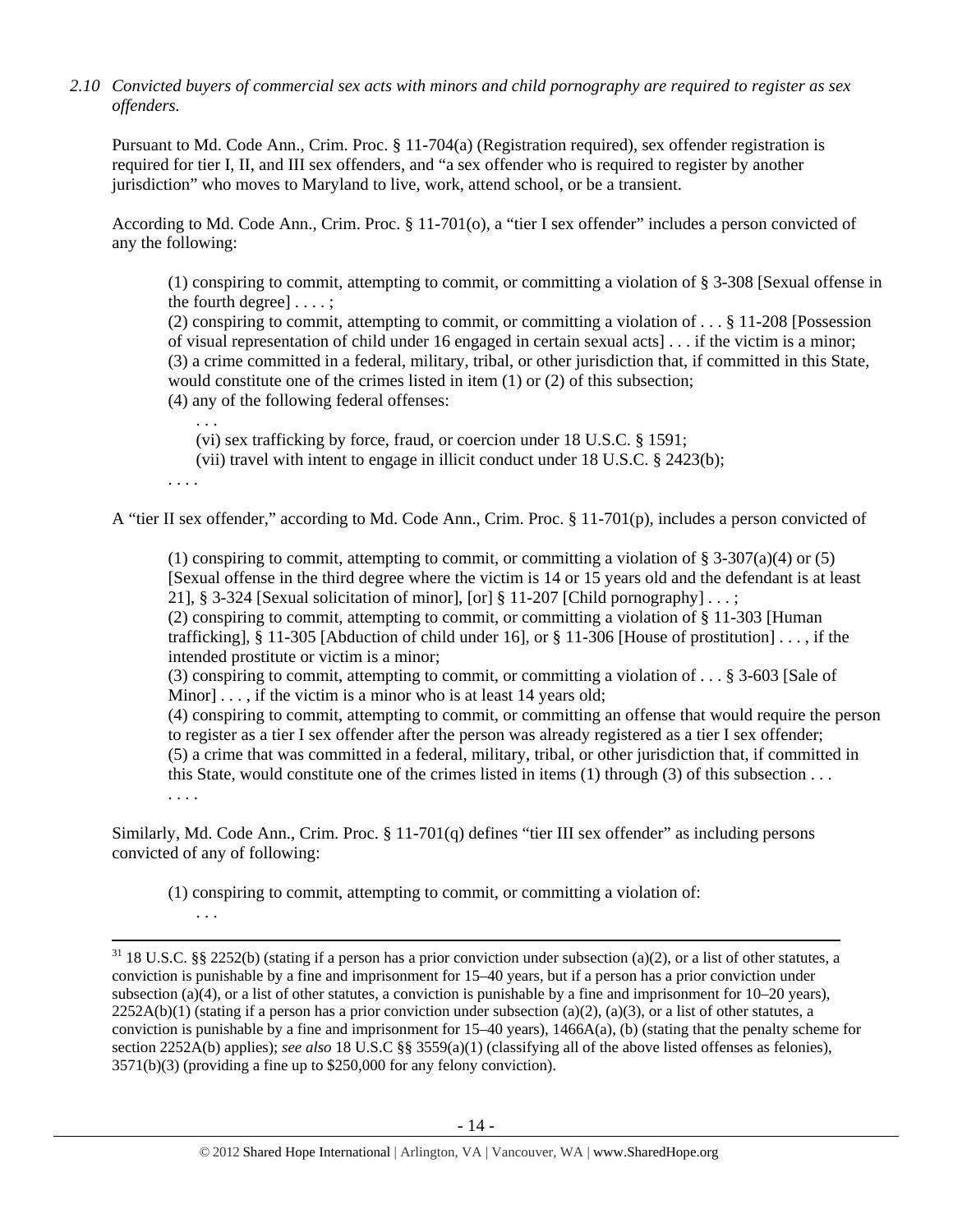*2.10 Convicted buyers of commercial sex acts with minors and child pornography are required to register as sex offenders.*

Pursuant to Md. Code Ann., Crim. Proc. § 11-704(a) (Registration required), sex offender registration is required for tier I, II, and III sex offenders, and "a sex offender who is required to register by another jurisdiction" who moves to Maryland to live, work, attend school, or be a transient.

According to Md. Code Ann., Crim. Proc. § 11-701(o), a "tier I sex offender" includes a person convicted of any the following:

(1) conspiring to commit, attempting to commit, or committing a violation of § 3-308 [Sexual offense in the fourth degree] . . . . ;

(2) conspiring to commit, attempting to commit, or committing a violation of . . . § 11-208 [Possession of visual representation of child under 16 engaged in certain sexual acts] . . . if the victim is a minor; (3) a crime committed in a federal, military, tribal, or other jurisdiction that, if committed in this State, would constitute one of the crimes listed in item (1) or (2) of this subsection;

(4) any of the following federal offenses:

(vi) sex trafficking by force, fraud, or coercion under 18 U.S.C. § 1591;

(vii) travel with intent to engage in illicit conduct under 18 U.S.C. § 2423(b);

. . . .

. . .

. . .

A "tier II sex offender," according to Md. Code Ann., Crim. Proc. § 11-701(p), includes a person convicted of

(1) conspiring to commit, attempting to commit, or committing a violation of  $\S 3-307(a)(4)$  or (5) [Sexual offense in the third degree where the victim is 14 or 15 years old and the defendant is at least 21], § 3-324 [Sexual solicitation of minor], [or] § 11-207 [Child pornography]  $\dots$ ;

(2) conspiring to commit, attempting to commit, or committing a violation of § 11-303 [Human trafficking], § 11-305 [Abduction of child under 16], or § 11-306 [House of prostitution] . . . , if the intended prostitute or victim is a minor;

(3) conspiring to commit, attempting to commit, or committing a violation of . . . § 3-603 [Sale of Minor] . . . , if the victim is a minor who is at least 14 years old;

(4) conspiring to commit, attempting to commit, or committing an offense that would require the person to register as a tier I sex offender after the person was already registered as a tier I sex offender; (5) a crime that was committed in a federal, military, tribal, or other jurisdiction that, if committed in this State, would constitute one of the crimes listed in items (1) through (3) of this subsection . . . . . . .

Similarly, Md. Code Ann., Crim. Proc. § 11-701(q) defines "tier III sex offender" as including persons convicted of any of following:

(1) conspiring to commit, attempting to commit, or committing a violation of:

 $31$  18 U.S.C. §§ 2252(b) (stating if a person has a prior conviction under subsection (a)(2), or a list of other statutes, a conviction is punishable by a fine and imprisonment for 15–40 years, but if a person has a prior conviction under subsection (a)(4), or a list of other statutes, a conviction is punishable by a fine and imprisonment for  $10-20$  years),  $2252A(b)(1)$  (stating if a person has a prior conviction under subsection (a)(2), (a)(3), or a list of other statutes, a conviction is punishable by a fine and imprisonment for  $15-40$  years),  $1466A(a)$ , (b) (stating that the penalty scheme for section 2252A(b) applies); *see also* 18 U.S.C §§ 3559(a)(1) (classifying all of the above listed offenses as felonies), 3571(b)(3) (providing a fine up to \$250,000 for any felony conviction).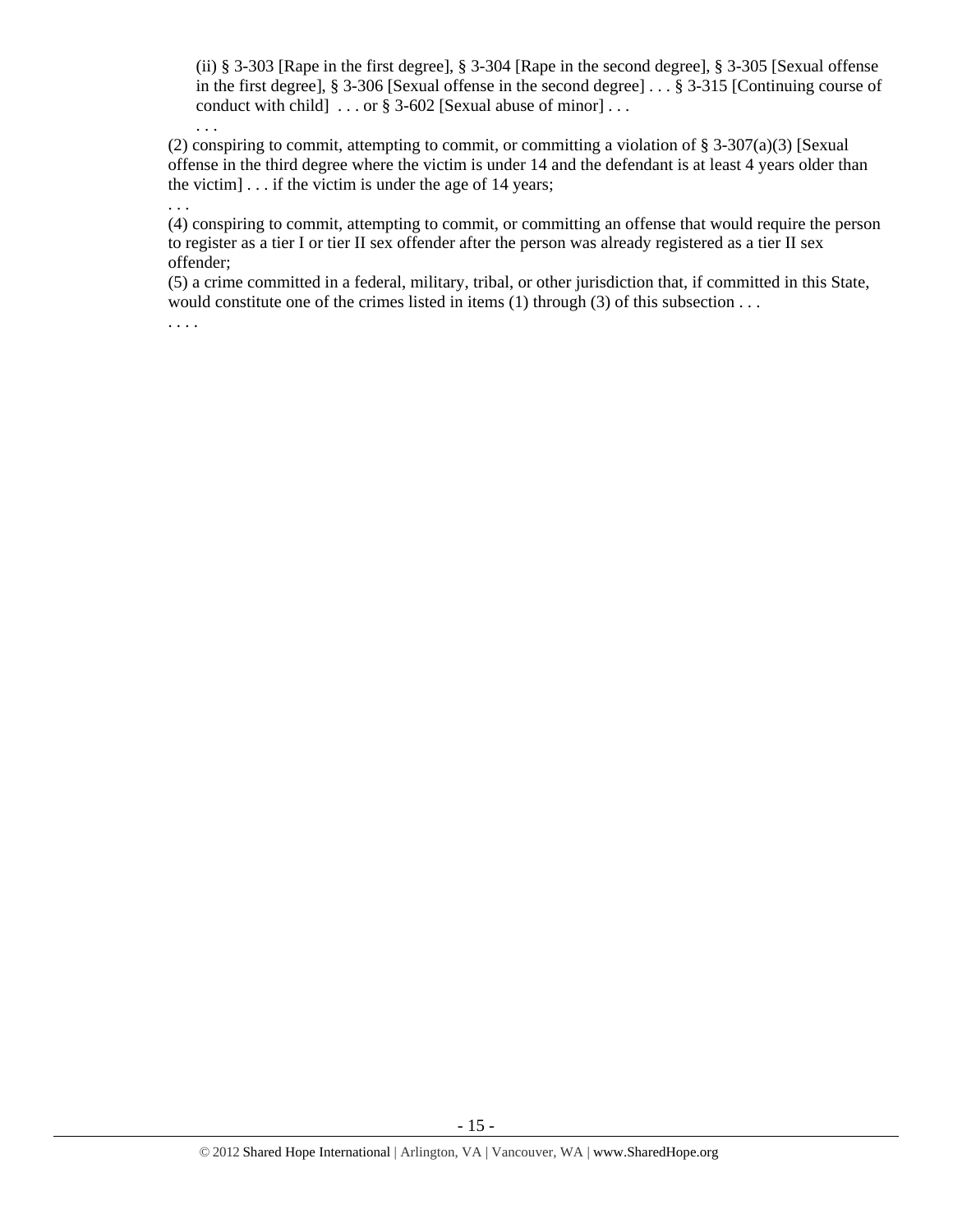(ii) § 3-303 [Rape in the first degree], § 3-304 [Rape in the second degree], § 3-305 [Sexual offense in the first degree], § 3-306 [Sexual offense in the second degree] . . . § 3-315 [Continuing course of conduct with child  $\ldots$  or § 3-602 [Sexual abuse of minor]...

(2) conspiring to commit, attempting to commit, or committing a violation of § 3-307(a)(3) [Sexual offense in the third degree where the victim is under 14 and the defendant is at least 4 years older than the victim]  $\ldots$  if the victim is under the age of 14 years;

. . .

. . .

(4) conspiring to commit, attempting to commit, or committing an offense that would require the person to register as a tier I or tier II sex offender after the person was already registered as a tier II sex offender;

(5) a crime committed in a federal, military, tribal, or other jurisdiction that, if committed in this State, would constitute one of the crimes listed in items (1) through (3) of this subsection . . .

. . . .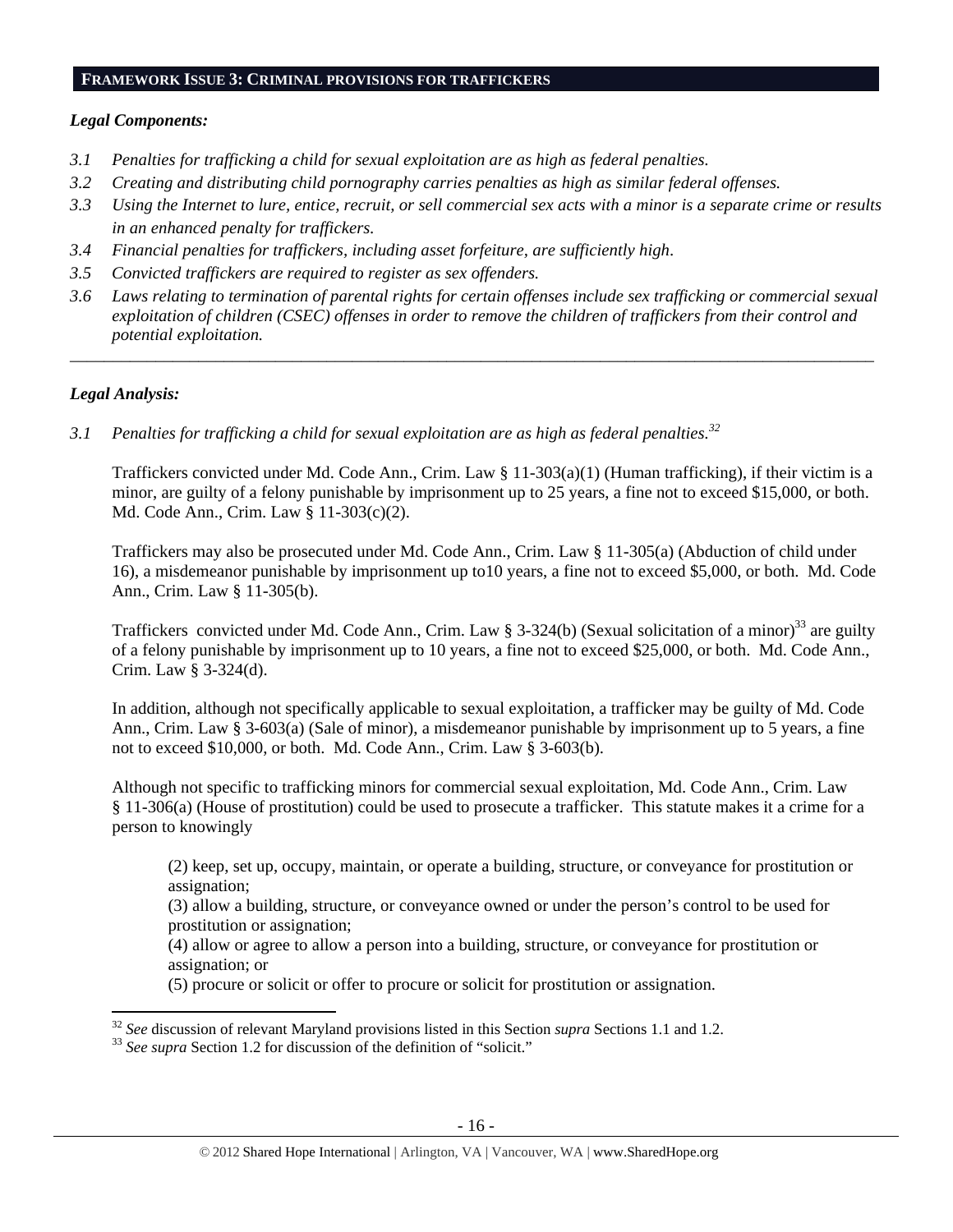# **FRAMEWORK ISSUE 3: CRIMINAL PROVISIONS FOR TRAFFICKERS**

## *Legal Components:*

- *3.1 Penalties for trafficking a child for sexual exploitation are as high as federal penalties.*
- *3.2 Creating and distributing child pornography carries penalties as high as similar federal offenses.*
- *3.3 Using the Internet to lure, entice, recruit, or sell commercial sex acts with a minor is a separate crime or results in an enhanced penalty for traffickers.*
- *3.4 Financial penalties for traffickers, including asset forfeiture, are sufficiently high*.
- *3.5 Convicted traffickers are required to register as sex offenders.*
- *3.6 Laws relating to termination of parental rights for certain offenses include sex trafficking or commercial sexual exploitation of children (CSEC) offenses in order to remove the children of traffickers from their control and potential exploitation.*

*\_\_\_\_\_\_\_\_\_\_\_\_\_\_\_\_\_\_\_\_\_\_\_\_\_\_\_\_\_\_\_\_\_\_\_\_\_\_\_\_\_\_\_\_\_\_\_\_\_\_\_\_\_\_\_\_\_\_\_\_\_\_\_\_\_\_\_\_\_\_\_\_\_\_\_\_\_\_\_\_\_\_\_\_\_\_\_\_\_\_\_\_\_\_* 

# *Legal Analysis:*

*3.1 Penalties for trafficking a child for sexual exploitation are as high as federal penalties.32* 

Traffickers convicted under Md. Code Ann., Crim. Law § 11-303(a)(1) (Human trafficking), if their victim is a minor, are guilty of a felony punishable by imprisonment up to 25 years, a fine not to exceed \$15,000, or both. Md. Code Ann., Crim. Law § 11-303(c)(2).

Traffickers may also be prosecuted under Md. Code Ann., Crim. Law § 11-305(a) (Abduction of child under 16), a misdemeanor punishable by imprisonment up to10 years, a fine not to exceed \$5,000, or both. Md. Code Ann., Crim. Law § 11-305(b).

Traffickers convicted under Md. Code Ann., Crim. Law § 3-324(b) (Sexual solicitation of a minor)<sup>33</sup> are guilty of a felony punishable by imprisonment up to 10 years, a fine not to exceed \$25,000, or both. Md. Code Ann., Crim. Law § 3-324(d).

In addition, although not specifically applicable to sexual exploitation, a trafficker may be guilty of Md. Code Ann., Crim. Law § 3-603(a) (Sale of minor), a misdemeanor punishable by imprisonment up to 5 years, a fine not to exceed \$10,000, or both. Md. Code Ann., Crim. Law § 3-603(b).

Although not specific to trafficking minors for commercial sexual exploitation, Md. Code Ann., Crim. Law § 11-306(a) (House of prostitution) could be used to prosecute a trafficker. This statute makes it a crime for a person to knowingly

(2) keep, set up, occupy, maintain, or operate a building, structure, or conveyance for prostitution or assignation;

(3) allow a building, structure, or conveyance owned or under the person's control to be used for prostitution or assignation;

(4) allow or agree to allow a person into a building, structure, or conveyance for prostitution or assignation; or

(5) procure or solicit or offer to procure or solicit for prostitution or assignation.

<sup>&</sup>lt;sup>32</sup> *See* discussion of relevant Maryland provisions listed in this Section *supra* Sections 1.1 and 1.2. <sup>33</sup> *See supra* Section 1.2 for discussion of the definition of "solicit."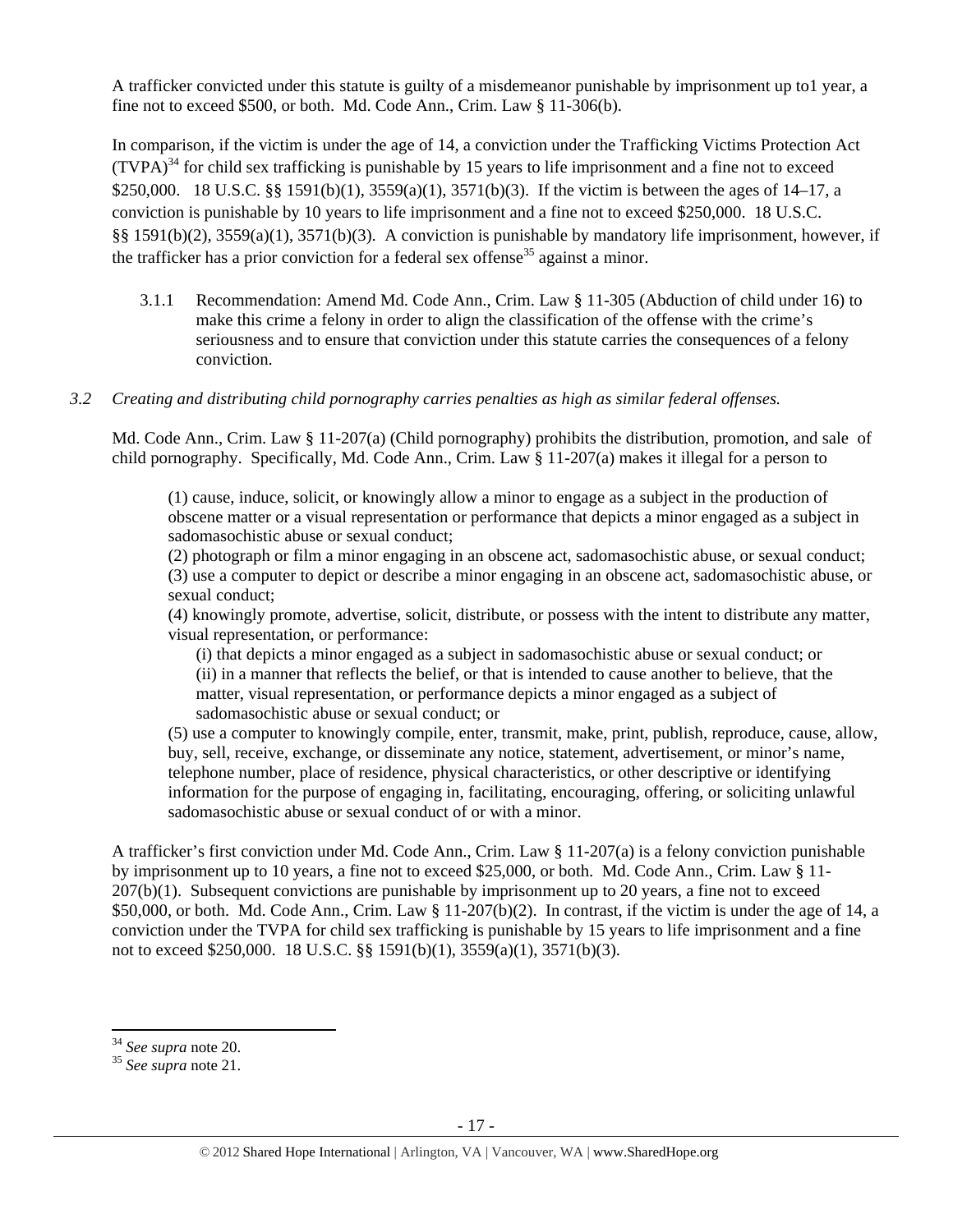A trafficker convicted under this statute is guilty of a misdemeanor punishable by imprisonment up to1 year, a fine not to exceed \$500, or both. Md. Code Ann., Crim. Law § 11-306(b).

In comparison, if the victim is under the age of 14, a conviction under the Trafficking Victims Protection Act  $(TVPA)^{34}$  for child sex trafficking is punishable by 15 years to life imprisonment and a fine not to exceed \$250,000. 18 U.S.C. §§ 1591(b)(1), 3559(a)(1), 3571(b)(3). If the victim is between the ages of 14–17, a conviction is punishable by 10 years to life imprisonment and a fine not to exceed \$250,000. 18 U.S.C. §§ 1591(b)(2), 3559(a)(1), 3571(b)(3). A conviction is punishable by mandatory life imprisonment, however, if the trafficker has a prior conviction for a federal sex offense<sup>35</sup> against a minor.

3.1.1 Recommendation: Amend Md. Code Ann., Crim. Law § 11-305 (Abduction of child under 16) to make this crime a felony in order to align the classification of the offense with the crime's seriousness and to ensure that conviction under this statute carries the consequences of a felony conviction.

# *3.2 Creating and distributing child pornography carries penalties as high as similar federal offenses.*

Md. Code Ann., Crim. Law § 11-207(a) (Child pornography) prohibits the distribution, promotion, and sale of child pornography. Specifically, Md. Code Ann., Crim. Law § 11-207(a) makes it illegal for a person to

(1) cause, induce, solicit, or knowingly allow a minor to engage as a subject in the production of obscene matter or a visual representation or performance that depicts a minor engaged as a subject in sadomasochistic abuse or sexual conduct;

(2) photograph or film a minor engaging in an obscene act, sadomasochistic abuse, or sexual conduct; (3) use a computer to depict or describe a minor engaging in an obscene act, sadomasochistic abuse, or sexual conduct;

(4) knowingly promote, advertise, solicit, distribute, or possess with the intent to distribute any matter, visual representation, or performance:

(i) that depicts a minor engaged as a subject in sadomasochistic abuse or sexual conduct; or (ii) in a manner that reflects the belief, or that is intended to cause another to believe, that the matter, visual representation, or performance depicts a minor engaged as a subject of sadomasochistic abuse or sexual conduct; or

(5) use a computer to knowingly compile, enter, transmit, make, print, publish, reproduce, cause, allow, buy, sell, receive, exchange, or disseminate any notice, statement, advertisement, or minor's name, telephone number, place of residence, physical characteristics, or other descriptive or identifying information for the purpose of engaging in, facilitating, encouraging, offering, or soliciting unlawful sadomasochistic abuse or sexual conduct of or with a minor.

A trafficker's first conviction under Md. Code Ann., Crim. Law § 11-207(a) is a felony conviction punishable by imprisonment up to 10 years, a fine not to exceed \$25,000, or both. Md. Code Ann., Crim. Law § 11- 207(b)(1). Subsequent convictions are punishable by imprisonment up to 20 years, a fine not to exceed \$50,000, or both. Md. Code Ann., Crim. Law  $\S 11-207(b)(2)$ . In contrast, if the victim is under the age of 14, a conviction under the TVPA for child sex trafficking is punishable by 15 years to life imprisonment and a fine not to exceed \$250,000. 18 U.S.C. §§ 1591(b)(1), 3559(a)(1), 3571(b)(3).

<sup>&</sup>lt;sup>34</sup> See supra note 20.

<sup>&</sup>lt;sup>35</sup> See supra note 21.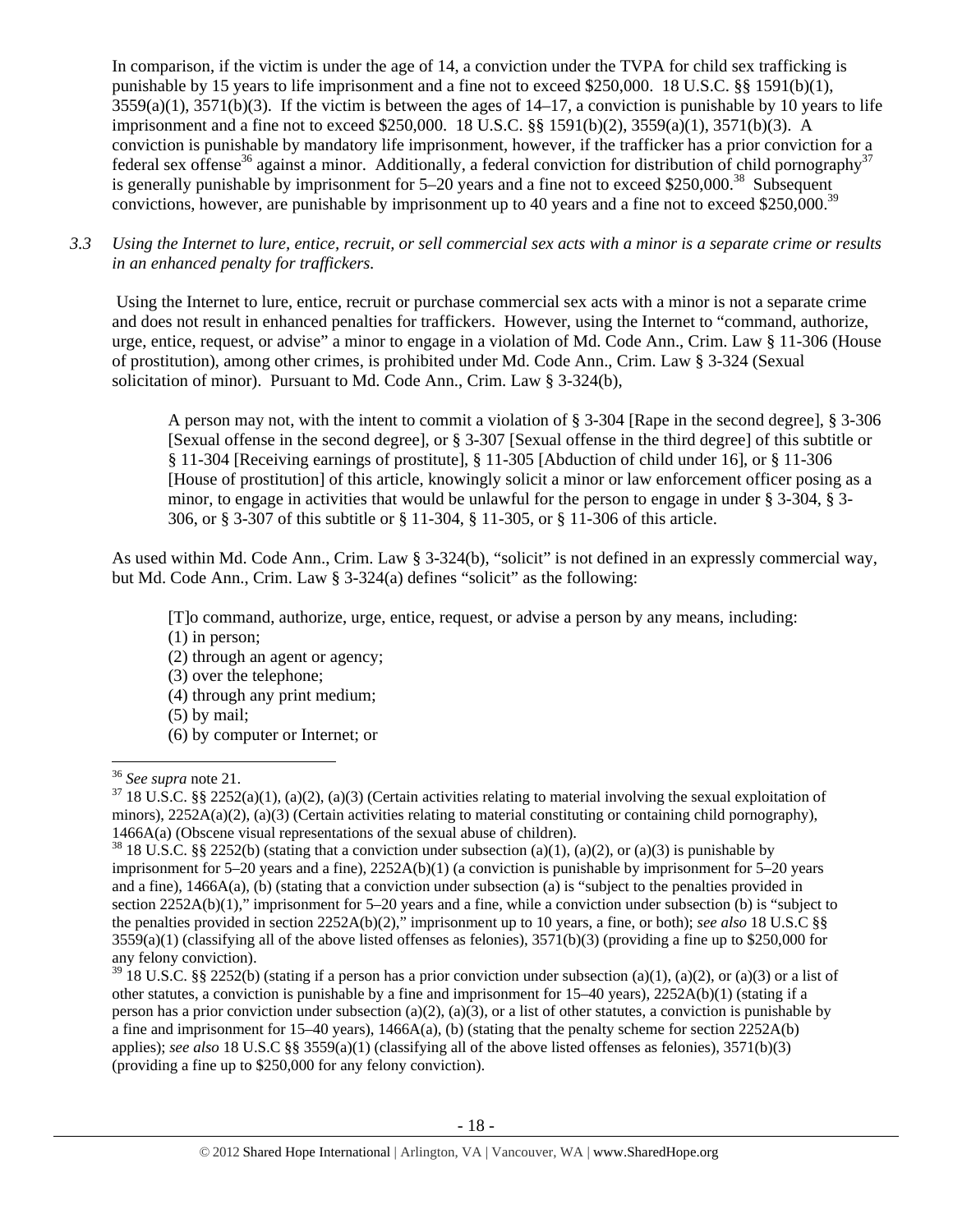In comparison, if the victim is under the age of 14, a conviction under the TVPA for child sex trafficking is punishable by 15 years to life imprisonment and a fine not to exceed \$250,000. 18 U.S.C. §§ 1591(b)(1),  $3559(a)(1)$ ,  $3571(b)(3)$ . If the victim is between the ages of  $14-17$ , a conviction is punishable by 10 years to life imprisonment and a fine not to exceed \$250,000. 18 U.S.C. §§ 1591(b)(2), 3559(a)(1), 3571(b)(3). A conviction is punishable by mandatory life imprisonment, however, if the trafficker has a prior conviction for a federal sex offense<sup>36</sup> against a minor. Additionally, a federal conviction for distribution of child pornography<sup>37</sup> is generally punishable by imprisonment for  $5-20$  years and a fine not to exceed \$250,000.<sup>38</sup> Subsequent convictions, however, are punishable by imprisonment up to 40 years and a fine not to exceed \$250,000.<sup>39</sup>

*3.3 Using the Internet to lure, entice, recruit, or sell commercial sex acts with a minor is a separate crime or results in an enhanced penalty for traffickers.* 

 Using the Internet to lure, entice, recruit or purchase commercial sex acts with a minor is not a separate crime and does not result in enhanced penalties for traffickers. However, using the Internet to "command, authorize, urge, entice, request, or advise" a minor to engage in a violation of Md. Code Ann., Crim. Law § 11-306 (House of prostitution), among other crimes, is prohibited under Md. Code Ann., Crim. Law § 3-324 (Sexual solicitation of minor). Pursuant to Md. Code Ann., Crim. Law § 3-324(b),

A person may not, with the intent to commit a violation of § 3-304 [Rape in the second degree], § 3-306 [Sexual offense in the second degree], or § 3-307 [Sexual offense in the third degree] of this subtitle or § 11-304 [Receiving earnings of prostitute], § 11-305 [Abduction of child under 16], or § 11-306 [House of prostitution] of this article, knowingly solicit a minor or law enforcement officer posing as a minor, to engage in activities that would be unlawful for the person to engage in under § 3-304, § 3- 306, or § 3-307 of this subtitle or § 11-304, § 11-305, or § 11-306 of this article.

As used within Md. Code Ann., Crim. Law § 3-324(b), "solicit" is not defined in an expressly commercial way, but Md. Code Ann., Crim. Law § 3-324(a) defines "solicit" as the following:

- [T]o command, authorize, urge, entice, request, or advise a person by any means, including:
- (1) in person;
- (2) through an agent or agency;
- (3) over the telephone;
- (4) through any print medium;
- (5) by mail;

(6) by computer or Internet; or

<sup>&</sup>lt;sup>36</sup> *See supra* note 21.<br><sup>37</sup> 18 U.S.C. §§ 2252(a)(1), (a)(2), (a)(3) (Certain activities relating to material involving the sexual exploitation of minors),  $2252A(a)(2)$ ,  $(a)(3)$  (Certain activities relating to material constituting or containing child pornography), 1466A(a) (Obscene visual representations of the sexual abuse of children).<br><sup>38</sup> 18 U.S.C. §§ 2252(b) (stating that a conviction under subsection (a)(1), (a)(2), or (a)(3) is punishable by

imprisonment for 5–20 years and a fine), 2252A(b)(1) (a conviction is punishable by imprisonment for 5–20 years and a fine), 1466A(a), (b) (stating that a conviction under subsection (a) is "subject to the penalties provided in section 2252A(b)(1)," imprisonment for 5–20 years and a fine, while a conviction under subsection (b) is "subject to the penalties provided in section 2252A(b)(2)," imprisonment up to 10 years, a fine, or both); *see also* 18 U.S.C §§  $3559(a)(1)$  (classifying all of the above listed offenses as felonies),  $3571(b)(3)$  (providing a fine up to \$250,000 for any felony conviction).

<sup>&</sup>lt;sup>39</sup> 18 U.S.C. §§ 2252(b) (stating if a person has a prior conviction under subsection (a)(1), (a)(2), or (a)(3) or a list of other statutes, a conviction is punishable by a fine and imprisonment for  $15-40$  years),  $2252A(b)(1)$  (stating if a person has a prior conviction under subsection (a)(2), (a)(3), or a list of other statutes, a conviction is punishable by a fine and imprisonment for  $15-40$  years),  $1466A(a)$ , (b) (stating that the penalty scheme for section  $2252A(b)$ applies); *see also* 18 U.S.C §§ 3559(a)(1) (classifying all of the above listed offenses as felonies), 3571(b)(3) (providing a fine up to \$250,000 for any felony conviction).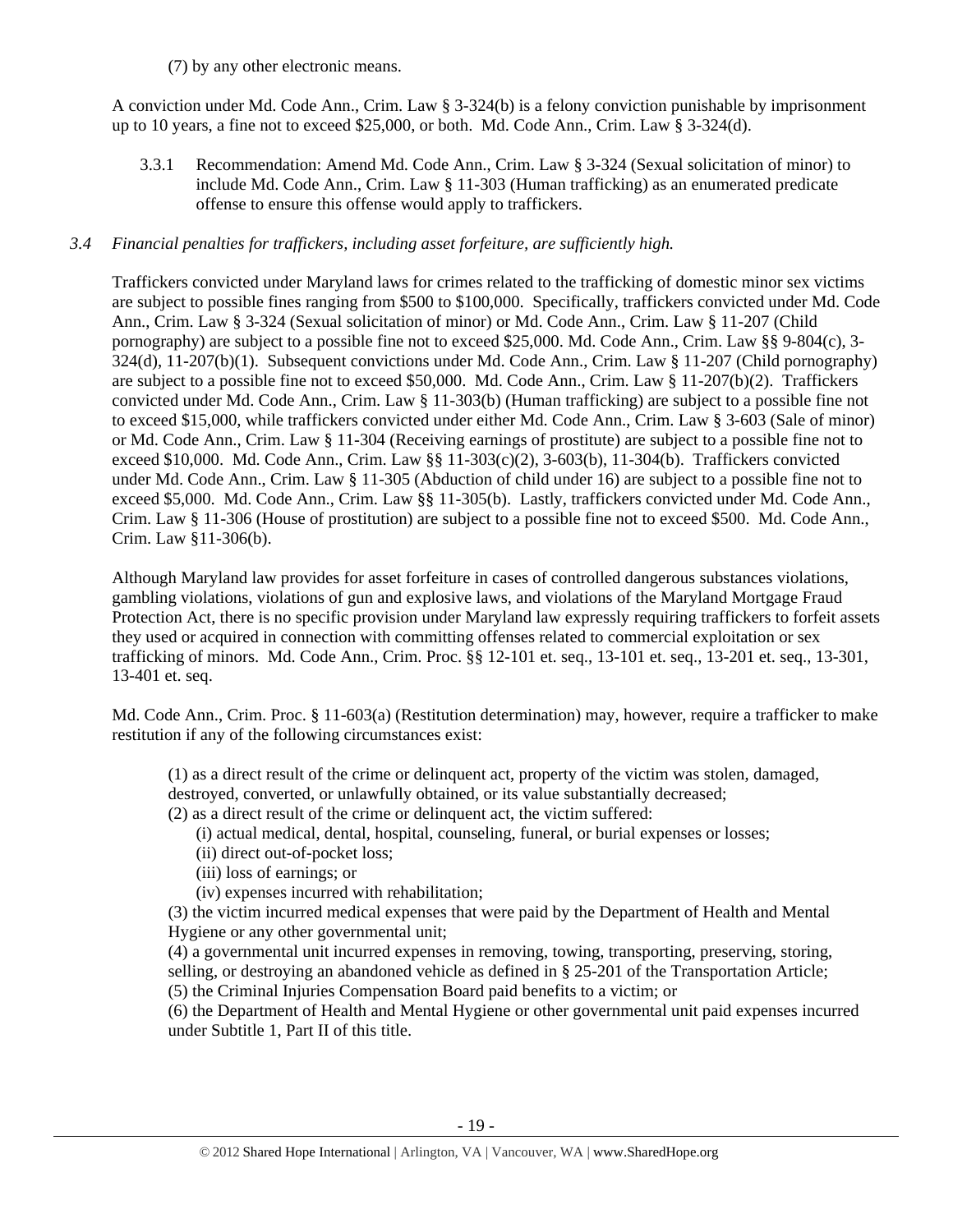(7) by any other electronic means.

A conviction under Md. Code Ann., Crim. Law § 3-324(b) is a felony conviction punishable by imprisonment up to 10 years, a fine not to exceed \$25,000, or both. Md. Code Ann., Crim. Law § 3-324(d).

3.3.1 Recommendation: Amend Md. Code Ann., Crim. Law § 3-324 (Sexual solicitation of minor) to include Md. Code Ann., Crim. Law § 11-303 (Human trafficking) as an enumerated predicate offense to ensure this offense would apply to traffickers.

# *3.4 Financial penalties for traffickers, including asset forfeiture, are sufficiently high.*

Traffickers convicted under Maryland laws for crimes related to the trafficking of domestic minor sex victims are subject to possible fines ranging from \$500 to \$100,000. Specifically, traffickers convicted under Md. Code Ann., Crim. Law § 3-324 (Sexual solicitation of minor) or Md. Code Ann., Crim. Law § 11-207 (Child pornography) are subject to a possible fine not to exceed \$25,000. Md. Code Ann., Crim. Law §§ 9-804(c), 3- 324(d), 11-207(b)(1). Subsequent convictions under Md. Code Ann., Crim. Law § 11-207 (Child pornography) are subject to a possible fine not to exceed \$50,000. Md. Code Ann., Crim. Law § 11-207(b)(2). Traffickers convicted under Md. Code Ann., Crim. Law § 11-303(b) (Human trafficking) are subject to a possible fine not to exceed \$15,000, while traffickers convicted under either Md. Code Ann., Crim. Law § 3-603 (Sale of minor) or Md. Code Ann., Crim. Law § 11-304 (Receiving earnings of prostitute) are subject to a possible fine not to exceed \$10,000. Md. Code Ann., Crim. Law §§ 11-303(c)(2), 3-603(b), 11-304(b). Traffickers convicted under Md. Code Ann., Crim. Law § 11-305 (Abduction of child under 16) are subject to a possible fine not to exceed \$5,000. Md. Code Ann., Crim. Law §§ 11-305(b). Lastly, traffickers convicted under Md. Code Ann., Crim. Law § 11-306 (House of prostitution) are subject to a possible fine not to exceed \$500. Md. Code Ann., Crim. Law §11-306(b).

Although Maryland law provides for asset forfeiture in cases of controlled dangerous substances violations, gambling violations, violations of gun and explosive laws, and violations of the Maryland Mortgage Fraud Protection Act, there is no specific provision under Maryland law expressly requiring traffickers to forfeit assets they used or acquired in connection with committing offenses related to commercial exploitation or sex trafficking of minors. Md. Code Ann., Crim. Proc. §§ 12-101 et. seq., 13-101 et. seq., 13-201 et. seq., 13-301, 13-401 et. seq.

Md. Code Ann., Crim. Proc. § 11-603(a) (Restitution determination) may, however, require a trafficker to make restitution if any of the following circumstances exist:

(1) as a direct result of the crime or delinquent act, property of the victim was stolen, damaged,

destroyed, converted, or unlawfully obtained, or its value substantially decreased;

(2) as a direct result of the crime or delinquent act, the victim suffered:

- (i) actual medical, dental, hospital, counseling, funeral, or burial expenses or losses;
- (ii) direct out-of-pocket loss;
- (iii) loss of earnings; or
- (iv) expenses incurred with rehabilitation;

(3) the victim incurred medical expenses that were paid by the Department of Health and Mental Hygiene or any other governmental unit;

(4) a governmental unit incurred expenses in removing, towing, transporting, preserving, storing, selling, or destroying an abandoned vehicle as defined in § 25-201 of the Transportation Article; (5) the Criminal Injuries Compensation Board paid benefits to a victim; or

(6) the Department of Health and Mental Hygiene or other governmental unit paid expenses incurred under Subtitle 1, Part II of this title.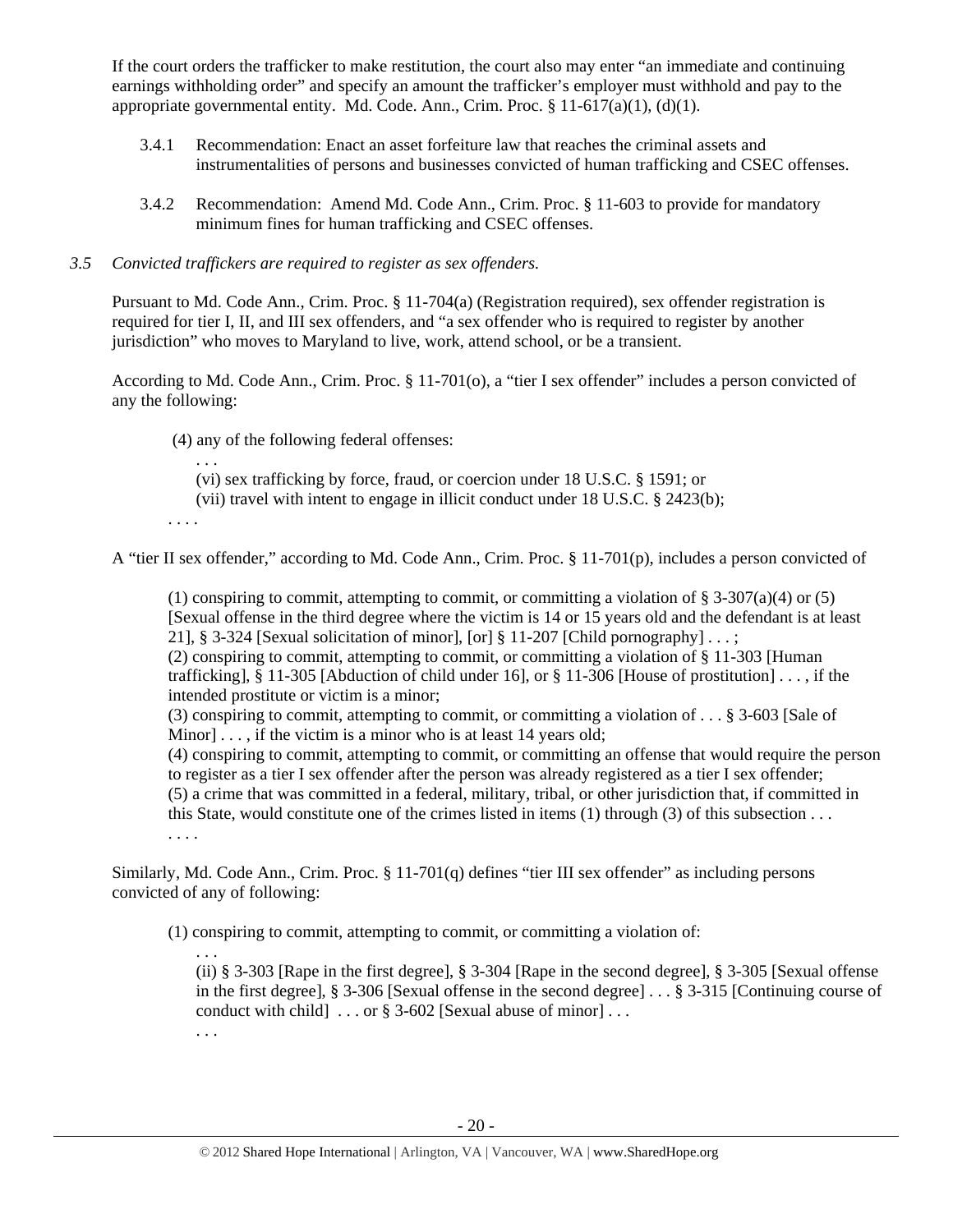If the court orders the trafficker to make restitution, the court also may enter "an immediate and continuing earnings withholding order" and specify an amount the trafficker's employer must withhold and pay to the appropriate governmental entity. Md. Code. Ann., Crim. Proc.  $\S 11-617(a)(1)$ , (d)(1).

- 3.4.1 Recommendation: Enact an asset forfeiture law that reaches the criminal assets and instrumentalities of persons and businesses convicted of human trafficking and CSEC offenses.
- 3.4.2 Recommendation: Amend Md. Code Ann., Crim. Proc. § 11-603 to provide for mandatory minimum fines for human trafficking and CSEC offenses.

# *3.5 Convicted traffickers are required to register as sex offenders.*

Pursuant to Md. Code Ann., Crim. Proc. § 11-704(a) (Registration required), sex offender registration is required for tier I, II, and III sex offenders, and "a sex offender who is required to register by another jurisdiction" who moves to Maryland to live, work, attend school, or be a transient.

According to Md. Code Ann., Crim. Proc. § 11-701(o), a "tier I sex offender" includes a person convicted of any the following:

(4) any of the following federal offenses:

. . .

(vi) sex trafficking by force, fraud, or coercion under 18 U.S.C. § 1591; or

(vii) travel with intent to engage in illicit conduct under 18 U.S.C. § 2423(b);

. . . .

A "tier II sex offender," according to Md. Code Ann., Crim. Proc. § 11-701(p), includes a person convicted of

(1) conspiring to commit, attempting to commit, or committing a violation of  $\S 3-307(a)(4)$  or (5) [Sexual offense in the third degree where the victim is 14 or 15 years old and the defendant is at least 21], § 3-324 [Sexual solicitation of minor], [or] § 11-207 [Child pornography]  $\dots$ ;

(2) conspiring to commit, attempting to commit, or committing a violation of § 11-303 [Human trafficking], § 11-305 [Abduction of child under 16], or § 11-306 [House of prostitution] . . . , if the intended prostitute or victim is a minor;

(3) conspiring to commit, attempting to commit, or committing a violation of . . . § 3-603 [Sale of Minor] . . . , if the victim is a minor who is at least 14 years old;

(4) conspiring to commit, attempting to commit, or committing an offense that would require the person to register as a tier I sex offender after the person was already registered as a tier I sex offender; (5) a crime that was committed in a federal, military, tribal, or other jurisdiction that, if committed in this State, would constitute one of the crimes listed in items (1) through (3) of this subsection . . .

. . . .

Similarly, Md. Code Ann., Crim. Proc. § 11-701(q) defines "tier III sex offender" as including persons convicted of any of following:

(1) conspiring to commit, attempting to commit, or committing a violation of:

. . . (ii) § 3-303 [Rape in the first degree], § 3-304 [Rape in the second degree], § 3-305 [Sexual offense in the first degree], § 3-306 [Sexual offense in the second degree] . . . § 3-315 [Continuing course of conduct with child  $\ldots$  or § 3-602 [Sexual abuse of minor]...

. . .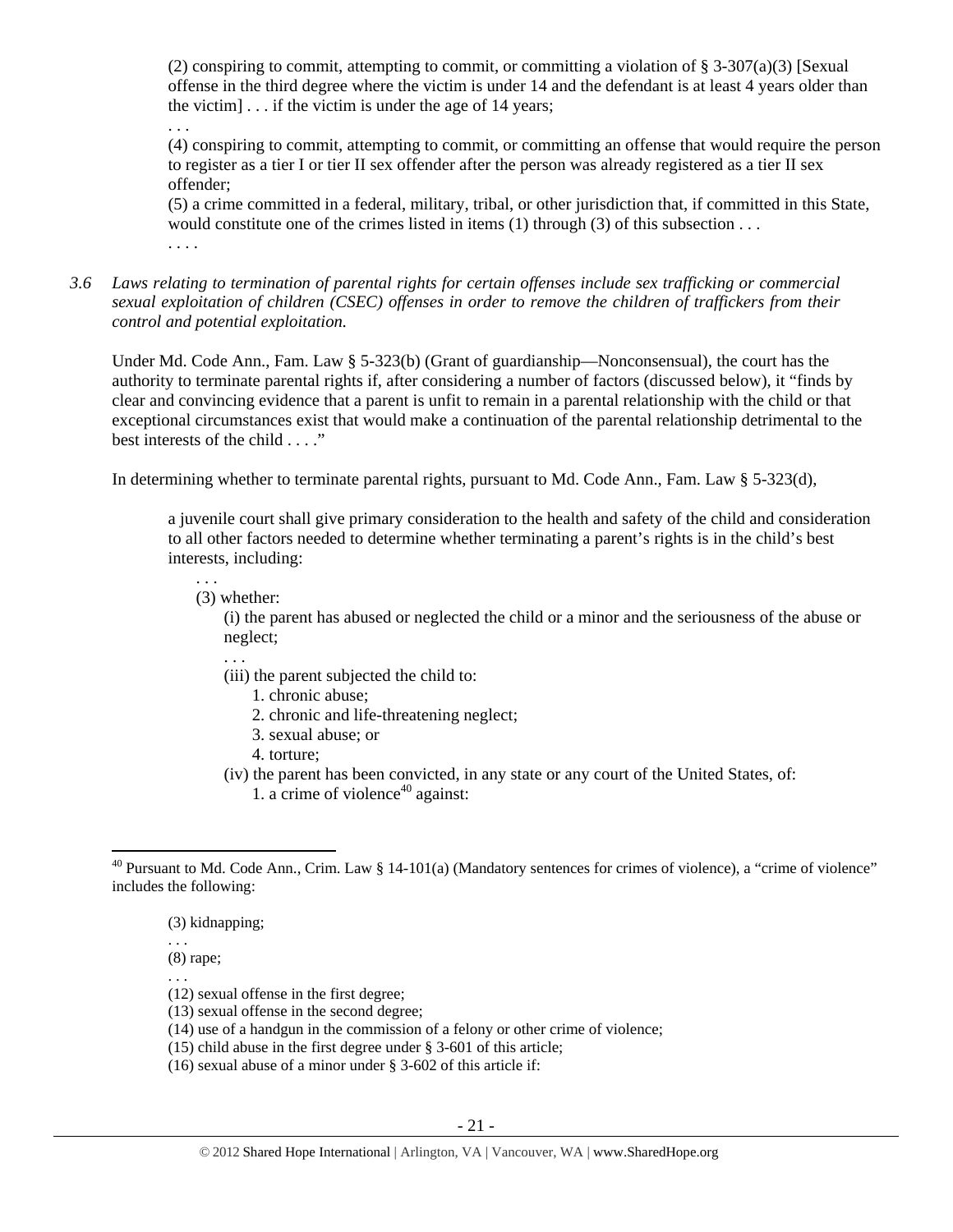(2) conspiring to commit, attempting to commit, or committing a violation of  $\S 3-307(a)(3)$  [Sexual offense in the third degree where the victim is under 14 and the defendant is at least 4 years older than the victim] . . . if the victim is under the age of 14 years;

. . .

(4) conspiring to commit, attempting to commit, or committing an offense that would require the person to register as a tier I or tier II sex offender after the person was already registered as a tier II sex offender;

(5) a crime committed in a federal, military, tribal, or other jurisdiction that, if committed in this State, would constitute one of the crimes listed in items (1) through (3) of this subsection ... . . . .

*3.6 Laws relating to termination of parental rights for certain offenses include sex trafficking or commercial sexual exploitation of children (CSEC) offenses in order to remove the children of traffickers from their control and potential exploitation.* 

Under Md. Code Ann., Fam. Law § 5-323(b) (Grant of guardianship—Nonconsensual), the court has the authority to terminate parental rights if, after considering a number of factors (discussed below), it "finds by clear and convincing evidence that a parent is unfit to remain in a parental relationship with the child or that exceptional circumstances exist that would make a continuation of the parental relationship detrimental to the best interests of the child . . . ."

In determining whether to terminate parental rights, pursuant to Md. Code Ann., Fam. Law § 5-323(d),

a juvenile court shall give primary consideration to the health and safety of the child and consideration to all other factors needed to determine whether terminating a parent's rights is in the child's best interests, including:

(3) whether:

. . .

. . .

(i) the parent has abused or neglected the child or a minor and the seriousness of the abuse or neglect;

- (iii) the parent subjected the child to:
	- 1. chronic abuse;
	- 2. chronic and life-threatening neglect;
	- 3. sexual abuse; or
	- 4. torture;
- (iv) the parent has been convicted, in any state or any court of the United States, of:
	- 1. a crime of violence<sup>40</sup> against:

(3) kidnapping;

. . . (8) rape;

. . .

- (12) sexual offense in the first degree;
- (13) sexual offense in the second degree;
- (14) use of a handgun in the commission of a felony or other crime of violence;
- (15) child abuse in the first degree under § 3-601 of this article;
- (16) sexual abuse of a minor under § 3-602 of this article if:

  $40$  Pursuant to Md. Code Ann., Crim. Law § 14-101(a) (Mandatory sentences for crimes of violence), a "crime of violence" includes the following: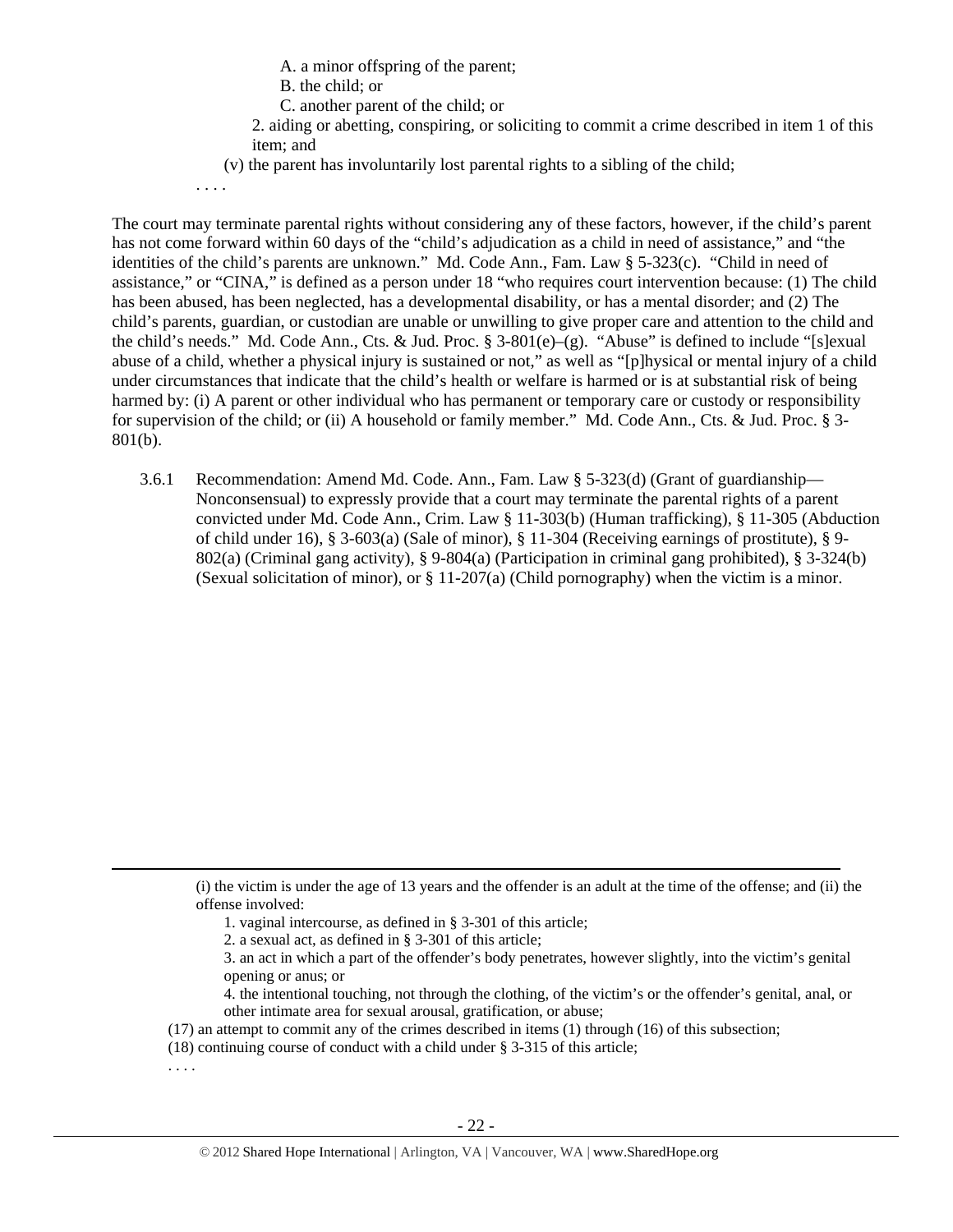A. a minor offspring of the parent;

- B. the child; or
- C. another parent of the child; or

2. aiding or abetting, conspiring, or soliciting to commit a crime described in item 1 of this item; and

(v) the parent has involuntarily lost parental rights to a sibling of the child;

. . . .

The court may terminate parental rights without considering any of these factors, however, if the child's parent has not come forward within 60 days of the "child's adjudication as a child in need of assistance," and "the identities of the child's parents are unknown." Md. Code Ann., Fam. Law § 5-323(c). "Child in need of assistance," or "CINA," is defined as a person under 18 "who requires court intervention because: (1) The child has been abused, has been neglected, has a developmental disability, or has a mental disorder; and (2) The child's parents, guardian, or custodian are unable or unwilling to give proper care and attention to the child and the child's needs." Md. Code Ann., Cts. & Jud. Proc. § 3-801(e)–(g). "Abuse" is defined to include "[s]exual abuse of a child, whether a physical injury is sustained or not," as well as "[p]hysical or mental injury of a child under circumstances that indicate that the child's health or welfare is harmed or is at substantial risk of being harmed by: (i) A parent or other individual who has permanent or temporary care or custody or responsibility for supervision of the child; or (ii) A household or family member." Md. Code Ann., Cts. & Jud. Proc. § 3- 801(b).

3.6.1 Recommendation: Amend Md. Code. Ann., Fam. Law § 5-323(d) (Grant of guardianship— Nonconsensual) to expressly provide that a court may terminate the parental rights of a parent convicted under Md. Code Ann., Crim. Law § 11-303(b) (Human trafficking), § 11-305 (Abduction of child under 16), § 3-603(a) (Sale of minor), § 11-304 (Receiving earnings of prostitute), § 9- 802(a) (Criminal gang activity), § 9-804(a) (Participation in criminal gang prohibited), § 3-324(b) (Sexual solicitation of minor), or  $\S 11-207(a)$  (Child pornography) when the victim is a minor.

- 1. vaginal intercourse, as defined in § 3-301 of this article;
- 2. a sexual act, as defined in § 3-301 of this article;

- 4. the intentional touching, not through the clothing, of the victim's or the offender's genital, anal, or other intimate area for sexual arousal, gratification, or abuse;
- (17) an attempt to commit any of the crimes described in items (1) through (16) of this subsection;

<u> 1989 - Johann Stein, marwolaethau a gweledydd a ganrad y ganrad y ganrad y ganrad y ganrad y ganrad y ganrad</u>

- (18) continuing course of conduct with a child under § 3-315 of this article;
- . . . .

<sup>(</sup>i) the victim is under the age of 13 years and the offender is an adult at the time of the offense; and (ii) the offense involved:

<sup>3.</sup> an act in which a part of the offender's body penetrates, however slightly, into the victim's genital opening or anus; or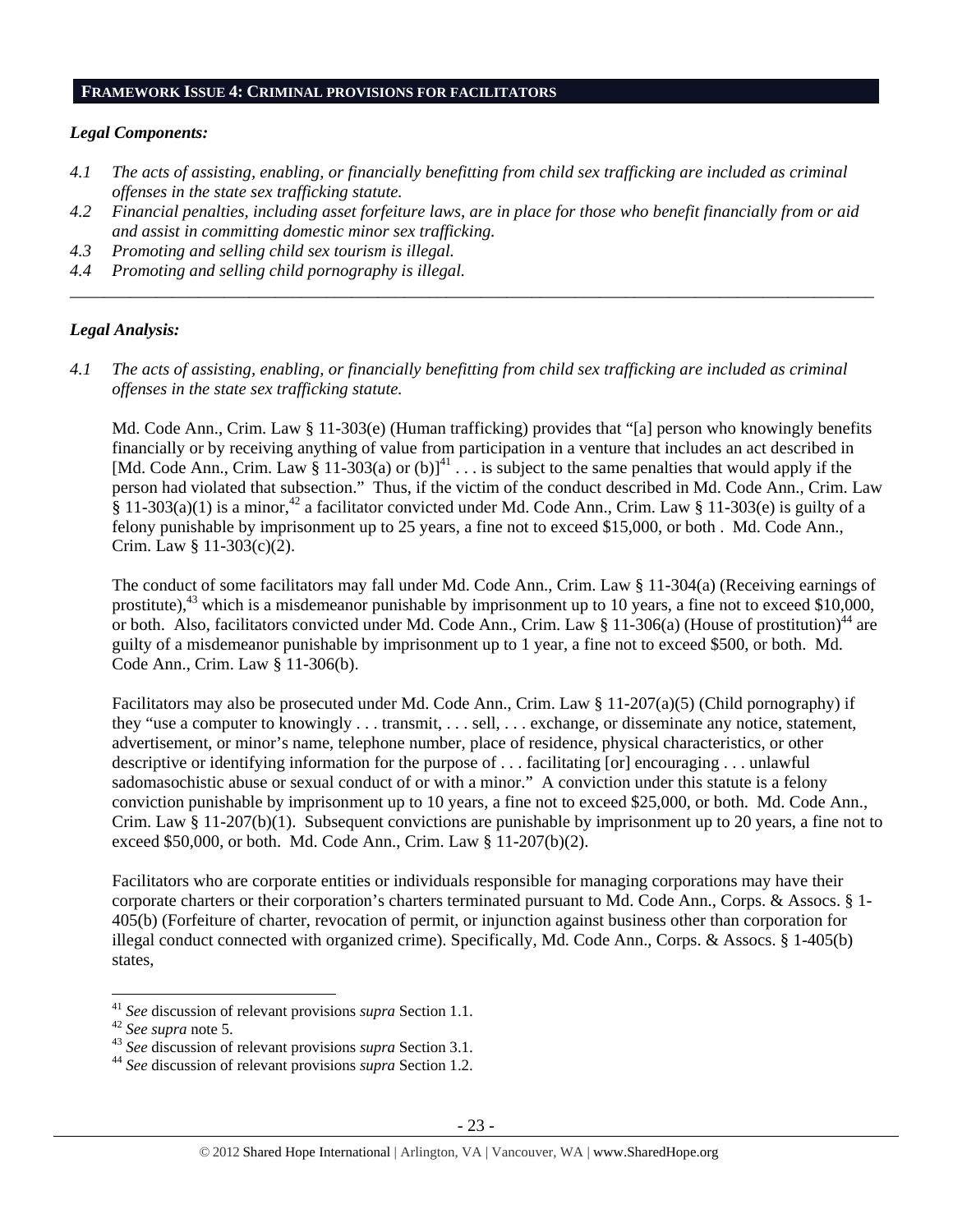#### **FRAMEWORK ISSUE 4: CRIMINAL PROVISIONS FOR FACILITATORS**

#### *Legal Components:*

- *4.1 The acts of assisting, enabling, or financially benefitting from child sex trafficking are included as criminal offenses in the state sex trafficking statute.*
- *4.2 Financial penalties, including asset forfeiture laws, are in place for those who benefit financially from or aid and assist in committing domestic minor sex trafficking.*

*\_\_\_\_\_\_\_\_\_\_\_\_\_\_\_\_\_\_\_\_\_\_\_\_\_\_\_\_\_\_\_\_\_\_\_\_\_\_\_\_\_\_\_\_\_\_\_\_\_\_\_\_\_\_\_\_\_\_\_\_\_\_\_\_\_\_\_\_\_\_\_\_\_\_\_\_\_\_\_\_\_\_\_\_\_\_\_\_\_\_\_\_\_\_* 

- *4.3 Promoting and selling child sex tourism is illegal.*
- *4.4 Promoting and selling child pornography is illegal.*

#### *Legal Analysis:*

*4.1 The acts of assisting, enabling, or financially benefitting from child sex trafficking are included as criminal offenses in the state sex trafficking statute.*

Md. Code Ann., Crim. Law § 11-303(e) (Human trafficking) provides that "[a] person who knowingly benefits financially or by receiving anything of value from participation in a venture that includes an act described in [Md. Code Ann., Crim. Law § 11-303(a) or  $(b)$ ]<sup>41</sup>  $\dots$  is subject to the same penalties that would apply if the person had violated that subsection." Thus, if the victim of the conduct described in Md. Code Ann., Crim. Law  $\frac{2}{3}$  11-303(a)(1) is a minor,<sup>42</sup> a facilitator convicted under Md. Code Ann., Crim. Law  $\frac{2}{3}$  11-303(e) is guilty of a felony punishable by imprisonment up to 25 years, a fine not to exceed \$15,000, or both . Md. Code Ann., Crim. Law § 11-303(c)(2).

The conduct of some facilitators may fall under Md. Code Ann., Crim. Law § 11-304(a) (Receiving earnings of prostitute), $43$  which is a misdemeanor punishable by imprisonment up to 10 years, a fine not to exceed \$10,000, or both. Also, facilitators convicted under Md. Code Ann., Crim. Law § 11-306(a) (House of prostitution)<sup>44</sup> are guilty of a misdemeanor punishable by imprisonment up to 1 year, a fine not to exceed \$500, or both. Md. Code Ann., Crim. Law § 11-306(b).

Facilitators may also be prosecuted under Md. Code Ann., Crim. Law § 11-207(a)(5) (Child pornography) if they "use a computer to knowingly . . . transmit, . . . sell, . . . exchange, or disseminate any notice, statement, advertisement, or minor's name, telephone number, place of residence, physical characteristics, or other descriptive or identifying information for the purpose of . . . facilitating [or] encouraging . . . unlawful sadomasochistic abuse or sexual conduct of or with a minor." A conviction under this statute is a felony conviction punishable by imprisonment up to 10 years, a fine not to exceed \$25,000, or both. Md. Code Ann., Crim. Law  $\S 11-207(b)(1)$ . Subsequent convictions are punishable by imprisonment up to 20 years, a fine not to exceed \$50,000, or both. Md. Code Ann., Crim. Law § 11-207(b)(2).

Facilitators who are corporate entities or individuals responsible for managing corporations may have their corporate charters or their corporation's charters terminated pursuant to Md. Code Ann., Corps. & Assocs. § 1- 405(b) (Forfeiture of charter, revocation of permit, or injunction against business other than corporation for illegal conduct connected with organized crime). Specifically, Md. Code Ann., Corps. & Assocs. § 1-405(b) states,

<sup>&</sup>lt;sup>41</sup> See discussion of relevant provisions *supra* Section 1.1.<br><sup>42</sup> See supra note 5.<br><sup>43</sup> See discussion of relevant provisions *supra* Section 3.1.<br><sup>44</sup> See discussion of relevant provisions *supra* Section 1.2.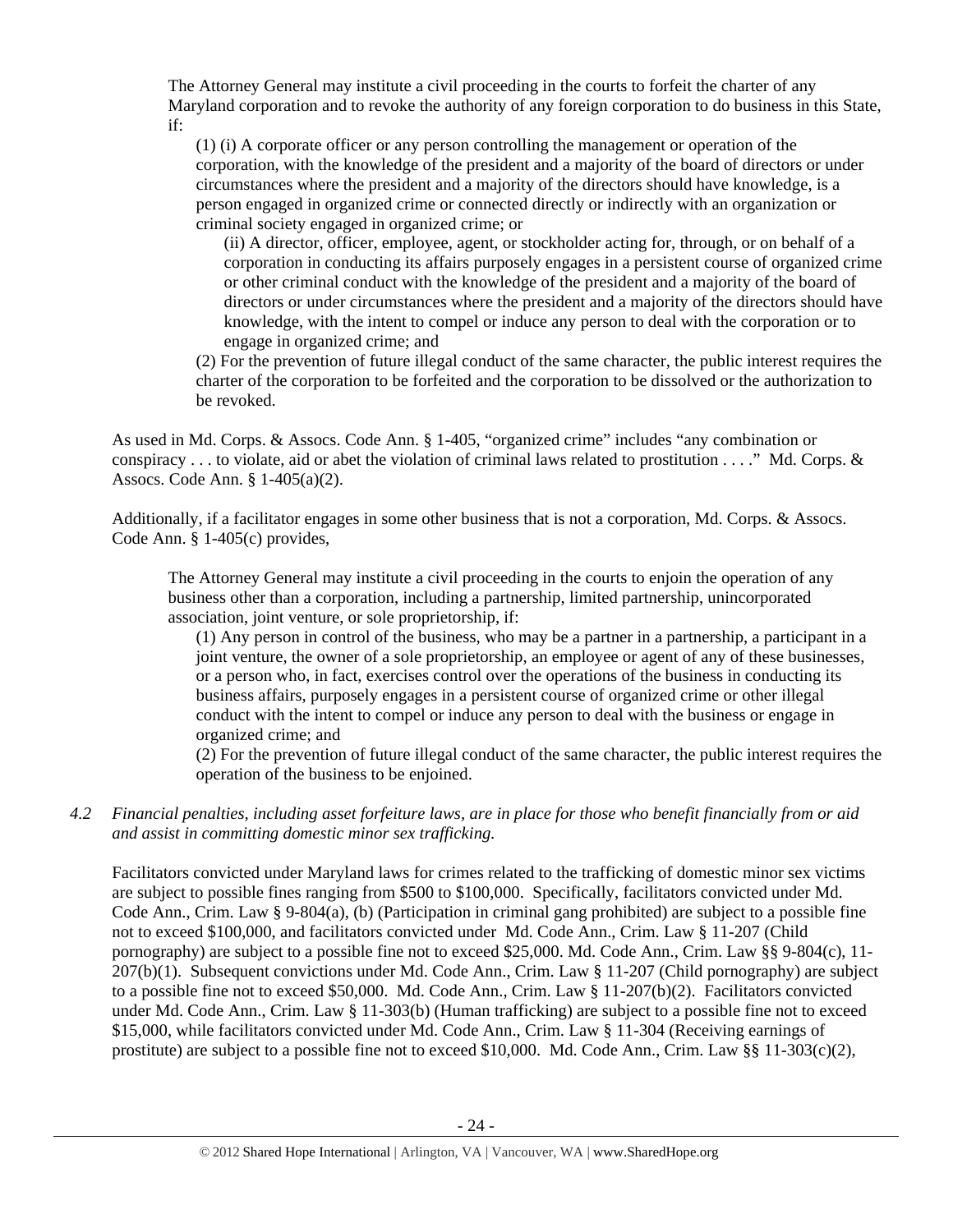The Attorney General may institute a civil proceeding in the courts to forfeit the charter of any Maryland corporation and to revoke the authority of any foreign corporation to do business in this State, if:

(1) (i) A corporate officer or any person controlling the management or operation of the corporation, with the knowledge of the president and a majority of the board of directors or under circumstances where the president and a majority of the directors should have knowledge, is a person engaged in organized crime or connected directly or indirectly with an organization or criminal society engaged in organized crime; or

(ii) A director, officer, employee, agent, or stockholder acting for, through, or on behalf of a corporation in conducting its affairs purposely engages in a persistent course of organized crime or other criminal conduct with the knowledge of the president and a majority of the board of directors or under circumstances where the president and a majority of the directors should have knowledge, with the intent to compel or induce any person to deal with the corporation or to engage in organized crime; and

(2) For the prevention of future illegal conduct of the same character, the public interest requires the charter of the corporation to be forfeited and the corporation to be dissolved or the authorization to be revoked.

As used in Md. Corps. & Assocs. Code Ann. § 1-405, "organized crime" includes "any combination or conspiracy  $\dots$  to violate, aid or abet the violation of criminal laws related to prostitution  $\dots$ ." Md. Corps. & Assocs. Code Ann. § 1-405(a)(2).

Additionally, if a facilitator engages in some other business that is not a corporation, Md. Corps. & Assocs. Code Ann. § 1-405(c) provides,

The Attorney General may institute a civil proceeding in the courts to enjoin the operation of any business other than a corporation, including a partnership, limited partnership, unincorporated association, joint venture, or sole proprietorship, if:

(1) Any person in control of the business, who may be a partner in a partnership, a participant in a joint venture, the owner of a sole proprietorship, an employee or agent of any of these businesses, or a person who, in fact, exercises control over the operations of the business in conducting its business affairs, purposely engages in a persistent course of organized crime or other illegal conduct with the intent to compel or induce any person to deal with the business or engage in organized crime; and

(2) For the prevention of future illegal conduct of the same character, the public interest requires the operation of the business to be enjoined.

*4.2 Financial penalties, including asset forfeiture laws, are in place for those who benefit financially from or aid and assist in committing domestic minor sex trafficking.* 

Facilitators convicted under Maryland laws for crimes related to the trafficking of domestic minor sex victims are subject to possible fines ranging from \$500 to \$100,000. Specifically, facilitators convicted under Md. Code Ann., Crim. Law § 9-804(a), (b) (Participation in criminal gang prohibited) are subject to a possible fine not to exceed \$100,000, and facilitators convicted under Md. Code Ann., Crim. Law § 11-207 (Child pornography) are subject to a possible fine not to exceed \$25,000. Md. Code Ann., Crim. Law §§ 9-804(c), 11- 207(b)(1). Subsequent convictions under Md. Code Ann., Crim. Law § 11-207 (Child pornography) are subject to a possible fine not to exceed \$50,000. Md. Code Ann., Crim. Law § 11-207(b)(2). Facilitators convicted under Md. Code Ann., Crim. Law § 11-303(b) (Human trafficking) are subject to a possible fine not to exceed \$15,000, while facilitators convicted under Md. Code Ann., Crim. Law § 11-304 (Receiving earnings of prostitute) are subject to a possible fine not to exceed \$10,000. Md. Code Ann., Crim. Law  $\S$  11-303(c)(2),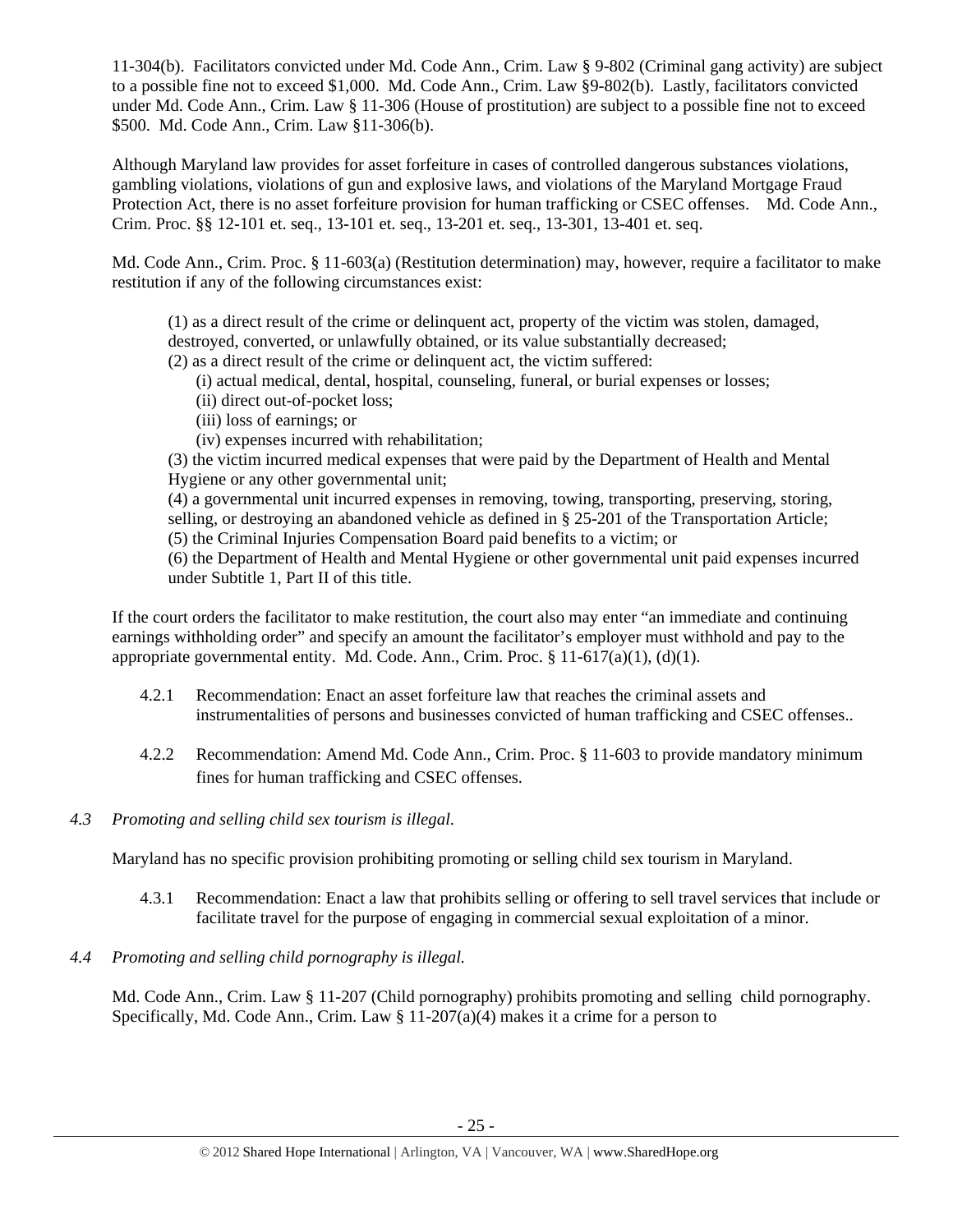11-304(b). Facilitators convicted under Md. Code Ann., Crim. Law § 9-802 (Criminal gang activity) are subject to a possible fine not to exceed \$1,000. Md. Code Ann., Crim. Law §9-802(b). Lastly, facilitators convicted under Md. Code Ann., Crim. Law § 11-306 (House of prostitution) are subject to a possible fine not to exceed \$500. Md. Code Ann., Crim. Law §11-306(b).

Although Maryland law provides for asset forfeiture in cases of controlled dangerous substances violations, gambling violations, violations of gun and explosive laws, and violations of the Maryland Mortgage Fraud Protection Act, there is no asset forfeiture provision for human trafficking or CSEC offenses. Md. Code Ann., Crim. Proc. §§ 12-101 et. seq., 13-101 et. seq., 13-201 et. seq., 13-301, 13-401 et. seq.

Md. Code Ann., Crim. Proc. § 11-603(a) (Restitution determination) may, however, require a facilitator to make restitution if any of the following circumstances exist:

(1) as a direct result of the crime or delinquent act, property of the victim was stolen, damaged, destroyed, converted, or unlawfully obtained, or its value substantially decreased;

(2) as a direct result of the crime or delinquent act, the victim suffered:

- (i) actual medical, dental, hospital, counseling, funeral, or burial expenses or losses;
- (ii) direct out-of-pocket loss;
- (iii) loss of earnings; or
- (iv) expenses incurred with rehabilitation;

(3) the victim incurred medical expenses that were paid by the Department of Health and Mental Hygiene or any other governmental unit;

(4) a governmental unit incurred expenses in removing, towing, transporting, preserving, storing, selling, or destroying an abandoned vehicle as defined in § 25-201 of the Transportation Article; (5) the Criminal Injuries Compensation Board paid benefits to a victim; or

(6) the Department of Health and Mental Hygiene or other governmental unit paid expenses incurred under Subtitle 1, Part II of this title.

If the court orders the facilitator to make restitution, the court also may enter "an immediate and continuing earnings withholding order" and specify an amount the facilitator's employer must withhold and pay to the appropriate governmental entity. Md. Code. Ann., Crim. Proc.  $\S 11-617(a)(1)$ , (d)(1).

- 4.2.1 Recommendation: Enact an asset forfeiture law that reaches the criminal assets and instrumentalities of persons and businesses convicted of human trafficking and CSEC offenses..
- 4.2.2 Recommendation: Amend Md. Code Ann., Crim. Proc. § 11-603 to provide mandatory minimum fines for human trafficking and CSEC offenses.
- *4.3 Promoting and selling child sex tourism is illegal*.

Maryland has no specific provision prohibiting promoting or selling child sex tourism in Maryland.

- 4.3.1 Recommendation: Enact a law that prohibits selling or offering to sell travel services that include or facilitate travel for the purpose of engaging in commercial sexual exploitation of a minor.
- *4.4 Promoting and selling child pornography is illegal.*

Md. Code Ann., Crim. Law § 11-207 (Child pornography) prohibits promoting and selling child pornography. Specifically, Md. Code Ann., Crim. Law § 11-207(a)(4) makes it a crime for a person to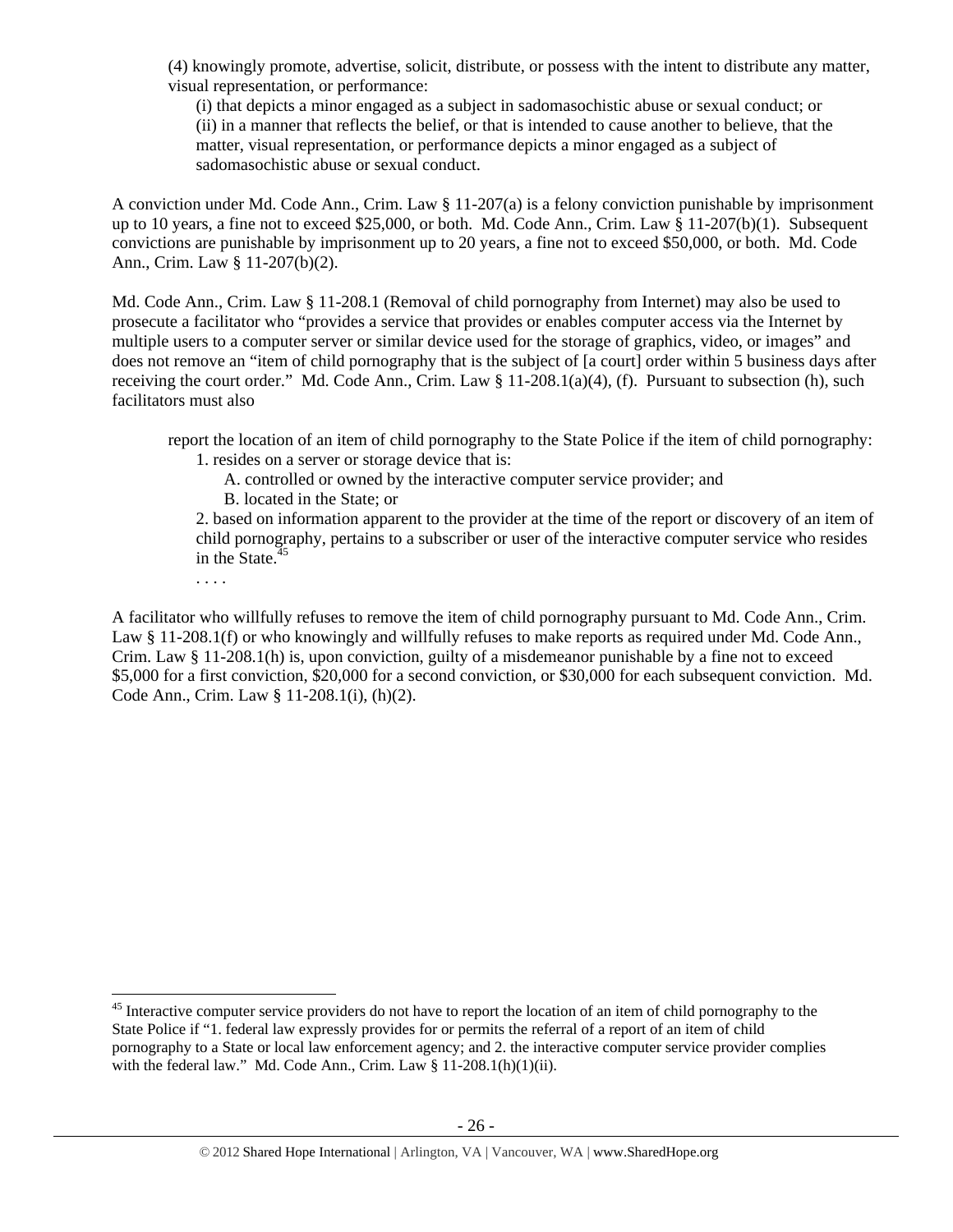(4) knowingly promote, advertise, solicit, distribute, or possess with the intent to distribute any matter, visual representation, or performance:

(i) that depicts a minor engaged as a subject in sadomasochistic abuse or sexual conduct; or (ii) in a manner that reflects the belief, or that is intended to cause another to believe, that the matter, visual representation, or performance depicts a minor engaged as a subject of sadomasochistic abuse or sexual conduct.

A conviction under Md. Code Ann., Crim. Law § 11-207(a) is a felony conviction punishable by imprisonment up to 10 years, a fine not to exceed \$25,000, or both. Md. Code Ann., Crim. Law § 11-207(b)(1). Subsequent convictions are punishable by imprisonment up to 20 years, a fine not to exceed \$50,000, or both. Md. Code Ann., Crim. Law § 11-207(b)(2).

Md. Code Ann., Crim. Law § 11-208.1 (Removal of child pornography from Internet) may also be used to prosecute a facilitator who "provides a service that provides or enables computer access via the Internet by multiple users to a computer server or similar device used for the storage of graphics, video, or images" and does not remove an "item of child pornography that is the subject of [a court] order within 5 business days after receiving the court order." Md. Code Ann., Crim. Law § 11-208.1(a)(4), (f). Pursuant to subsection (h), such facilitators must also

report the location of an item of child pornography to the State Police if the item of child pornography: 1. resides on a server or storage device that is:

- A. controlled or owned by the interactive computer service provider; and
- B. located in the State; or

2. based on information apparent to the provider at the time of the report or discovery of an item of child pornography, pertains to a subscriber or user of the interactive computer service who resides in the State. $45$ 

. . . .

A facilitator who willfully refuses to remove the item of child pornography pursuant to Md. Code Ann., Crim. Law § 11-208.1(f) or who knowingly and willfully refuses to make reports as required under Md. Code Ann., Crim. Law § 11-208.1(h) is, upon conviction, guilty of a misdemeanor punishable by a fine not to exceed \$5,000 for a first conviction, \$20,000 for a second conviction, or \$30,000 for each subsequent conviction. Md. Code Ann., Crim. Law § 11-208.1(i), (h)(2).

<sup>&</sup>lt;sup>45</sup> Interactive computer service providers do not have to report the location of an item of child pornography to the State Police if "1. federal law expressly provides for or permits the referral of a report of an item of child pornography to a State or local law enforcement agency; and 2. the interactive computer service provider complies with the federal law." Md. Code Ann., Crim. Law § 11-208.1(h)(1)(ii).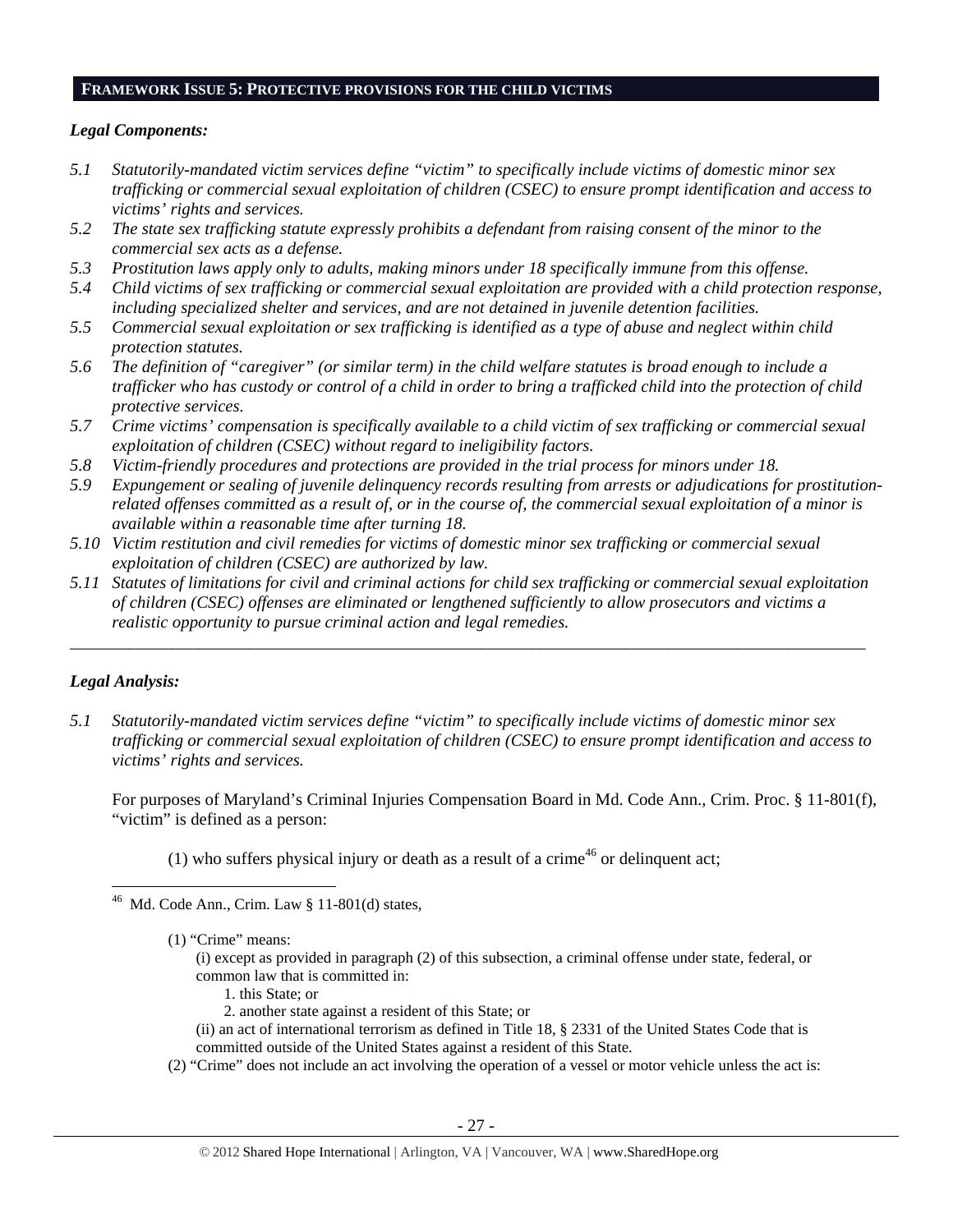#### **FRAMEWORK ISSUE 5: PROTECTIVE PROVISIONS FOR THE CHILD VICTIMS**

#### *Legal Components:*

- *5.1 Statutorily-mandated victim services define "victim" to specifically include victims of domestic minor sex trafficking or commercial sexual exploitation of children (CSEC) to ensure prompt identification and access to victims' rights and services.*
- *5.2 The state sex trafficking statute expressly prohibits a defendant from raising consent of the minor to the commercial sex acts as a defense.*
- *5.3 Prostitution laws apply only to adults, making minors under 18 specifically immune from this offense.*
- *5.4 Child victims of sex trafficking or commercial sexual exploitation are provided with a child protection response, including specialized shelter and services, and are not detained in juvenile detention facilities.*
- *5.5 Commercial sexual exploitation or sex trafficking is identified as a type of abuse and neglect within child protection statutes.*
- *5.6 The definition of "caregiver" (or similar term) in the child welfare statutes is broad enough to include a trafficker who has custody or control of a child in order to bring a trafficked child into the protection of child protective services.*
- *5.7 Crime victims' compensation is specifically available to a child victim of sex trafficking or commercial sexual exploitation of children (CSEC) without regard to ineligibility factors.*
- *5.8 Victim-friendly procedures and protections are provided in the trial process for minors under 18.*
- *5.9 Expungement or sealing of juvenile delinquency records resulting from arrests or adjudications for prostitutionrelated offenses committed as a result of, or in the course of, the commercial sexual exploitation of a minor is available within a reasonable time after turning 18.*
- *5.10 Victim restitution and civil remedies for victims of domestic minor sex trafficking or commercial sexual exploitation of children (CSEC) are authorized by law.*
- *5.11 Statutes of limitations for civil and criminal actions for child sex trafficking or commercial sexual exploitation of children (CSEC) offenses are eliminated or lengthened sufficiently to allow prosecutors and victims a realistic opportunity to pursue criminal action and legal remedies.*

*\_\_\_\_\_\_\_\_\_\_\_\_\_\_\_\_\_\_\_\_\_\_\_\_\_\_\_\_\_\_\_\_\_\_\_\_\_\_\_\_\_\_\_\_\_\_\_\_\_\_\_\_\_\_\_\_\_\_\_\_\_\_\_\_\_\_\_\_\_\_\_\_\_\_\_\_\_\_\_\_\_\_\_\_\_\_\_\_\_\_\_\_\_* 

# *Legal Analysis:*

*5.1 Statutorily-mandated victim services define "victim" to specifically include victims of domestic minor sex trafficking or commercial sexual exploitation of children (CSEC) to ensure prompt identification and access to victims' rights and services.* 

For purposes of Maryland's Criminal Injuries Compensation Board in Md. Code Ann., Crim. Proc. § 11-801(f), "victim" is defined as a person:

(1) who suffers physical injury or death as a result of a crime<sup>46</sup> or delinquent act;

- (i) except as provided in paragraph (2) of this subsection, a criminal offense under state, federal, or common law that is committed in:
	- 1. this State; or
	- 2. another state against a resident of this State; or
- (ii) an act of international terrorism as defined in Title 18, § 2331 of the United States Code that is committed outside of the United States against a resident of this State.
- (2) "Crime" does not include an act involving the operation of a vessel or motor vehicle unless the act is:

 $46$  Md. Code Ann., Crim. Law § 11-801(d) states,

<sup>(1) &</sup>quot;Crime" means: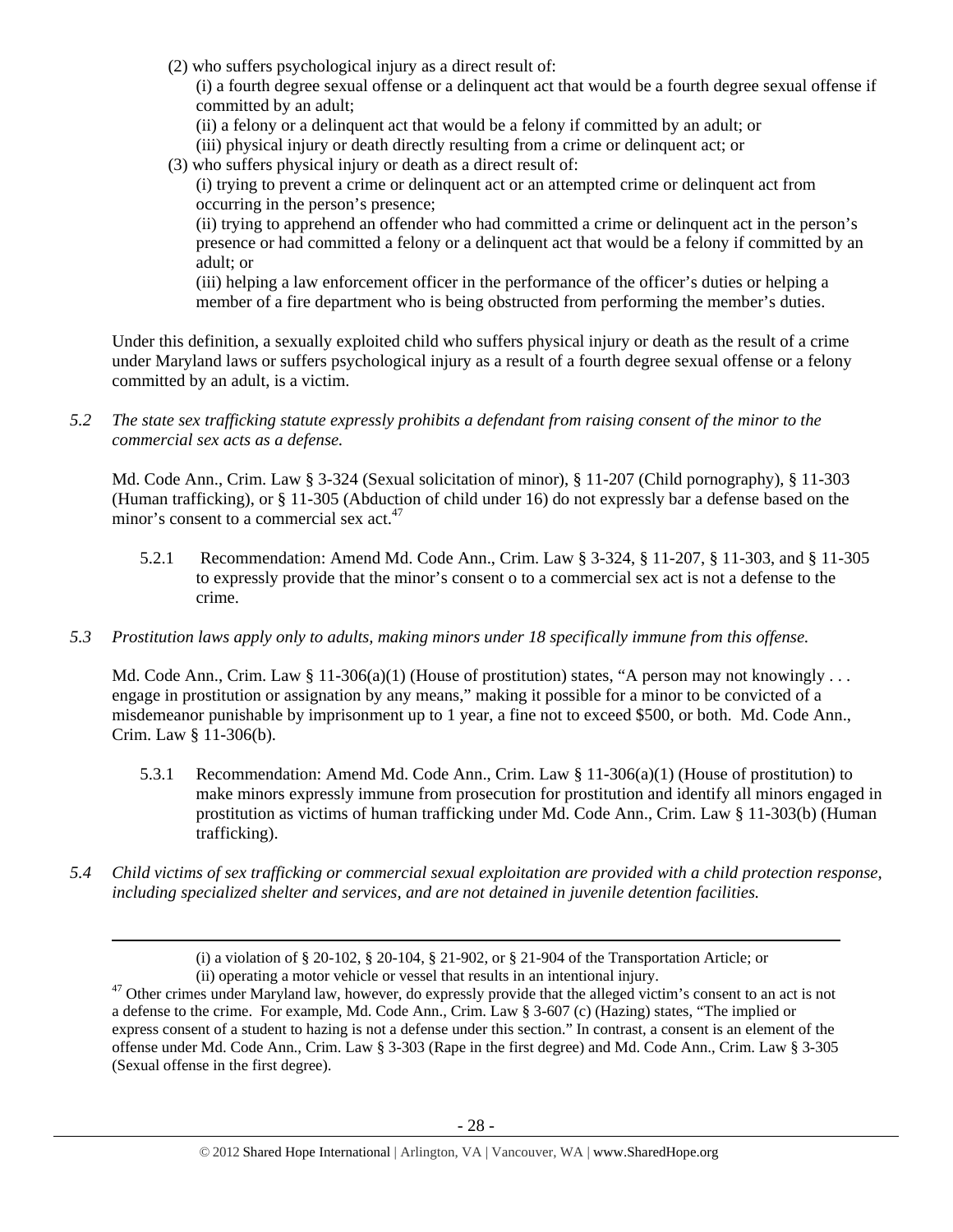(2) who suffers psychological injury as a direct result of:

(i) a fourth degree sexual offense or a delinquent act that would be a fourth degree sexual offense if committed by an adult;

- (ii) a felony or a delinquent act that would be a felony if committed by an adult; or
- (iii) physical injury or death directly resulting from a crime or delinquent act; or
- (3) who suffers physical injury or death as a direct result of:

(i) trying to prevent a crime or delinquent act or an attempted crime or delinquent act from occurring in the person's presence;

(ii) trying to apprehend an offender who had committed a crime or delinquent act in the person's presence or had committed a felony or a delinquent act that would be a felony if committed by an adult; or

(iii) helping a law enforcement officer in the performance of the officer's duties or helping a member of a fire department who is being obstructed from performing the member's duties.

Under this definition, a sexually exploited child who suffers physical injury or death as the result of a crime under Maryland laws or suffers psychological injury as a result of a fourth degree sexual offense or a felony committed by an adult, is a victim.

*5.2 The state sex trafficking statute expressly prohibits a defendant from raising consent of the minor to the commercial sex acts as a defense.* 

Md. Code Ann., Crim. Law § 3-324 (Sexual solicitation of minor), § 11-207 (Child pornography), § 11-303 (Human trafficking), or § 11-305 (Abduction of child under 16) do not expressly bar a defense based on the minor's consent to a commercial sex act.<sup>47</sup>

- 5.2.1 Recommendation: Amend Md. Code Ann., Crim. Law § 3-324, § 11-207, § 11-303, and § 11-305 to expressly provide that the minor's consent o to a commercial sex act is not a defense to the crime.
- *5.3 Prostitution laws apply only to adults, making minors under 18 specifically immune from this offense.*

Md. Code Ann., Crim. Law § 11-306(a)(1) (House of prostitution) states, "A person may not knowingly ... engage in prostitution or assignation by any means," making it possible for a minor to be convicted of a misdemeanor punishable by imprisonment up to 1 year, a fine not to exceed \$500, or both. Md. Code Ann., Crim. Law § 11-306(b).

- 5.3.1 Recommendation: Amend Md. Code Ann., Crim. Law § 11-306(a)(1) (House of prostitution) to make minors expressly immune from prosecution for prostitution and identify all minors engaged in prostitution as victims of human trafficking under Md. Code Ann., Crim. Law § 11-303(b) (Human trafficking).
- *5.4 Child victims of sex trafficking or commercial sexual exploitation are provided with a child protection response, including specialized shelter and services, and are not detained in juvenile detention facilities.*

<sup>&</sup>lt;u> 1989 - Johann Stein, marwolaethau a gweledydd a ganrad y ganrad y ganrad y ganrad y ganrad y ganrad y ganrad</u> (i) a violation of § 20-102, § 20-104, § 21-902, or § 21-904 of the Transportation Article; or (ii) operating a motor vehicle or vessel that results in an intentional injury.

 $<sup>47</sup>$  Other crimes under Maryland law, however, do expressly provide that the alleged victim's consent to an act is not</sup> a defense to the crime. For example, Md. Code Ann., Crim. Law § 3-607 (c) (Hazing) states, "The implied or express consent of a student to hazing is not a defense under this section." In contrast, a consent is an element of the offense under Md. Code Ann., Crim. Law § 3-303 (Rape in the first degree) and Md. Code Ann., Crim. Law § 3-305 (Sexual offense in the first degree).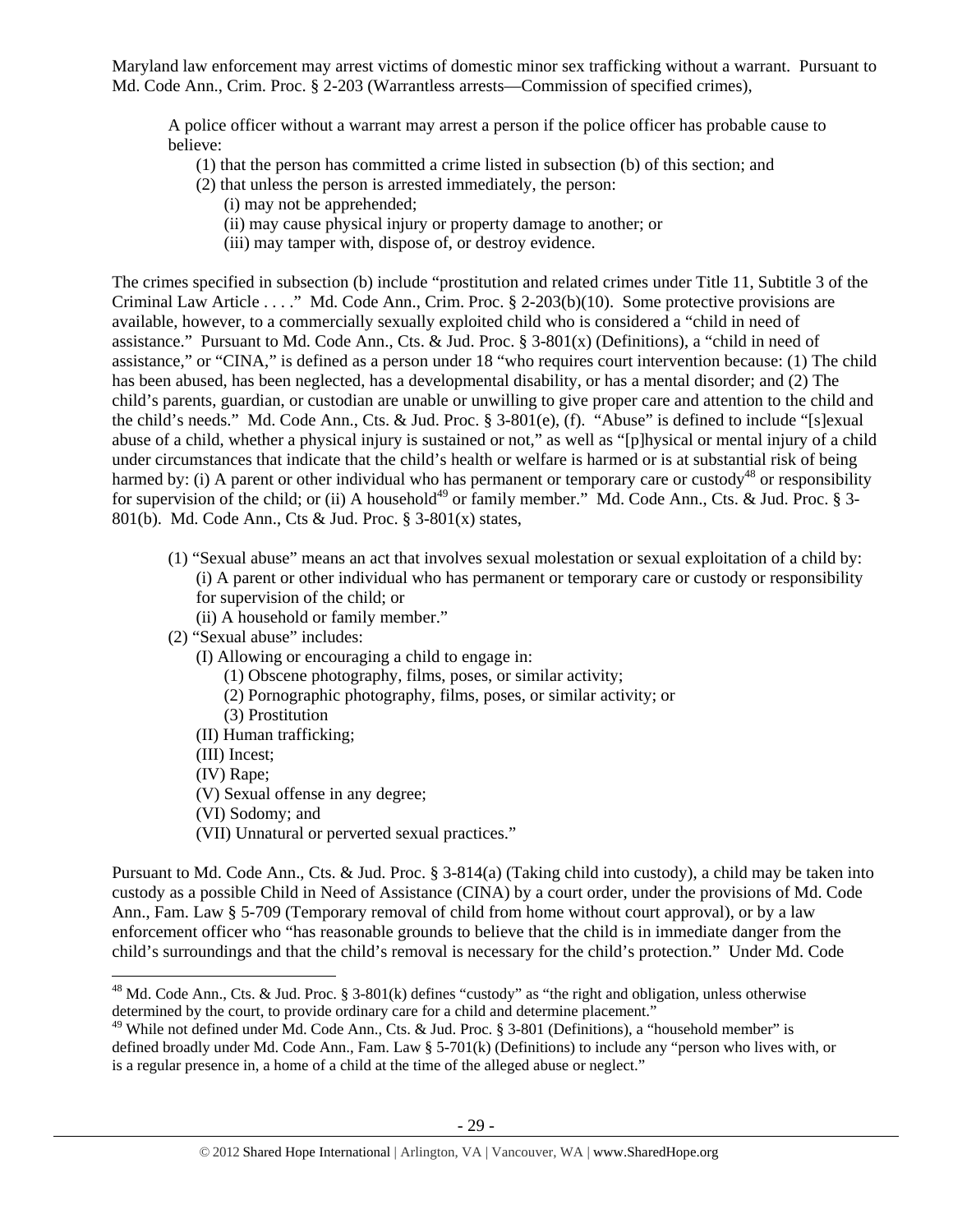Maryland law enforcement may arrest victims of domestic minor sex trafficking without a warrant. Pursuant to Md. Code Ann., Crim. Proc. § 2-203 (Warrantless arrests—Commission of specified crimes),

A police officer without a warrant may arrest a person if the police officer has probable cause to believe:

- (1) that the person has committed a crime listed in subsection (b) of this section; and
- (2) that unless the person is arrested immediately, the person:
	- (i) may not be apprehended;
	- (ii) may cause physical injury or property damage to another; or
	- (iii) may tamper with, dispose of, or destroy evidence.

The crimes specified in subsection (b) include "prostitution and related crimes under Title 11, Subtitle 3 of the Criminal Law Article . . . ." Md. Code Ann., Crim. Proc. § 2-203(b)(10). Some protective provisions are available, however, to a commercially sexually exploited child who is considered a "child in need of assistance." Pursuant to Md. Code Ann., Cts. & Jud. Proc. § 3-801(x) (Definitions), a "child in need of assistance," or "CINA," is defined as a person under 18 "who requires court intervention because: (1) The child has been abused, has been neglected, has a developmental disability, or has a mental disorder; and (2) The child's parents, guardian, or custodian are unable or unwilling to give proper care and attention to the child and the child's needs." Md. Code Ann., Cts. & Jud. Proc. § 3-801(e), (f). "Abuse" is defined to include "[s]exual abuse of a child, whether a physical injury is sustained or not," as well as "[p]hysical or mental injury of a child under circumstances that indicate that the child's health or welfare is harmed or is at substantial risk of being harmed by: (i) A parent or other individual who has permanent or temporary care or custody<sup>48</sup> or responsibility for supervision of the child; or (ii) A household<sup>49</sup> or family member." Md. Code Ann., Cts. & Jud. Proc. § 3-801(b). Md. Code Ann., Cts & Jud. Proc. § 3-801(x) states,

- (1) "Sexual abuse" means an act that involves sexual molestation or sexual exploitation of a child by: (i) A parent or other individual who has permanent or temporary care or custody or responsibility for supervision of the child; or
	- (ii) A household or family member."
- (2) "Sexual abuse" includes:
	- (I) Allowing or encouraging a child to engage in:
		- (1) Obscene photography, films, poses, or similar activity;
		- (2) Pornographic photography, films, poses, or similar activity; or
		- (3) Prostitution
	- (II) Human trafficking;
	- (III) Incest;
	- (IV) Rape;

- (V) Sexual offense in any degree;
- (VI) Sodomy; and
- (VII) Unnatural or perverted sexual practices."

Pursuant to Md. Code Ann., Cts. & Jud. Proc. § 3-814(a) (Taking child into custody), a child may be taken into custody as a possible Child in Need of Assistance (CINA) by a court order, under the provisions of Md. Code Ann., Fam. Law § 5-709 (Temporary removal of child from home without court approval), or by a law enforcement officer who "has reasonable grounds to believe that the child is in immediate danger from the child's surroundings and that the child's removal is necessary for the child's protection." Under Md. Code

<sup>&</sup>lt;sup>48</sup> Md. Code Ann., Cts. & Jud. Proc. § 3-801(k) defines "custody" as "the right and obligation, unless otherwise determined by the court, to provide ordinary care for a child and determine placement."

<sup>&</sup>lt;sup>49</sup> While not defined under Md. Code Ann., Cts. & Jud. Proc. § 3-801 (Definitions), a "household member" is defined broadly under Md. Code Ann., Fam. Law § 5-701(k) (Definitions) to include any "person who lives with, or is a regular presence in, a home of a child at the time of the alleged abuse or neglect."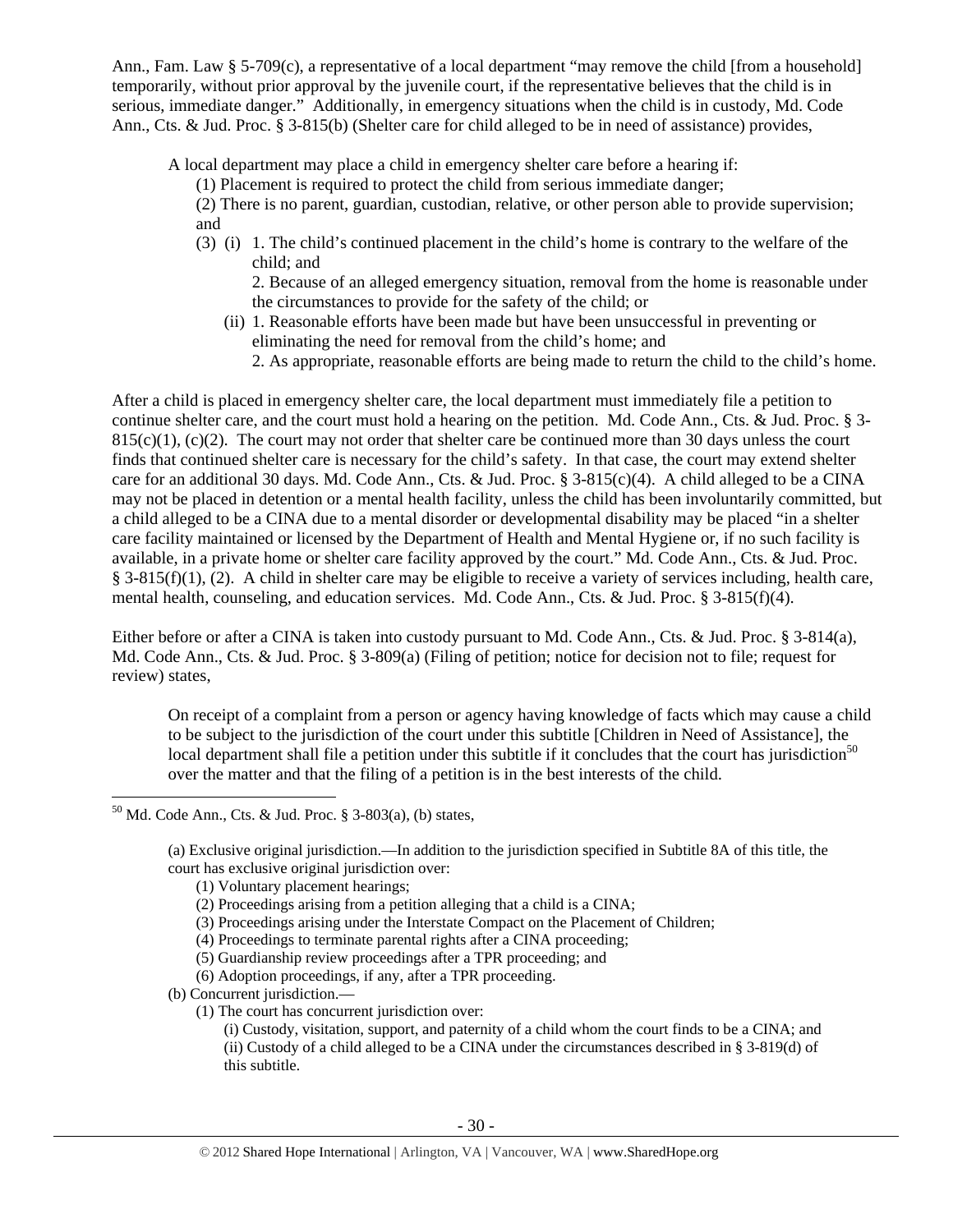Ann., Fam. Law § 5-709(c), a representative of a local department "may remove the child [from a household] temporarily, without prior approval by the juvenile court, if the representative believes that the child is in serious, immediate danger." Additionally, in emergency situations when the child is in custody, Md. Code Ann., Cts. & Jud. Proc. § 3-815(b) (Shelter care for child alleged to be in need of assistance) provides,

A local department may place a child in emergency shelter care before a hearing if:

(1) Placement is required to protect the child from serious immediate danger;

(2) There is no parent, guardian, custodian, relative, or other person able to provide supervision; and

(3) (i) 1. The child's continued placement in the child's home is contrary to the welfare of the child; and

2. Because of an alleged emergency situation, removal from the home is reasonable under the circumstances to provide for the safety of the child; or

- (ii) 1. Reasonable efforts have been made but have been unsuccessful in preventing or eliminating the need for removal from the child's home; and
	- 2. As appropriate, reasonable efforts are being made to return the child to the child's home.

After a child is placed in emergency shelter care, the local department must immediately file a petition to continue shelter care, and the court must hold a hearing on the petition. Md. Code Ann., Cts. & Jud. Proc. § 3-  $815(c)(1)$ , (c)(2). The court may not order that shelter care be continued more than 30 days unless the court finds that continued shelter care is necessary for the child's safety. In that case, the court may extend shelter care for an additional 30 days. Md. Code Ann., Cts. & Jud. Proc. § 3-815(c)(4). A child alleged to be a CINA may not be placed in detention or a mental health facility, unless the child has been involuntarily committed, but a child alleged to be a CINA due to a mental disorder or developmental disability may be placed "in a shelter care facility maintained or licensed by the Department of Health and Mental Hygiene or, if no such facility is available, in a private home or shelter care facility approved by the court." Md. Code Ann., Cts. & Jud. Proc. § 3-815(f)(1), (2). A child in shelter care may be eligible to receive a variety of services including, health care, mental health, counseling, and education services. Md. Code Ann., Cts. & Jud. Proc. § 3-815(f)(4).

Either before or after a CINA is taken into custody pursuant to Md. Code Ann., Cts. & Jud. Proc. § 3-814(a), Md. Code Ann., Cts. & Jud. Proc. § 3-809(a) (Filing of petition; notice for decision not to file; request for review) states,

On receipt of a complaint from a person or agency having knowledge of facts which may cause a child to be subject to the jurisdiction of the court under this subtitle [Children in Need of Assistance], the local department shall file a petition under this subtitle if it concludes that the court has jurisdiction<sup>50</sup> over the matter and that the filing of a petition is in the best interests of the child.

- (5) Guardianship review proceedings after a TPR proceeding; and
- (6) Adoption proceedings, if any, after a TPR proceeding.

(b) Concurrent jurisdiction.—

(1) The court has concurrent jurisdiction over:

(i) Custody, visitation, support, and paternity of a child whom the court finds to be a CINA; and (ii) Custody of a child alleged to be a CINA under the circumstances described in § 3-819(d) of this subtitle.

 $50$  Md. Code Ann., Cts. & Jud. Proc. § 3-803(a), (b) states,

<sup>(</sup>a) Exclusive original jurisdiction.—In addition to the jurisdiction specified in Subtitle 8A of this title, the court has exclusive original jurisdiction over:

<sup>(1)</sup> Voluntary placement hearings;

<sup>(2)</sup> Proceedings arising from a petition alleging that a child is a CINA;

<sup>(3)</sup> Proceedings arising under the Interstate Compact on the Placement of Children;

<sup>(4)</sup> Proceedings to terminate parental rights after a CINA proceeding;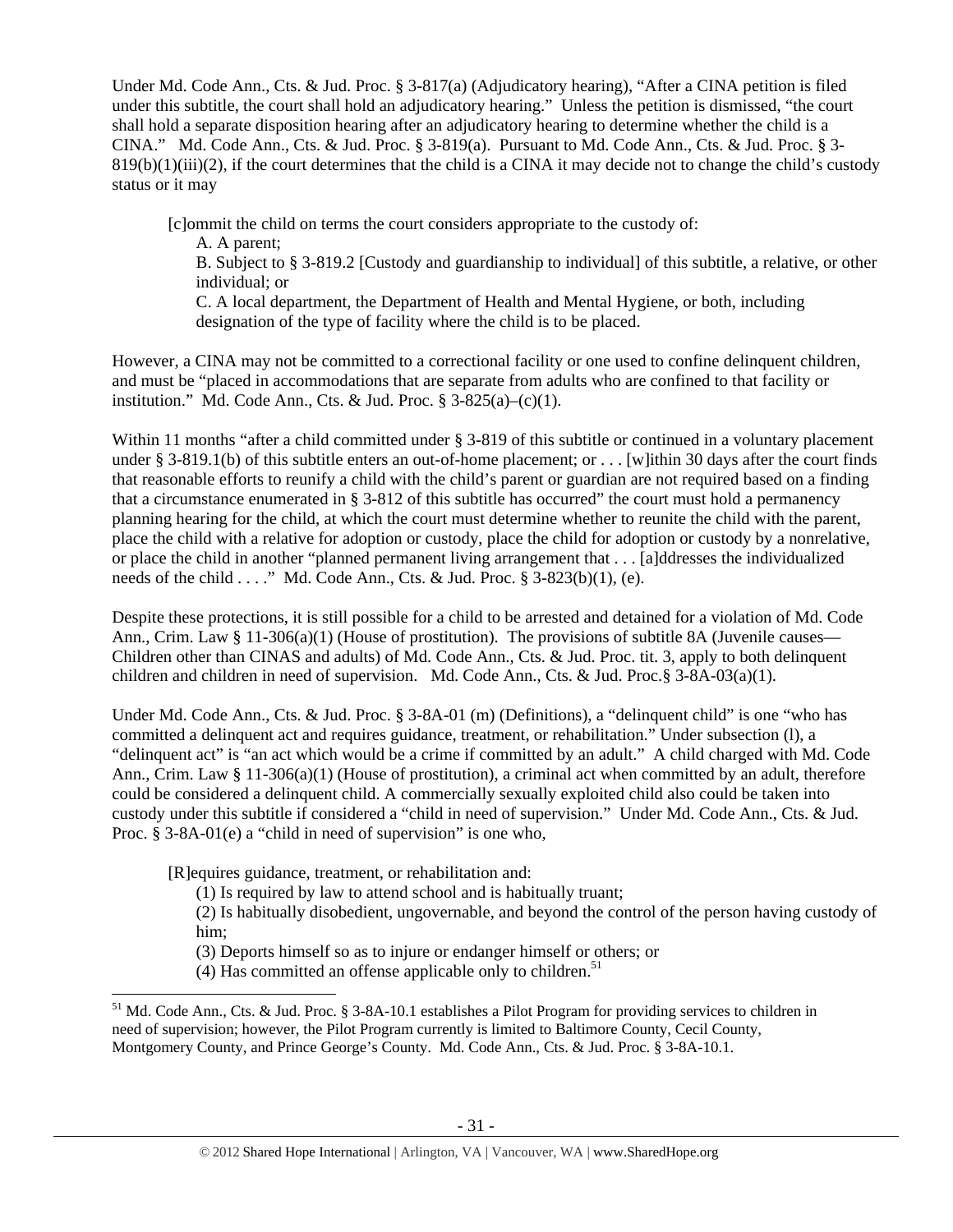Under Md. Code Ann., Cts. & Jud. Proc. § 3-817(a) (Adjudicatory hearing), "After a CINA petition is filed under this subtitle, the court shall hold an adjudicatory hearing." Unless the petition is dismissed, "the court shall hold a separate disposition hearing after an adjudicatory hearing to determine whether the child is a CINA." Md. Code Ann., Cts. & Jud. Proc. § 3-819(a). Pursuant to Md. Code Ann., Cts. & Jud. Proc. § 3-  $819(b)(1)(iii)(2)$ , if the court determines that the child is a CINA it may decide not to change the child's custody status or it may

[c]ommit the child on terms the court considers appropriate to the custody of:

A. A parent;

B. Subject to § 3-819.2 [Custody and guardianship to individual] of this subtitle, a relative, or other individual; or

C. A local department, the Department of Health and Mental Hygiene, or both, including designation of the type of facility where the child is to be placed.

However, a CINA may not be committed to a correctional facility or one used to confine delinquent children, and must be "placed in accommodations that are separate from adults who are confined to that facility or institution." Md. Code Ann., Cts. & Jud. Proc.  $\S$  3-825(a)–(c)(1).

Within 11 months "after a child committed under § 3-819 of this subtitle or continued in a voluntary placement under § 3-819.1(b) of this subtitle enters an out-of-home placement; or . . . [w]ithin 30 days after the court finds that reasonable efforts to reunify a child with the child's parent or guardian are not required based on a finding that a circumstance enumerated in § 3-812 of this subtitle has occurred" the court must hold a permanency planning hearing for the child, at which the court must determine whether to reunite the child with the parent, place the child with a relative for adoption or custody, place the child for adoption or custody by a nonrelative, or place the child in another "planned permanent living arrangement that . . . [a]ddresses the individualized needs of the child . . . ." Md. Code Ann., Cts. & Jud. Proc.  $\S$  3-823(b)(1), (e).

Despite these protections, it is still possible for a child to be arrested and detained for a violation of Md. Code Ann., Crim. Law § 11-306(a)(1) (House of prostitution). The provisions of subtitle 8A (Juvenile causes— Children other than CINAS and adults) of Md. Code Ann., Cts. & Jud. Proc. tit. 3, apply to both delinquent children and children in need of supervision. Md. Code Ann., Cts. & Jud. Proc.§ 3-8A-03(a)(1).

Under Md. Code Ann., Cts. & Jud. Proc. § 3-8A-01 (m) (Definitions), a "delinquent child" is one "who has committed a delinquent act and requires guidance, treatment, or rehabilitation." Under subsection (l), a "delinquent act" is "an act which would be a crime if committed by an adult." A child charged with Md. Code Ann., Crim. Law § 11-306(a)(1) (House of prostitution), a criminal act when committed by an adult, therefore could be considered a delinquent child. A commercially sexually exploited child also could be taken into custody under this subtitle if considered a "child in need of supervision." Under Md. Code Ann., Cts. & Jud. Proc. § 3-8A-01(e) a "child in need of supervision" is one who,

[R]equires guidance, treatment, or rehabilitation and:

(1) Is required by law to attend school and is habitually truant;

(2) Is habitually disobedient, ungovernable, and beyond the control of the person having custody of him;

(3) Deports himself so as to injure or endanger himself or others; or

(4) Has committed an offense applicable only to children.<sup>51</sup>

<sup>&</sup>lt;sup>51</sup> Md. Code Ann., Cts. & Jud. Proc. § 3-8A-10.1 establishes a Pilot Program for providing services to children in need of supervision; however, the Pilot Program currently is limited to Baltimore County, Cecil County, Montgomery County, and Prince George's County. Md. Code Ann., Cts. & Jud. Proc. § 3-8A-10.1.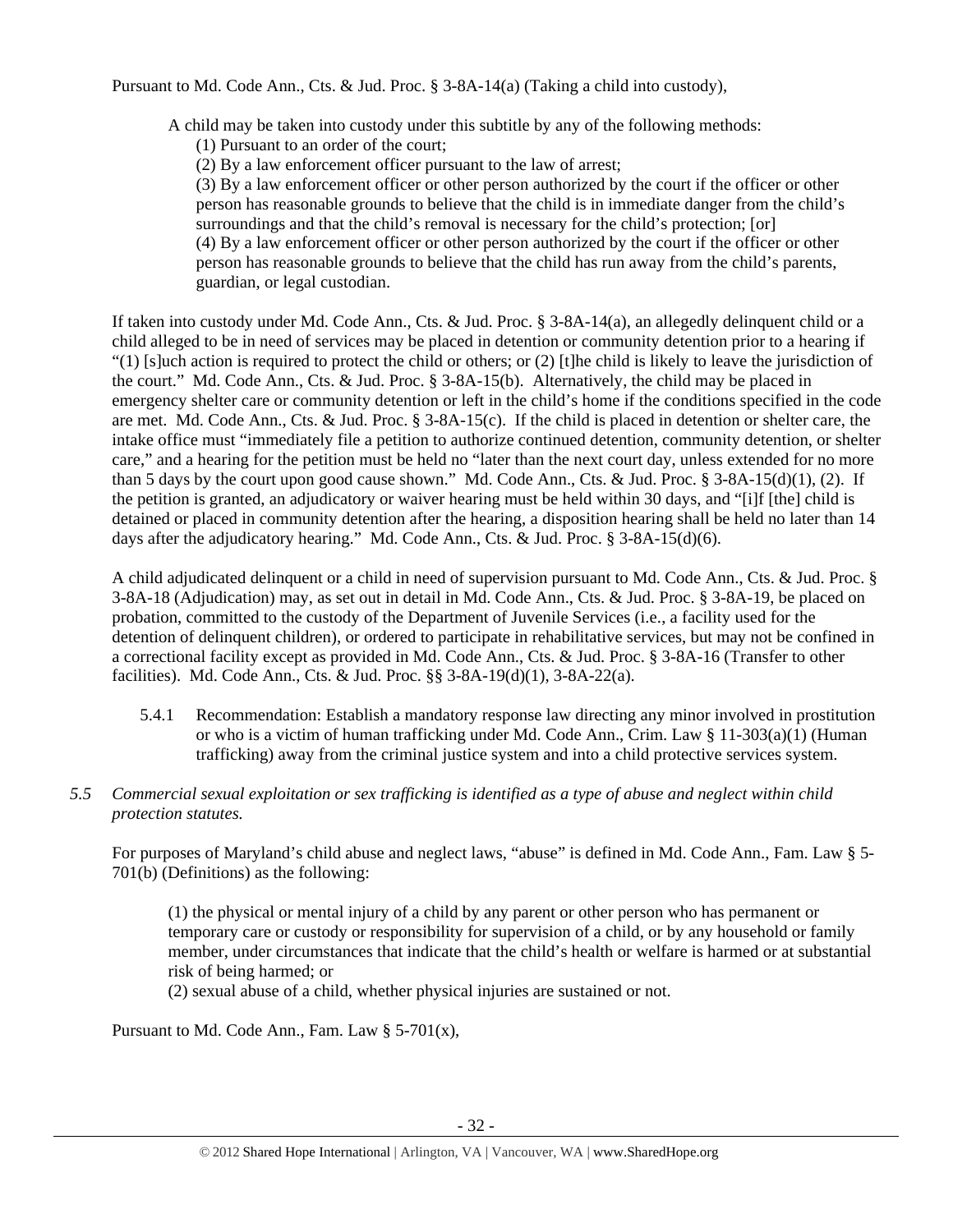Pursuant to Md. Code Ann., Cts. & Jud. Proc. § 3-8A-14(a) (Taking a child into custody),

A child may be taken into custody under this subtitle by any of the following methods:

(1) Pursuant to an order of the court;

(2) By a law enforcement officer pursuant to the law of arrest;

(3) By a law enforcement officer or other person authorized by the court if the officer or other person has reasonable grounds to believe that the child is in immediate danger from the child's surroundings and that the child's removal is necessary for the child's protection; [or] (4) By a law enforcement officer or other person authorized by the court if the officer or other person has reasonable grounds to believe that the child has run away from the child's parents, guardian, or legal custodian.

If taken into custody under Md. Code Ann., Cts. & Jud. Proc. § 3-8A-14(a), an allegedly delinquent child or a child alleged to be in need of services may be placed in detention or community detention prior to a hearing if  $(1)$  [s]uch action is required to protect the child or others; or (2) [t]he child is likely to leave the jurisdiction of the court." Md. Code Ann., Cts. & Jud. Proc. § 3-8A-15(b). Alternatively, the child may be placed in emergency shelter care or community detention or left in the child's home if the conditions specified in the code are met. Md. Code Ann., Cts. & Jud. Proc. § 3-8A-15(c). If the child is placed in detention or shelter care, the intake office must "immediately file a petition to authorize continued detention, community detention, or shelter care," and a hearing for the petition must be held no "later than the next court day, unless extended for no more than 5 days by the court upon good cause shown." Md. Code Ann., Cts. & Jud. Proc. § 3-8A-15(d)(1), (2). If the petition is granted, an adjudicatory or waiver hearing must be held within 30 days, and "[i]f [the] child is detained or placed in community detention after the hearing, a disposition hearing shall be held no later than 14 days after the adjudicatory hearing." Md. Code Ann., Cts. & Jud. Proc. § 3-8A-15(d)(6).

A child adjudicated delinquent or a child in need of supervision pursuant to Md. Code Ann., Cts. & Jud. Proc. § 3-8A-18 (Adjudication) may, as set out in detail in Md. Code Ann., Cts. & Jud. Proc. § 3-8A-19, be placed on probation, committed to the custody of the Department of Juvenile Services (i.e., a facility used for the detention of delinquent children), or ordered to participate in rehabilitative services, but may not be confined in a correctional facility except as provided in Md. Code Ann., Cts. & Jud. Proc. § 3-8A-16 (Transfer to other facilities). Md. Code Ann., Cts. & Jud. Proc. §§ 3-8A-19(d)(1), 3-8A-22(a).

- 5.4.1 Recommendation: Establish a mandatory response law directing any minor involved in prostitution or who is a victim of human trafficking under Md. Code Ann., Crim. Law § 11-303(a)(1) (Human trafficking) away from the criminal justice system and into a child protective services system.
- *5.5 Commercial sexual exploitation or sex trafficking is identified as a type of abuse and neglect within child protection statutes.*

For purposes of Maryland's child abuse and neglect laws, "abuse" is defined in Md. Code Ann., Fam. Law § 5- 701(b) (Definitions) as the following:

(1) the physical or mental injury of a child by any parent or other person who has permanent or temporary care or custody or responsibility for supervision of a child, or by any household or family member, under circumstances that indicate that the child's health or welfare is harmed or at substantial risk of being harmed; or

(2) sexual abuse of a child, whether physical injuries are sustained or not.

Pursuant to Md. Code Ann., Fam. Law  $\S$  5-701(x),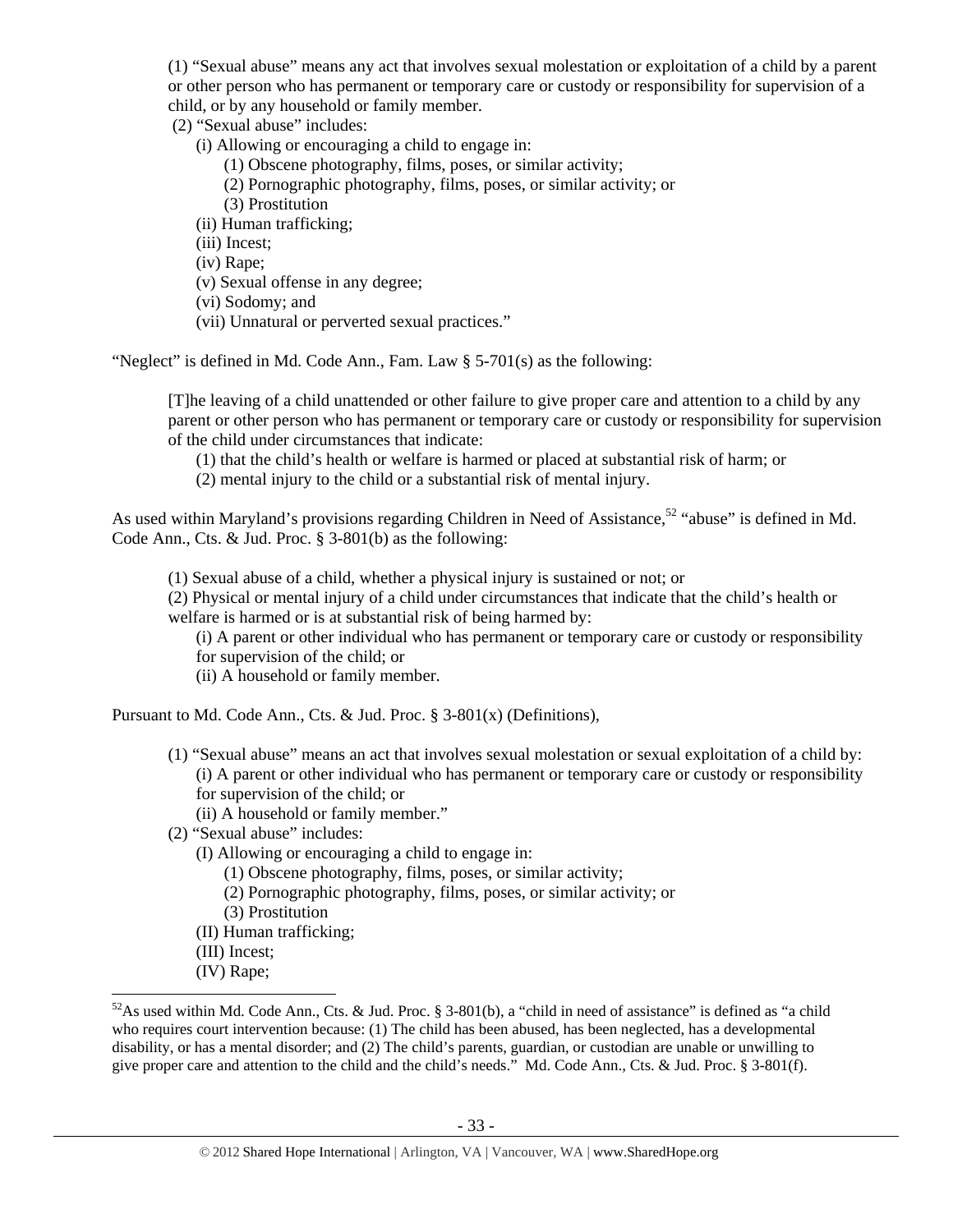(1) "Sexual abuse" means any act that involves sexual molestation or exploitation of a child by a parent or other person who has permanent or temporary care or custody or responsibility for supervision of a child, or by any household or family member.

(2) "Sexual abuse" includes:

- (i) Allowing or encouraging a child to engage in:
	- (1) Obscene photography, films, poses, or similar activity;
	- (2) Pornographic photography, films, poses, or similar activity; or
	- (3) Prostitution
- (ii) Human trafficking;

(iii) Incest;

(iv) Rape;

- (v) Sexual offense in any degree;
- (vi) Sodomy; and
- (vii) Unnatural or perverted sexual practices."

"Neglect" is defined in Md. Code Ann., Fam. Law § 5-701(s) as the following:

[T]he leaving of a child unattended or other failure to give proper care and attention to a child by any parent or other person who has permanent or temporary care or custody or responsibility for supervision of the child under circumstances that indicate:

(1) that the child's health or welfare is harmed or placed at substantial risk of harm; or

(2) mental injury to the child or a substantial risk of mental injury.

As used within Maryland's provisions regarding Children in Need of Assistance,<sup>52</sup> "abuse" is defined in Md. Code Ann., Cts. & Jud. Proc. § 3-801(b) as the following:

(1) Sexual abuse of a child, whether a physical injury is sustained or not; or

(2) Physical or mental injury of a child under circumstances that indicate that the child's health or welfare is harmed or is at substantial risk of being harmed by:

(i) A parent or other individual who has permanent or temporary care or custody or responsibility for supervision of the child; or

(ii) A household or family member.

Pursuant to Md. Code Ann., Cts. & Jud. Proc. § 3-801(x) (Definitions),

- (1) "Sexual abuse" means an act that involves sexual molestation or sexual exploitation of a child by: (i) A parent or other individual who has permanent or temporary care or custody or responsibility for supervision of the child; or
	- (ii) A household or family member."
- (2) "Sexual abuse" includes:
	- (I) Allowing or encouraging a child to engage in:
		- (1) Obscene photography, films, poses, or similar activity;
		- (2) Pornographic photography, films, poses, or similar activity; or
		- (3) Prostitution
	- (II) Human trafficking;
	- (III) Incest;
- (IV) Rape;

 $52$ As used within Md. Code Ann., Cts. & Jud. Proc. § 3-801(b), a "child in need of assistance" is defined as "a child who requires court intervention because: (1) The child has been abused, has been neglected, has a developmental disability, or has a mental disorder; and (2) The child's parents, guardian, or custodian are unable or unwilling to give proper care and attention to the child and the child's needs." Md. Code Ann., Cts. & Jud. Proc. § 3-801(f).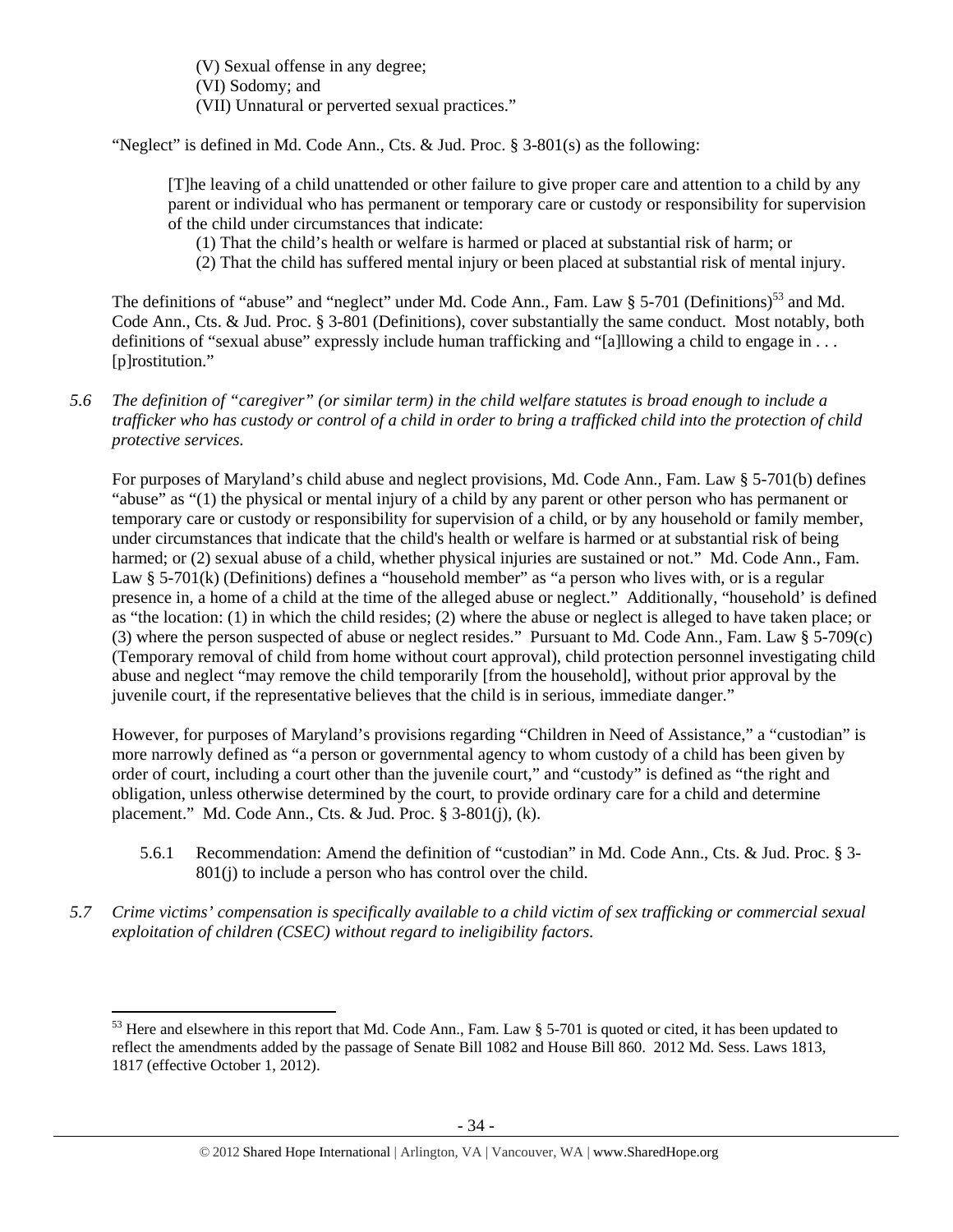(V) Sexual offense in any degree; (VI) Sodomy; and (VII) Unnatural or perverted sexual practices."

"Neglect" is defined in Md. Code Ann., Cts. & Jud. Proc. § 3-801(s) as the following:

[T]he leaving of a child unattended or other failure to give proper care and attention to a child by any parent or individual who has permanent or temporary care or custody or responsibility for supervision of the child under circumstances that indicate:

(1) That the child's health or welfare is harmed or placed at substantial risk of harm; or

(2) That the child has suffered mental injury or been placed at substantial risk of mental injury.

The definitions of "abuse" and "neglect" under Md. Code Ann., Fam. Law § 5-701 (Definitions)<sup>53</sup> and Md. Code Ann., Cts. & Jud. Proc. § 3-801 (Definitions), cover substantially the same conduct. Most notably, both definitions of "sexual abuse" expressly include human trafficking and "[a]llowing a child to engage in . . . [p]rostitution."

*5.6 The definition of "caregiver" (or similar term) in the child welfare statutes is broad enough to include a trafficker who has custody or control of a child in order to bring a trafficked child into the protection of child protective services.* 

For purposes of Maryland's child abuse and neglect provisions, Md. Code Ann., Fam. Law § 5-701(b) defines "abuse" as "(1) the physical or mental injury of a child by any parent or other person who has permanent or temporary care or custody or responsibility for supervision of a child, or by any household or family member, under circumstances that indicate that the child's health or welfare is harmed or at substantial risk of being harmed; or (2) sexual abuse of a child, whether physical injuries are sustained or not." Md. Code Ann., Fam. Law § 5-701(k) (Definitions) defines a "household member" as "a person who lives with, or is a regular presence in, a home of a child at the time of the alleged abuse or neglect." Additionally, "household' is defined as "the location: (1) in which the child resides; (2) where the abuse or neglect is alleged to have taken place; or (3) where the person suspected of abuse or neglect resides." Pursuant to Md. Code Ann., Fam. Law § 5-709(c) (Temporary removal of child from home without court approval), child protection personnel investigating child abuse and neglect "may remove the child temporarily [from the household], without prior approval by the juvenile court, if the representative believes that the child is in serious, immediate danger."

However, for purposes of Maryland's provisions regarding "Children in Need of Assistance," a "custodian" is more narrowly defined as "a person or governmental agency to whom custody of a child has been given by order of court, including a court other than the juvenile court," and "custody" is defined as "the right and obligation, unless otherwise determined by the court, to provide ordinary care for a child and determine placement." Md. Code Ann., Cts. & Jud. Proc. § 3-801(j), (k).

- 5.6.1 Recommendation: Amend the definition of "custodian" in Md. Code Ann., Cts. & Jud. Proc. § 3- 801(j) to include a person who has control over the child.
- *5.7 Crime victims' compensation is specifically available to a child victim of sex trafficking or commercial sexual exploitation of children (CSEC) without regard to ineligibility factors.*

 $53$  Here and elsewhere in this report that Md. Code Ann., Fam. Law § 5-701 is quoted or cited, it has been updated to reflect the amendments added by the passage of Senate Bill 1082 and House Bill 860. 2012 Md. Sess. Laws 1813, 1817 (effective October 1, 2012).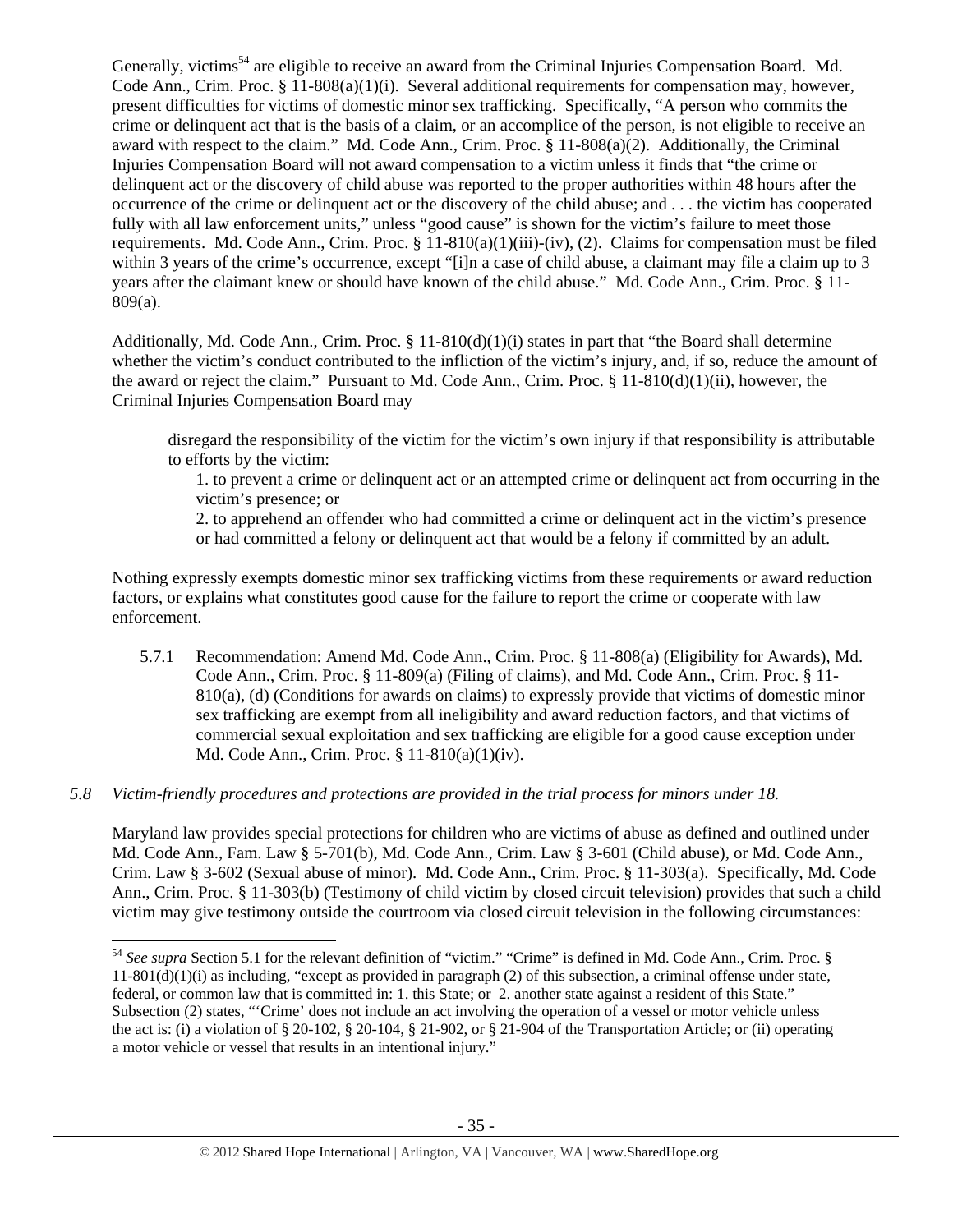Generally, victims<sup>54</sup> are eligible to receive an award from the Criminal Injuries Compensation Board. Md. Code Ann., Crim. Proc.  $\S 11-808(a)(1)(i)$ . Several additional requirements for compensation may, however, present difficulties for victims of domestic minor sex trafficking. Specifically, "A person who commits the crime or delinquent act that is the basis of a claim, or an accomplice of the person, is not eligible to receive an award with respect to the claim." Md. Code Ann., Crim. Proc. § 11-808(a)(2). Additionally, the Criminal Injuries Compensation Board will not award compensation to a victim unless it finds that "the crime or delinquent act or the discovery of child abuse was reported to the proper authorities within 48 hours after the occurrence of the crime or delinquent act or the discovery of the child abuse; and . . . the victim has cooperated fully with all law enforcement units," unless "good cause" is shown for the victim's failure to meet those requirements. Md. Code Ann., Crim. Proc. § 11-810(a)(1)(iii)-(iv), (2). Claims for compensation must be filed within 3 years of the crime's occurrence, except "[i]n a case of child abuse, a claimant may file a claim up to 3 years after the claimant knew or should have known of the child abuse." Md. Code Ann., Crim. Proc. § 11- 809(a).

Additionally, Md. Code Ann., Crim. Proc. § 11-810(d)(1)(i) states in part that "the Board shall determine whether the victim's conduct contributed to the infliction of the victim's injury, and, if so, reduce the amount of the award or reject the claim." Pursuant to Md. Code Ann., Crim. Proc. § 11-810(d)(1)(ii), however, the Criminal Injuries Compensation Board may

disregard the responsibility of the victim for the victim's own injury if that responsibility is attributable to efforts by the victim:

1. to prevent a crime or delinquent act or an attempted crime or delinquent act from occurring in the victim's presence; or

2. to apprehend an offender who had committed a crime or delinquent act in the victim's presence or had committed a felony or delinquent act that would be a felony if committed by an adult.

Nothing expressly exempts domestic minor sex trafficking victims from these requirements or award reduction factors, or explains what constitutes good cause for the failure to report the crime or cooperate with law enforcement.

5.7.1 Recommendation: Amend Md. Code Ann., Crim. Proc. § 11-808(a) (Eligibility for Awards), Md. Code Ann., Crim. Proc. § 11-809(a) (Filing of claims), and Md. Code Ann., Crim. Proc. § 11- 810(a), (d) (Conditions for awards on claims) to expressly provide that victims of domestic minor sex trafficking are exempt from all ineligibility and award reduction factors, and that victims of commercial sexual exploitation and sex trafficking are eligible for a good cause exception under Md. Code Ann., Crim. Proc. § 11-810(a)(1)(iv).

# *5.8 Victim-friendly procedures and protections are provided in the trial process for minors under 18.*

Maryland law provides special protections for children who are victims of abuse as defined and outlined under Md. Code Ann., Fam. Law § 5-701(b), Md. Code Ann., Crim. Law § 3-601 (Child abuse), or Md. Code Ann., Crim. Law § 3-602 (Sexual abuse of minor). Md. Code Ann., Crim. Proc. § 11-303(a). Specifically, Md. Code Ann., Crim. Proc. § 11-303(b) (Testimony of child victim by closed circuit television) provides that such a child victim may give testimony outside the courtroom via closed circuit television in the following circumstances:

<sup>54</sup> *See supra* Section 5.1 for the relevant definition of "victim." "Crime" is defined in Md. Code Ann., Crim. Proc. §  $11-801(d)(1)(i)$  as including, "except as provided in paragraph (2) of this subsection, a criminal offense under state, federal, or common law that is committed in: 1. this State; or 2. another state against a resident of this State." Subsection (2) states, "'Crime' does not include an act involving the operation of a vessel or motor vehicle unless the act is: (i) a violation of § 20-102, § 20-104, § 21-902, or § 21-904 of the Transportation Article; or (ii) operating a motor vehicle or vessel that results in an intentional injury."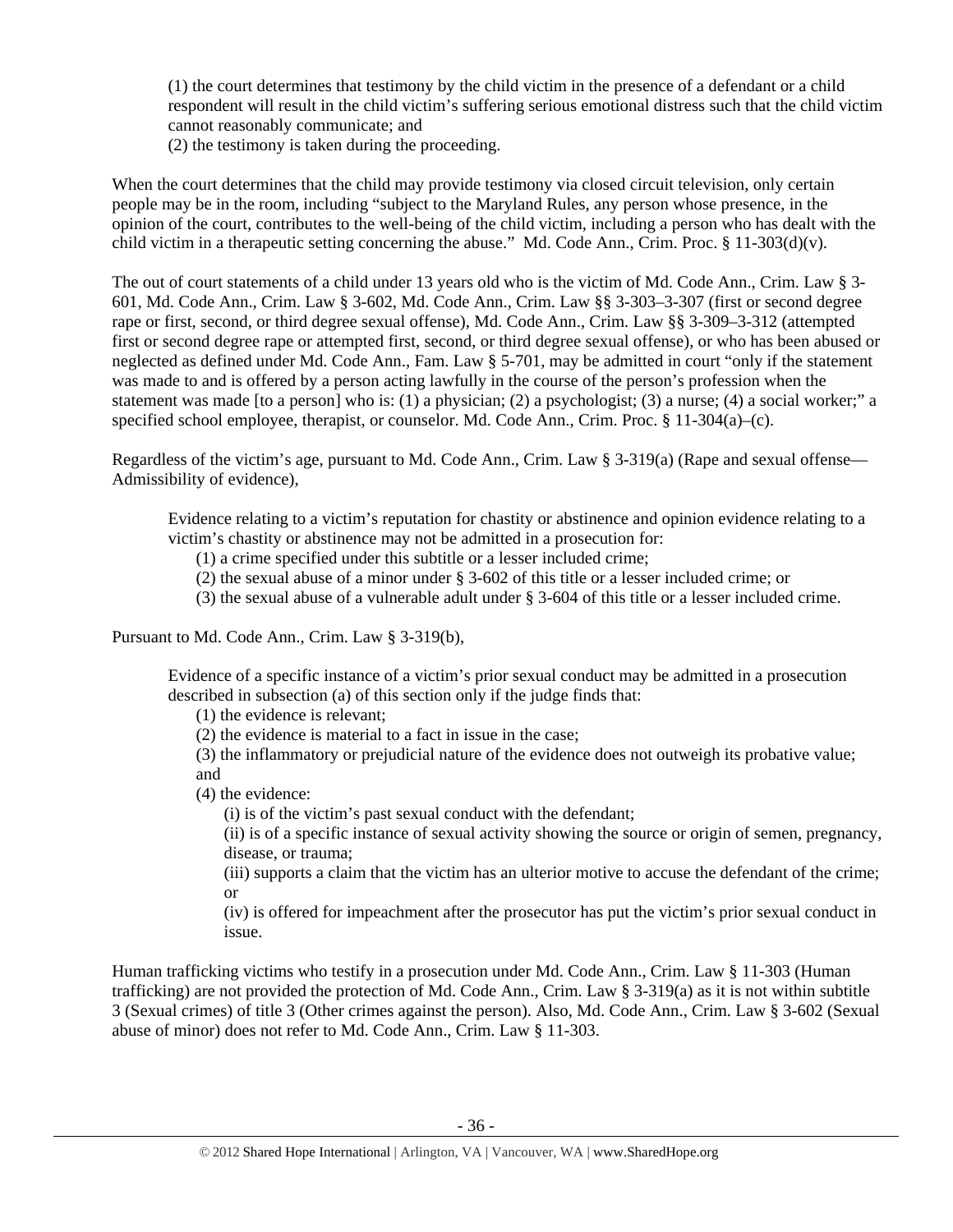(1) the court determines that testimony by the child victim in the presence of a defendant or a child respondent will result in the child victim's suffering serious emotional distress such that the child victim cannot reasonably communicate; and

(2) the testimony is taken during the proceeding.

When the court determines that the child may provide testimony via closed circuit television, only certain people may be in the room, including "subject to the Maryland Rules, any person whose presence, in the opinion of the court, contributes to the well-being of the child victim, including a person who has dealt with the child victim in a therapeutic setting concerning the abuse." Md. Code Ann., Crim. Proc. § 11-303(d)(v).

The out of court statements of a child under 13 years old who is the victim of Md. Code Ann., Crim. Law § 3- 601, Md. Code Ann., Crim. Law § 3-602, Md. Code Ann., Crim. Law §§ 3-303–3-307 (first or second degree rape or first, second, or third degree sexual offense), Md. Code Ann., Crim. Law §§ 3-309–3-312 (attempted first or second degree rape or attempted first, second, or third degree sexual offense), or who has been abused or neglected as defined under Md. Code Ann., Fam. Law § 5-701, may be admitted in court "only if the statement was made to and is offered by a person acting lawfully in the course of the person's profession when the statement was made [to a person] who is: (1) a physician; (2) a psychologist; (3) a nurse; (4) a social worker;" a specified school employee, therapist, or counselor. Md. Code Ann., Crim. Proc. § 11-304(a)–(c).

Regardless of the victim's age, pursuant to Md. Code Ann., Crim. Law § 3-319(a) (Rape and sexual offense— Admissibility of evidence),

Evidence relating to a victim's reputation for chastity or abstinence and opinion evidence relating to a victim's chastity or abstinence may not be admitted in a prosecution for:

(1) a crime specified under this subtitle or a lesser included crime;

(2) the sexual abuse of a minor under § 3-602 of this title or a lesser included crime; or

(3) the sexual abuse of a vulnerable adult under § 3-604 of this title or a lesser included crime.

Pursuant to Md. Code Ann., Crim. Law § 3-319(b),

Evidence of a specific instance of a victim's prior sexual conduct may be admitted in a prosecution described in subsection (a) of this section only if the judge finds that:

(1) the evidence is relevant;

(2) the evidence is material to a fact in issue in the case;

(3) the inflammatory or prejudicial nature of the evidence does not outweigh its probative value; and

(4) the evidence:

(i) is of the victim's past sexual conduct with the defendant;

(ii) is of a specific instance of sexual activity showing the source or origin of semen, pregnancy, disease, or trauma;

(iii) supports a claim that the victim has an ulterior motive to accuse the defendant of the crime; or

(iv) is offered for impeachment after the prosecutor has put the victim's prior sexual conduct in issue.

Human trafficking victims who testify in a prosecution under Md. Code Ann., Crim. Law § 11-303 (Human trafficking) are not provided the protection of Md. Code Ann., Crim. Law § 3-319(a) as it is not within subtitle 3 (Sexual crimes) of title 3 (Other crimes against the person). Also, Md. Code Ann., Crim. Law § 3-602 (Sexual abuse of minor) does not refer to Md. Code Ann., Crim. Law § 11-303.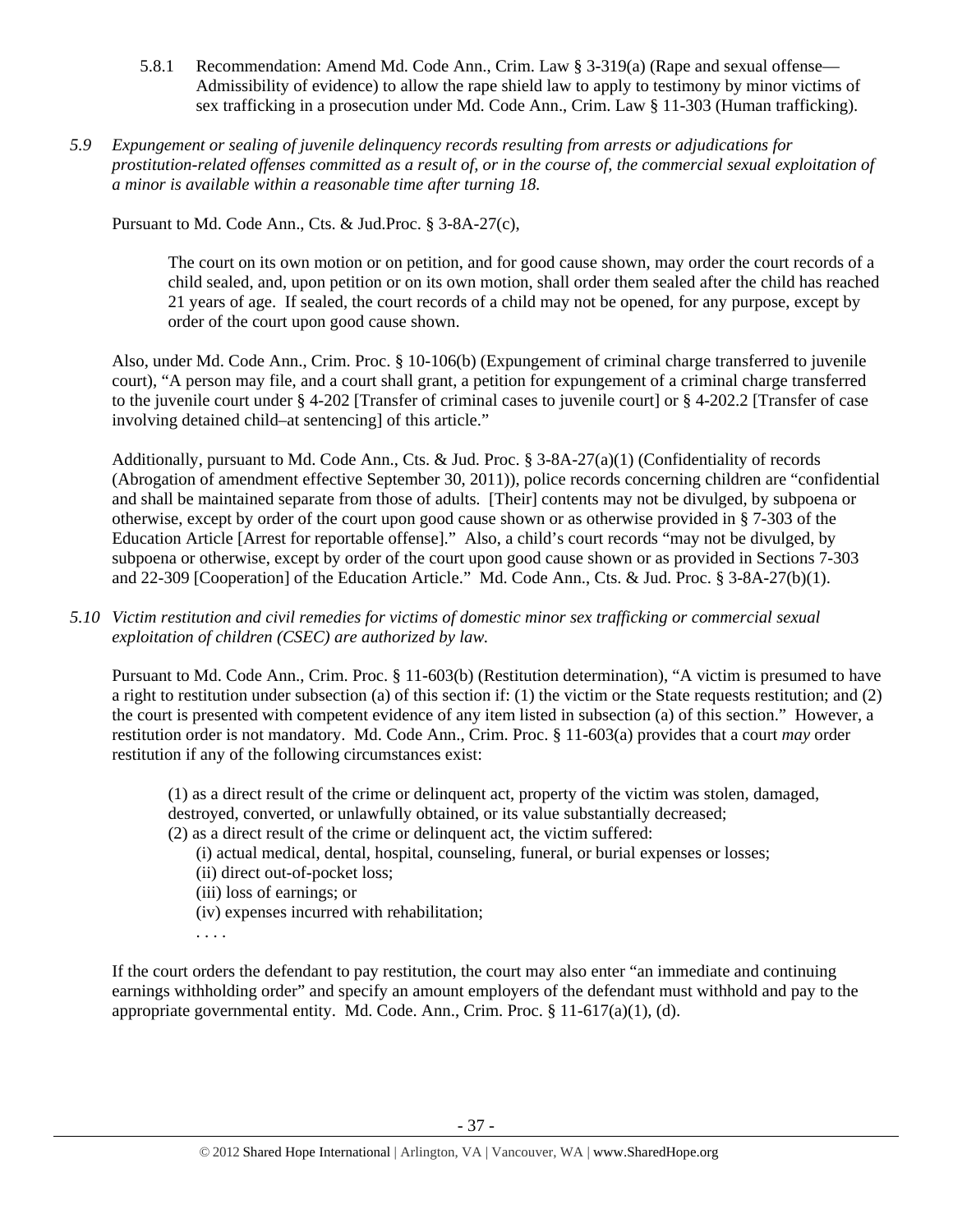- 5.8.1 Recommendation: Amend Md. Code Ann., Crim. Law § 3-319(a) (Rape and sexual offense— Admissibility of evidence) to allow the rape shield law to apply to testimony by minor victims of sex trafficking in a prosecution under Md. Code Ann., Crim. Law § 11-303 (Human trafficking).
- *5.9 Expungement or sealing of juvenile delinquency records resulting from arrests or adjudications for prostitution-related offenses committed as a result of, or in the course of, the commercial sexual exploitation of a minor is available within a reasonable time after turning 18.*

Pursuant to Md. Code Ann., Cts. & Jud.Proc. § 3-8A-27(c),

The court on its own motion or on petition, and for good cause shown, may order the court records of a child sealed, and, upon petition or on its own motion, shall order them sealed after the child has reached 21 years of age. If sealed, the court records of a child may not be opened, for any purpose, except by order of the court upon good cause shown.

Also, under Md. Code Ann., Crim. Proc. § 10-106(b) (Expungement of criminal charge transferred to juvenile court), "A person may file, and a court shall grant, a petition for expungement of a criminal charge transferred to the juvenile court under § 4-202 [Transfer of criminal cases to juvenile court] or § 4-202.2 [Transfer of case involving detained child–at sentencing] of this article."

Additionally, pursuant to Md. Code Ann., Cts. & Jud. Proc.  $\S$  3-8A-27(a)(1) (Confidentiality of records (Abrogation of amendment effective September 30, 2011)), police records concerning children are "confidential and shall be maintained separate from those of adults. [Their] contents may not be divulged, by subpoena or otherwise, except by order of the court upon good cause shown or as otherwise provided in § 7-303 of the Education Article [Arrest for reportable offense]." Also, a child's court records "may not be divulged, by subpoena or otherwise, except by order of the court upon good cause shown or as provided in Sections 7-303 and 22-309 [Cooperation] of the Education Article." Md. Code Ann., Cts. & Jud. Proc. § 3-8A-27(b)(1).

*5.10 Victim restitution and civil remedies for victims of domestic minor sex trafficking or commercial sexual exploitation of children (CSEC) are authorized by law.* 

Pursuant to Md. Code Ann., Crim. Proc. § 11-603(b) (Restitution determination), "A victim is presumed to have a right to restitution under subsection (a) of this section if: (1) the victim or the State requests restitution; and (2) the court is presented with competent evidence of any item listed in subsection (a) of this section." However, a restitution order is not mandatory. Md. Code Ann., Crim. Proc. § 11-603(a) provides that a court *may* order restitution if any of the following circumstances exist:

(1) as a direct result of the crime or delinquent act, property of the victim was stolen, damaged, destroyed, converted, or unlawfully obtained, or its value substantially decreased;

- (2) as a direct result of the crime or delinquent act, the victim suffered:
	- (i) actual medical, dental, hospital, counseling, funeral, or burial expenses or losses;
	- (ii) direct out-of-pocket loss;
	- (iii) loss of earnings; or
	- (iv) expenses incurred with rehabilitation;
	- . . . .

If the court orders the defendant to pay restitution, the court may also enter "an immediate and continuing earnings withholding order" and specify an amount employers of the defendant must withhold and pay to the appropriate governmental entity. Md. Code. Ann., Crim. Proc. § 11-617(a)(1), (d).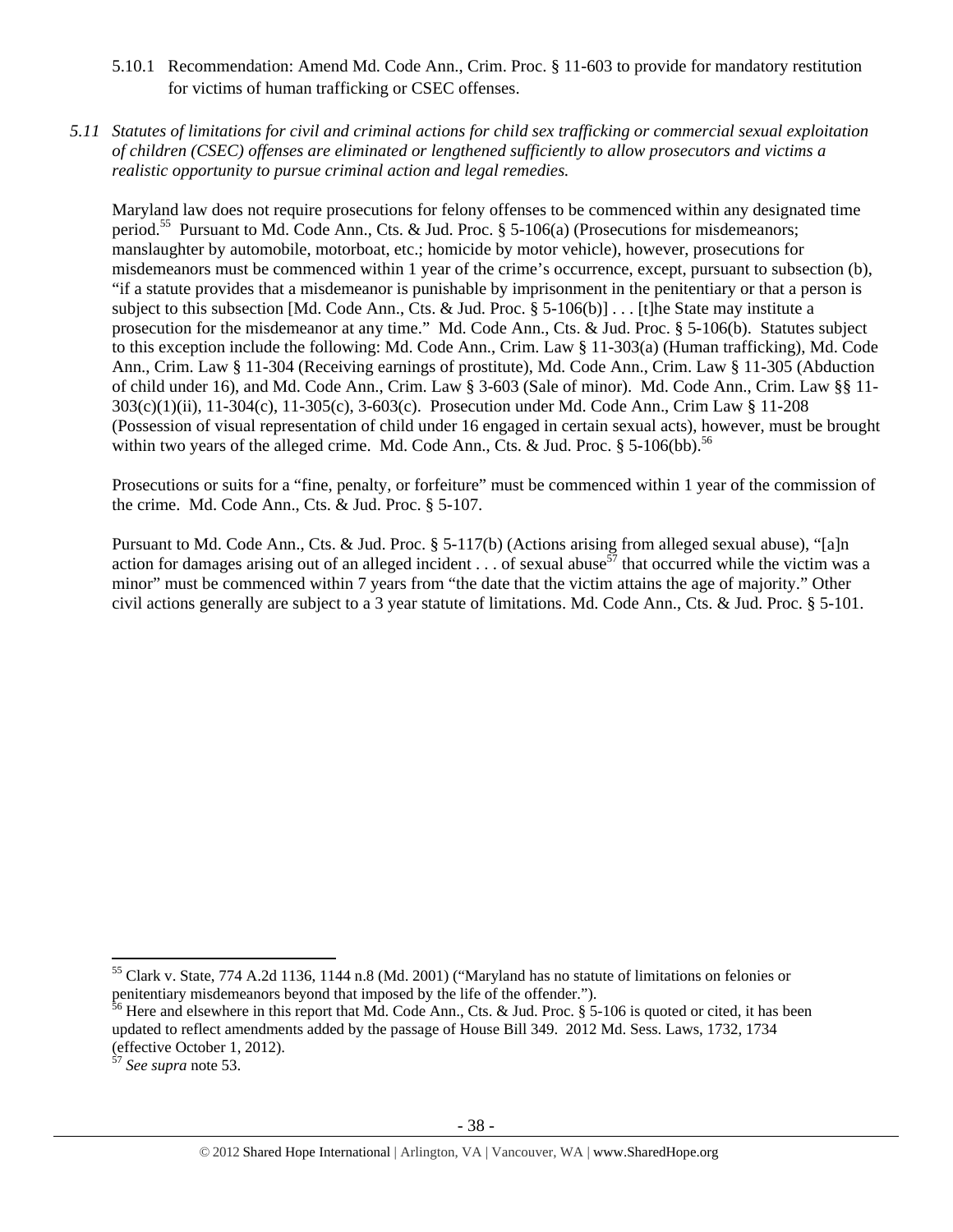- 5.10.1 Recommendation: Amend Md. Code Ann., Crim. Proc. § 11-603 to provide for mandatory restitution for victims of human trafficking or CSEC offenses.
- *5.11 Statutes of limitations for civil and criminal actions for child sex trafficking or commercial sexual exploitation of children (CSEC) offenses are eliminated or lengthened sufficiently to allow prosecutors and victims a realistic opportunity to pursue criminal action and legal remedies.*

Maryland law does not require prosecutions for felony offenses to be commenced within any designated time period.<sup>55</sup> Pursuant to Md. Code Ann., Cts. & Jud. Proc. § 5-106(a) (Prosecutions for misdemeanors; manslaughter by automobile, motorboat, etc.; homicide by motor vehicle), however, prosecutions for misdemeanors must be commenced within 1 year of the crime's occurrence, except, pursuant to subsection (b), "if a statute provides that a misdemeanor is punishable by imprisonment in the penitentiary or that a person is subject to this subsection [Md. Code Ann., Cts. & Jud. Proc. § 5-106(b)] . . . [t]he State may institute a prosecution for the misdemeanor at any time." Md. Code Ann., Cts. & Jud. Proc. § 5-106(b). Statutes subject to this exception include the following: Md. Code Ann., Crim. Law § 11-303(a) (Human trafficking), Md. Code Ann., Crim. Law § 11-304 (Receiving earnings of prostitute), Md. Code Ann., Crim. Law § 11-305 (Abduction of child under 16), and Md. Code Ann., Crim. Law § 3-603 (Sale of minor). Md. Code Ann., Crim. Law §§ 11- 303(c)(1)(ii), 11-304(c), 11-305(c), 3-603(c). Prosecution under Md. Code Ann., Crim Law § 11-208 (Possession of visual representation of child under 16 engaged in certain sexual acts), however, must be brought within two years of the alleged crime. Md. Code Ann., Cts. & Jud. Proc.  $\S$  5-106(bb).<sup>56</sup>

Prosecutions or suits for a "fine, penalty, or forfeiture" must be commenced within 1 year of the commission of the crime. Md. Code Ann., Cts. & Jud. Proc. § 5-107.

Pursuant to Md. Code Ann., Cts. & Jud. Proc. § 5-117(b) (Actions arising from alleged sexual abuse), "[a]n action for damages arising out of an alleged incident  $\ldots$  of sexual abuse<sup>57</sup> that occurred while the victim was a minor" must be commenced within 7 years from "the date that the victim attains the age of majority." Other civil actions generally are subject to a 3 year statute of limitations. Md. Code Ann., Cts. & Jud. Proc. § 5-101.

<sup>55</sup> Clark v. State, 774 A.2d 1136, 1144 n.8 (Md. 2001) ("Maryland has no statute of limitations on felonies or penitentiary misdemeanors beyond that imposed by the life of the offender.").

 $56$  Here and elsewhere in this report that Md. Code Ann., Cts. & Jud. Proc. § 5-106 is quoted or cited, it has been updated to reflect amendments added by the passage of House Bill 349. 2012 Md. Sess. Laws, 1732, 1734 (effective October 1, 2012).

<sup>57</sup> *See supra* note 53.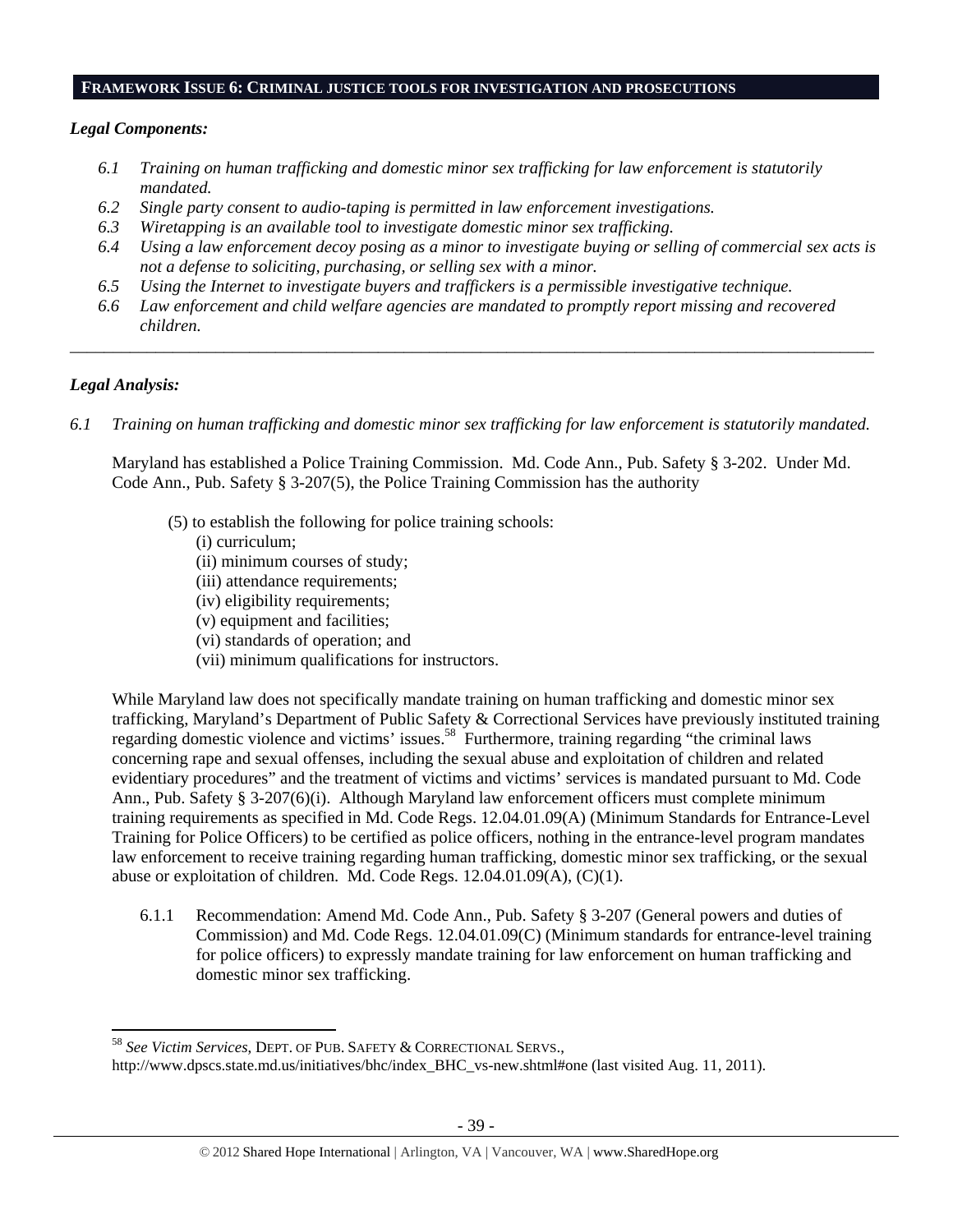#### **FRAMEWORK ISSUE 6: CRIMINAL JUSTICE TOOLS FOR INVESTIGATION AND PROSECUTIONS**

## *Legal Components:*

- *6.1 Training on human trafficking and domestic minor sex trafficking for law enforcement is statutorily mandated.*
- *6.2 Single party consent to audio-taping is permitted in law enforcement investigations.*
- *6.3 Wiretapping is an available tool to investigate domestic minor sex trafficking.*
- *6.4 Using a law enforcement decoy posing as a minor to investigate buying or selling of commercial sex acts is not a defense to soliciting, purchasing, or selling sex with a minor.*
- *6.5 Using the Internet to investigate buyers and traffickers is a permissible investigative technique.*
- *6.6 Law enforcement and child welfare agencies are mandated to promptly report missing and recovered children.*

*\_\_\_\_\_\_\_\_\_\_\_\_\_\_\_\_\_\_\_\_\_\_\_\_\_\_\_\_\_\_\_\_\_\_\_\_\_\_\_\_\_\_\_\_\_\_\_\_\_\_\_\_\_\_\_\_\_\_\_\_\_\_\_\_\_\_\_\_\_\_\_\_\_\_\_\_\_\_\_\_\_\_\_\_\_\_\_\_\_\_\_\_\_\_* 

# *Legal Analysis:*

*6.1 Training on human trafficking and domestic minor sex trafficking for law enforcement is statutorily mandated.*

Maryland has established a Police Training Commission. Md. Code Ann., Pub. Safety § 3-202. Under Md. Code Ann., Pub. Safety § 3-207(5), the Police Training Commission has the authority

(5) to establish the following for police training schools:

# (i) curriculum;

- (ii) minimum courses of study;
- (iii) attendance requirements;
- (iv) eligibility requirements;
- (v) equipment and facilities;
- (vi) standards of operation; and
- (vii) minimum qualifications for instructors.

While Maryland law does not specifically mandate training on human trafficking and domestic minor sex trafficking, Maryland's Department of Public Safety & Correctional Services have previously instituted training regarding domestic violence and victims' issues.<sup>58</sup> Furthermore, training regarding "the criminal laws concerning rape and sexual offenses, including the sexual abuse and exploitation of children and related evidentiary procedures" and the treatment of victims and victims' services is mandated pursuant to Md. Code Ann., Pub. Safety § 3-207(6)(i). Although Maryland law enforcement officers must complete minimum training requirements as specified in Md. Code Regs. 12.04.01.09(A) (Minimum Standards for Entrance-Level Training for Police Officers) to be certified as police officers, nothing in the entrance-level program mandates law enforcement to receive training regarding human trafficking, domestic minor sex trafficking, or the sexual abuse or exploitation of children. Md. Code Regs. 12.04.01.09(A), (C)(1).

6.1.1 Recommendation: Amend Md. Code Ann., Pub. Safety § 3-207 (General powers and duties of Commission) and Md. Code Regs. 12.04.01.09(C) (Minimum standards for entrance-level training for police officers) to expressly mandate training for law enforcement on human trafficking and domestic minor sex trafficking.

 <sup>58</sup> *See Victim Services*, DEPT. OF PUB. SAFETY & CORRECTIONAL SERVS.,

http://www.dpscs.state.md.us/initiatives/bhc/index\_BHC\_vs-new.shtml#one (last visited Aug. 11, 2011).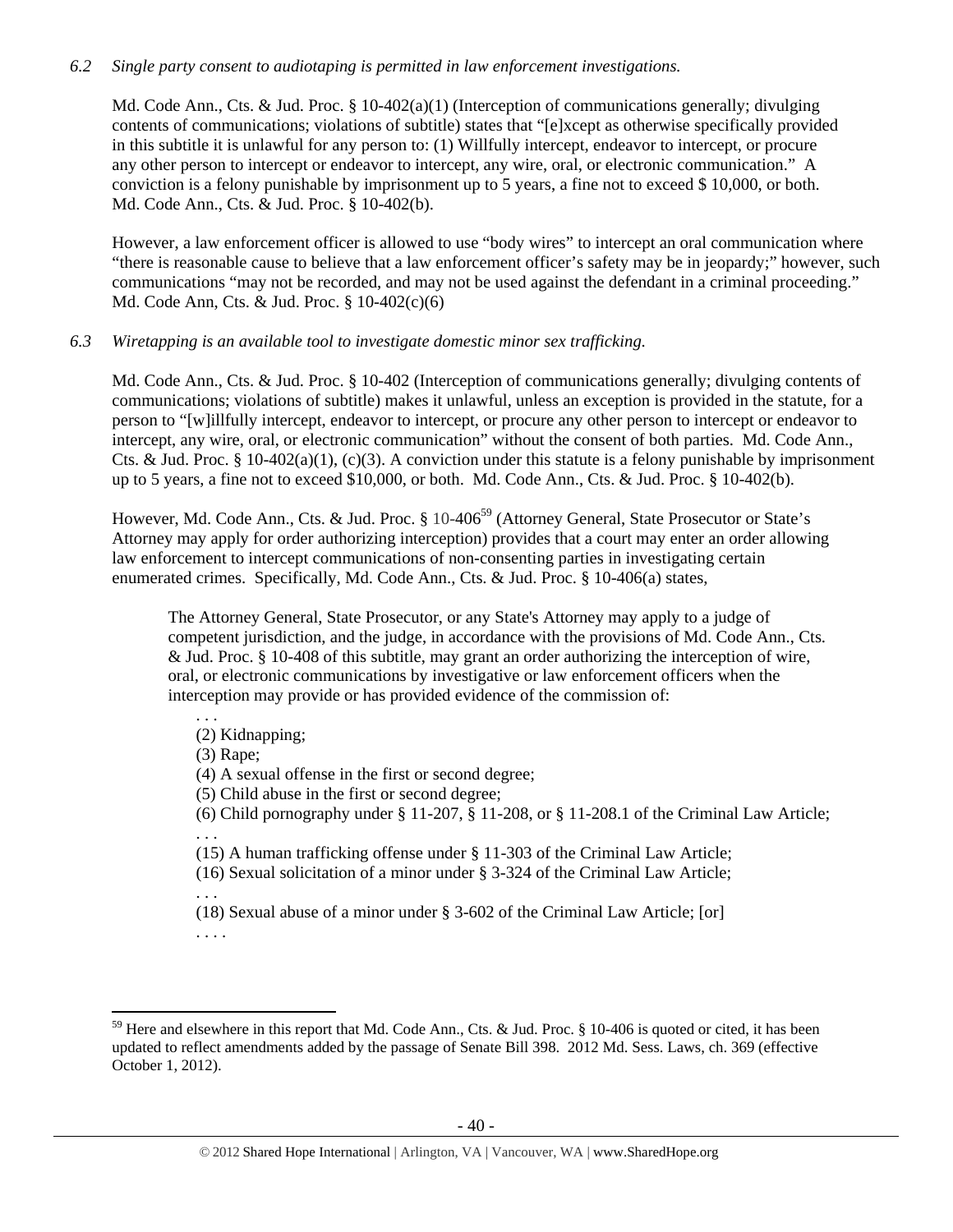# *6.2 Single party consent to audiotaping is permitted in law enforcement investigations.*

Md. Code Ann., Cts. & Jud. Proc. § 10-402(a)(1) (Interception of communications generally; divulging contents of communications; violations of subtitle) states that "[e]xcept as otherwise specifically provided in this subtitle it is unlawful for any person to: (1) Willfully intercept, endeavor to intercept, or procure any other person to intercept or endeavor to intercept, any wire, oral, or electronic communication." A conviction is a felony punishable by imprisonment up to 5 years, a fine not to exceed \$ 10,000, or both. Md. Code Ann., Cts. & Jud. Proc. § 10-402(b).

However, a law enforcement officer is allowed to use "body wires" to intercept an oral communication where "there is reasonable cause to believe that a law enforcement officer's safety may be in jeopardy;" however, such communications "may not be recorded, and may not be used against the defendant in a criminal proceeding." Md. Code Ann, Cts. & Jud. Proc. § 10-402(c)(6)

# *6.3 Wiretapping is an available tool to investigate domestic minor sex trafficking.*

Md. Code Ann., Cts. & Jud. Proc. § 10-402 (Interception of communications generally; divulging contents of communications; violations of subtitle) makes it unlawful, unless an exception is provided in the statute, for a person to "[w]illfully intercept, endeavor to intercept, or procure any other person to intercept or endeavor to intercept, any wire, oral, or electronic communication" without the consent of both parties. Md. Code Ann., Cts. & Jud. Proc. § 10-402(a)(1), (c)(3). A conviction under this statute is a felony punishable by imprisonment up to 5 years, a fine not to exceed \$10,000, or both. Md. Code Ann., Cts. & Jud. Proc. § 10-402(b).

However, Md. Code Ann., Cts. & Jud. Proc. § 10-406<sup>59</sup> (Attorney General, State Prosecutor or State's Attorney may apply for order authorizing interception) provides that a court may enter an order allowing law enforcement to intercept communications of non-consenting parties in investigating certain enumerated crimes. Specifically, Md. Code Ann., Cts. & Jud. Proc. § 10-406(a) states,

The Attorney General, State Prosecutor, or any State's Attorney may apply to a judge of competent jurisdiction, and the judge, in accordance with the provisions of Md. Code Ann., Cts. & Jud. Proc. § 10-408 of this subtitle, may grant an order authorizing the interception of wire, oral, or electronic communications by investigative or law enforcement officers when the interception may provide or has provided evidence of the commission of:

- (2) Kidnapping;
- (3) Rape;

. . .

- (4) A sexual offense in the first or second degree;
- (5) Child abuse in the first or second degree;
- (6) Child pornography under § 11-207, § 11-208, or § 11-208.1 of the Criminal Law Article; . . .
- (15) A human trafficking offense under § 11-303 of the Criminal Law Article;
- (16) Sexual solicitation of a minor under § 3-324 of the Criminal Law Article;
- (18) Sexual abuse of a minor under § 3-602 of the Criminal Law Article; [or]
- . . . .

. . .

<sup>&</sup>lt;sup>59</sup> Here and elsewhere in this report that Md. Code Ann., Cts. & Jud. Proc. § 10-406 is quoted or cited, it has been updated to reflect amendments added by the passage of Senate Bill 398. 2012 Md. Sess. Laws, ch. 369 (effective October 1, 2012).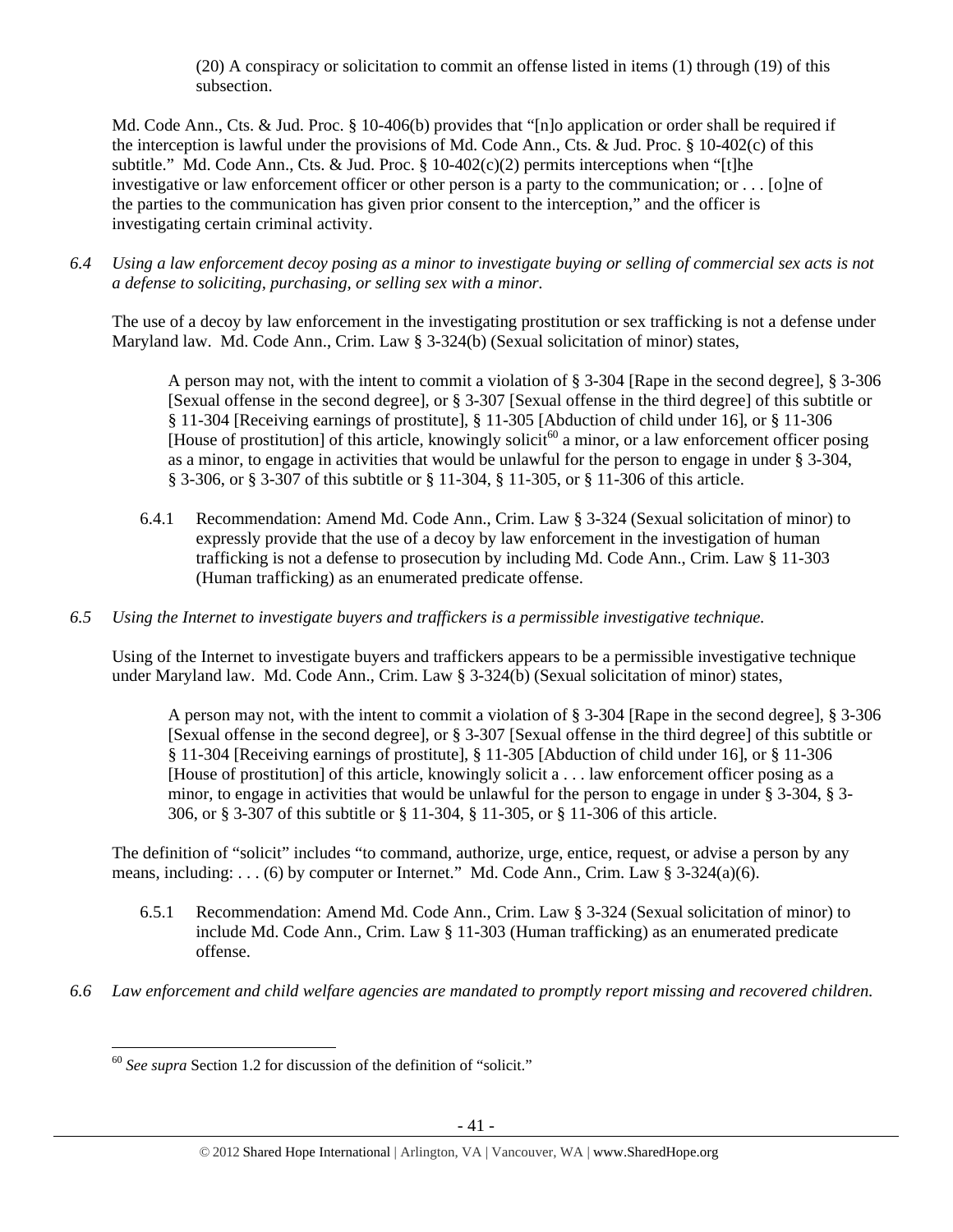(20) A conspiracy or solicitation to commit an offense listed in items (1) through (19) of this subsection.

Md. Code Ann., Cts. & Jud. Proc. § 10-406(b) provides that "[n]o application or order shall be required if the interception is lawful under the provisions of Md. Code Ann., Cts. & Jud. Proc. § 10-402(c) of this subtitle." Md. Code Ann., Cts. & Jud. Proc.  $\S$  10-402(c)(2) permits interceptions when "[t]he investigative or law enforcement officer or other person is a party to the communication; or . . . [o]ne of the parties to the communication has given prior consent to the interception," and the officer is investigating certain criminal activity.

*6.4 Using a law enforcement decoy posing as a minor to investigate buying or selling of commercial sex acts is not a defense to soliciting, purchasing, or selling sex with a minor.* 

The use of a decoy by law enforcement in the investigating prostitution or sex trafficking is not a defense under Maryland law. Md. Code Ann., Crim. Law § 3-324(b) (Sexual solicitation of minor) states,

A person may not, with the intent to commit a violation of § 3-304 [Rape in the second degree], § 3-306 [Sexual offense in the second degree], or § 3-307 [Sexual offense in the third degree] of this subtitle or § 11-304 [Receiving earnings of prostitute], § 11-305 [Abduction of child under 16], or § 11-306 [House of prostitution] of this article, knowingly solicit<sup>60</sup> a minor, or a law enforcement officer posing as a minor, to engage in activities that would be unlawful for the person to engage in under § 3-304, § 3-306, or § 3-307 of this subtitle or § 11-304, § 11-305, or § 11-306 of this article.

- 6.4.1 Recommendation: Amend Md. Code Ann., Crim. Law § 3-324 (Sexual solicitation of minor) to expressly provide that the use of a decoy by law enforcement in the investigation of human trafficking is not a defense to prosecution by including Md. Code Ann., Crim. Law § 11-303 (Human trafficking) as an enumerated predicate offense.
- *6.5 Using the Internet to investigate buyers and traffickers is a permissible investigative technique.*

Using of the Internet to investigate buyers and traffickers appears to be a permissible investigative technique under Maryland law. Md. Code Ann., Crim. Law § 3-324(b) (Sexual solicitation of minor) states,

A person may not, with the intent to commit a violation of § 3-304 [Rape in the second degree], § 3-306 [Sexual offense in the second degree], or § 3-307 [Sexual offense in the third degree] of this subtitle or § 11-304 [Receiving earnings of prostitute], § 11-305 [Abduction of child under 16], or § 11-306 [House of prostitution] of this article, knowingly solicit a . . . law enforcement officer posing as a minor, to engage in activities that would be unlawful for the person to engage in under § 3-304, § 3- 306, or § 3-307 of this subtitle or § 11-304, § 11-305, or § 11-306 of this article.

The definition of "solicit" includes "to command, authorize, urge, entice, request, or advise a person by any means, including: . . . (6) by computer or Internet." Md. Code Ann., Crim. Law § 3-324(a)(6).

- 6.5.1 Recommendation: Amend Md. Code Ann., Crim. Law § 3-324 (Sexual solicitation of minor) to include Md. Code Ann., Crim. Law § 11-303 (Human trafficking) as an enumerated predicate offense.
- *6.6 Law enforcement and child welfare agencies are mandated to promptly report missing and recovered children.*

 <sup>60</sup> *See supra* Section 1.2 for discussion of the definition of "solicit."